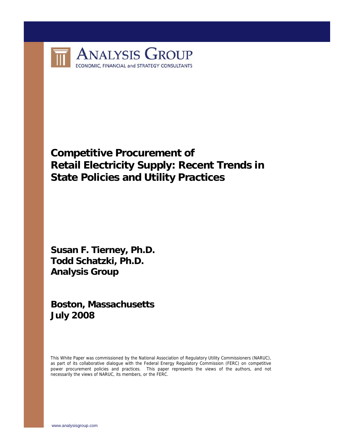

# **Competitive Procurement of Retail Electricity Supply: Recent Trends in State Policies and Utility Practices**

**Susan F. Tierney, Ph.D. Todd Schatzki, Ph.D. Analysis Group** 

**Boston, Massachusetts July 2008**

This White Paper was commissioned by the National Association of Regulatory Utility Commissioners (NARUC), as part of its collaborative dialogue with the Federal Energy Regulatory Commission (FERC) on competitive power procurement policies and practices. This paper represents the views of the authors, and not necessarily the views of NARUC, its members, or the FERC.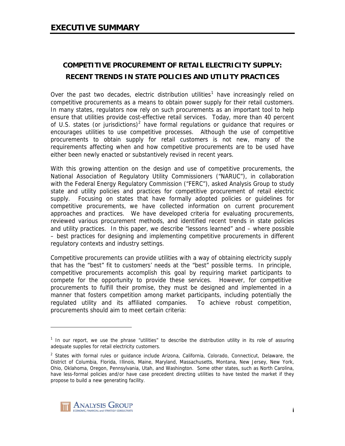# **COMPETITIVE PROCUREMENT OF RETAIL ELECTRICITY SUPPLY: RECENT TRENDS IN STATE POLICIES AND UTILITY PRACTICES**

Over the past two decades, electric distribution utilities<sup>[1](#page-1-0)</sup> have increasingly relied on competitive procurements as a means to obtain power supply for their retail customers. In many states, regulators now rely on such procurements as an important tool to help ensure that utilities provide cost-effective retail services. Today, more than 40 percent of U.S. states (or jurisdictions)<sup>[2](#page-1-1)</sup> have formal regulations or guidance that requires or encourages utilities to use competitive processes. Although the use of competitive procurements to obtain supply for retail customers is not new, many of the requirements affecting when and how competitive procurements are to be used have either been newly enacted or substantively revised in recent years.

With this growing attention on the design and use of competitive procurements, the National Association of Regulatory Utility Commissioners ("NARUC"), in collaboration with the Federal Energy Regulatory Commission ("FERC"), asked Analysis Group to study state and utility policies and practices for competitive procurement of retail electric supply. Focusing on states that have formally adopted policies or guidelines for competitive procurements, we have collected information on current procurement approaches and practices. We have developed criteria for evaluating procurements, reviewed various procurement methods, and identified recent trends in state policies and utility practices. In this paper, we describe "lessons learned" and – where possible – best practices for designing and implementing competitive procurements in different regulatory contexts and industry settings.

Competitive procurements can provide utilities with a way of obtaining electricity supply that has the "best" fit to customers' needs at the "best" possible terms. In principle, competitive procurements accomplish this goal by requiring market participants to compete for the opportunity to provide these services. However, for competitive procurements to fulfill their promise, they must be designed and implemented in a manner that fosters competition among market participants, including potentially the regulated utility and its affiliated companies. To achieve robust competition, procurements should aim to meet certain criteria:

<span id="page-1-1"></span><sup>&</sup>lt;sup>2</sup> States with formal rules or guidance include Arizona, California, Colorado, Connecticut, Delaware, the District of Columbia, Florida, Illinois, Maine, Maryland, Massachusetts, Montana, New Jersey, New York, Ohio, Oklahoma, Oregon, Pennsylvania, Utah, and Washington. Some other states, such as North Carolina, have less-formal policies and/or have case precedent directing utilities to have tested the market if they propose to build a new generating facility.



<span id="page-1-0"></span><sup>&</sup>lt;sup>1</sup> In our report, we use the phrase "utilities" to describe the distribution utility in its role of assuring adequate supplies for retail electricity customers.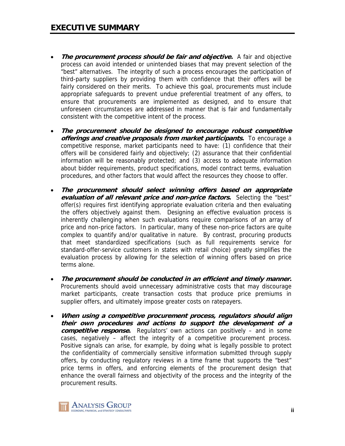- **The procurement process should be fair and objective.** A fair and objective process can avoid intended or unintended biases that may prevent selection of the "best" alternatives. The integrity of such a process encourages the participation of third-party suppliers by providing them with confidence that their offers will be fairly considered on their merits. To achieve this goal, procurements must include appropriate safeguards to prevent undue preferential treatment of any offers, to ensure that procurements are implemented as designed, and to ensure that unforeseen circumstances are addressed in manner that is fair and fundamentally consistent with the competitive intent of the process.
- **The procurement should be designed to encourage robust competitive offerings and creative proposals from market participants.** To encourage a competitive response, market participants need to have: (1) confidence that their offers will be considered fairly and objectively; (2) assurance that their confidential information will be reasonably protected; and (3) access to adequate information about bidder requirements, product specifications, model contract terms, evaluation procedures, and other factors that would affect the resources they choose to offer.
- **The procurement should select winning offers based on appropriate evaluation of all relevant price and non-price factors.** Selecting the "best" offer(s) requires first identifying appropriate evaluation criteria and then evaluating the offers objectively against them. Designing an effective evaluation process is inherently challenging when such evaluations require comparisons of an array of price and non-price factors. In particular, many of these non-price factors are quite complex to quantify and/or qualitative in nature. By contrast, procuring products that meet standardized specifications (such as full requirements service for standard-offer-service customers in states with retail choice) greatly simplifies the evaluation process by allowing for the selection of winning offers based on price terms alone.
- **The procurement should be conducted in an efficient and timely manner.** Procurements should avoid unnecessary administrative costs that may discourage market participants, create transaction costs that produce price premiums in supplier offers, and ultimately impose greater costs on ratepayers.
- **When using a competitive procurement process, regulators should align their own procedures and actions to support the development of a competitive response.** Regulators' own actions can positively – and in some cases, negatively – affect the integrity of a competitive procurement process. Positive signals can arise, for example, by doing what is legally possible to protect the confidentiality of commercially sensitive information submitted through supply offers, by conducting regulatory reviews in a time frame that supports the "best" price terms in offers, and enforcing elements of the procurement design that enhance the overall fairness and objectivity of the process and the integrity of the procurement results.

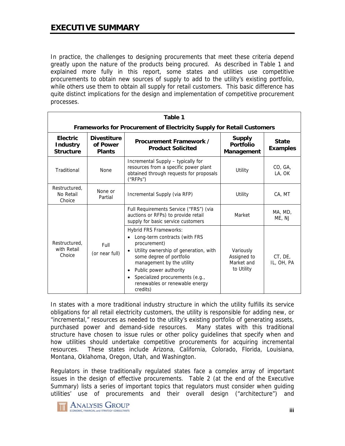In practice, the challenges to designing procurements that meet these criteria depend greatly upon the nature of the products being procured. As described in Table 1 and explained more fully in this report, some states and utilities use competitive procurements to obtain new sources of supply to add to the utility's existing portfolio, while others use them to obtain all supply for retail customers. This basic difference has quite distinct implications for the design and implementation of competitive procurement processes.

| Table 1                                                                                                   |                        |                                                                                                                                                                                                                                                                                                                                    |                                                      |                                 |
|-----------------------------------------------------------------------------------------------------------|------------------------|------------------------------------------------------------------------------------------------------------------------------------------------------------------------------------------------------------------------------------------------------------------------------------------------------------------------------------|------------------------------------------------------|---------------------------------|
| Frameworks for Procurement of Electricity Supply for Retail Customers                                     |                        |                                                                                                                                                                                                                                                                                                                                    |                                                      |                                 |
| <b>Divestiture</b><br><b>Electric</b><br>of Power<br><b>Industry</b><br><b>Structure</b><br><b>Plants</b> |                        | Procurement Framework /<br><b>Product Solicited</b>                                                                                                                                                                                                                                                                                | <b>Supply</b><br><b>Portfolio</b><br>Management      | <b>State</b><br><b>Examples</b> |
| Traditional                                                                                               | None                   | Incremental Supply - typically for<br>resources from a specific power plant<br>obtained through requests for proposals<br>("RFPs")                                                                                                                                                                                                 | Utility                                              | CO, GA,<br>LA, OK               |
| Restructured.<br>None or<br>No Retail<br>Partial<br>Choice                                                |                        | Incremental Supply (via RFP)                                                                                                                                                                                                                                                                                                       | Utility                                              | CA, MT                          |
|                                                                                                           |                        | Full Requirements Service ("FRS") (via<br>auctions or RFPs) to provide retail<br>supply for basic service customers                                                                                                                                                                                                                | Market                                               | MA, MD,<br>ME, NJ               |
| Restructured.<br>with Retail<br>Choice                                                                    | Full<br>(or near full) | <b>Hybrid FRS Frameworks:</b><br>Long-term contracts (with FRS<br>procurement)<br>Utility ownership of generation, with<br>$\bullet$<br>some degree of portfolio<br>management by the utility<br>Public power authority<br>$\bullet$<br>Specialized procurements (e.g.,<br>$\bullet$<br>renewables or renewable energy<br>credits) | Variously<br>Assigned to<br>Market and<br>to Utility | CT, DE,<br>IL, OH, PA           |

In states with a more traditional industry structure in which the utility fulfills its service obligations for all retail electricity customers, the utility is responsible for adding new, or "incremental," resources as needed to the utility's existing portfolio of generating assets, purchased power and demand-side resources. Many states with this traditional structure have chosen to issue rules or other policy guidelines that specify when and how utilities should undertake competitive procurements for acquiring incremental resources. These states include Arizona, California, Colorado, Florida, Louisiana, Montana, Oklahoma, Oregon, Utah, and Washington.

Regulators in these traditionally regulated states face a complex array of important issues in the design of effective procurements. Table 2 (at the end of the Executive Summary) lists a series of important topics that regulators must consider when guiding utilities' use of procurements and their overall design ("architecture") and

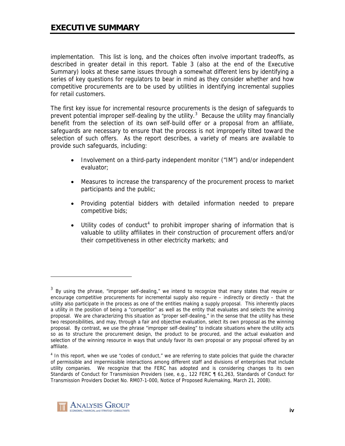implementation. This list is long, and the choices often involve important tradeoffs, as described in greater detail in this report. Table 3 (also at the end of the Executive Summary) looks at these same issues through a somewhat different lens by identifying a series of key questions for regulators to bear in mind as they consider whether and how competitive procurements are to be used by utilities in identifying incremental supplies for retail customers.

The first key issue for incremental resource procurements is the design of safeguards to prevent potential improper self-dealing by the utility.<sup>[3](#page-4-0)</sup> Because the utility may financially benefit from the selection of its own self-build offer or a proposal from an affiliate, safeguards are necessary to ensure that the process is not improperly tilted toward the selection of such offers. As the report describes, a variety of means are available to provide such safeguards, including:

- Involvement on a third-party independent monitor ("IM") and/or independent evaluator;
- Measures to increase the transparency of the procurement process to market participants and the public;
- Providing potential bidders with detailed information needed to prepare competitive bids;
- Utility codes of conduct<sup>[4](#page-4-1)</sup> to prohibit improper sharing of information that is valuable to utility affiliates in their construction of procurement offers and/or their competitiveness in other electricity markets; and

<span id="page-4-1"></span><sup>&</sup>lt;sup>4</sup> In this report, when we use "codes of conduct," we are referring to state policies that guide the character of permissible and impermissible interactions among different staff and divisions of enterprises that include utility companies. We recognize that the FERC has adopted and is considering changes to its own Standards of Conduct for Transmission Providers (see, e.g., 122 FERC ¶ 61,263, Standards of Conduct for Transmission Providers Docket No. RM07-1-000, Notice of Proposed Rulemaking, March 21, 2008).



<span id="page-4-0"></span> $3$  By using the phrase, "improper self-dealing," we intend to recognize that many states that require or encourage competitive procurements for incremental supply also require – indirectly or directly – that the utility also participate in the process as one of the entities making a supply proposal. This inherently places a utility in the position of being a "competitor" as well as the entity that evaluates and selects the winning proposal. We are characterizing this situation as "proper self-dealing," in the sense that the utility has these two responsibilities, and may, through a fair and objective evaluation, select its own proposal as the winning proposal. By contrast, we use the phrase "improper self-dealing" to indicate situations where the utility acts so as to structure the procurement design, the product to be procured, and the actual evaluation and selection of the winning resource in ways that unduly favor its own proposal or any proposal offered by an affiliate.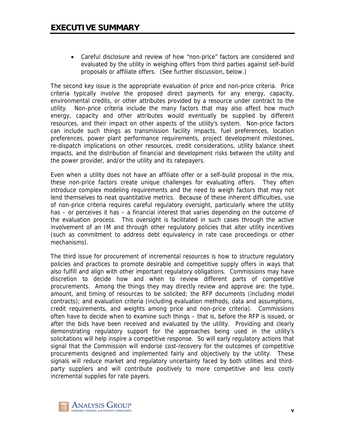• Careful disclosure and review of how "non-price" factors are considered and evaluated by the utility in weighing offers from third parties against self-build proposals or affiliate offers. (See further discussion, below.)

The second key issue is the appropriate evaluation of price and non-price criteria. Price criteria typically involve the proposed direct payments for any energy, capacity, environmental credits, or other attributes provided by a resource under contract to the utility. Non-price criteria include the many factors that may also affect how much energy, capacity and other attributes would eventually be supplied by different resources, and their impact on other aspects of the utility's system. Non-price factors can include such things as transmission facility impacts, fuel preferences, location preferences, power plant performance requirements, project development milestones, re-dispatch implications on other resources, credit considerations, utility balance sheet impacts, and the distribution of financial and development risks between the utility and the power provider, and/or the utility and its ratepayers.

Even when a utility does not have an affiliate offer or a self-build proposal in the mix, these non-price factors create unique challenges for evaluating offers. They often introduce complex modeling requirements and the need to weigh factors that may not lend themselves to neat quantitative metrics. Because of these inherent difficulties, use of non-price criteria requires careful regulatory oversight, particularly where the utility has – or perceives it has – a financial interest that varies depending on the outcome of the evaluation process. This oversight is facilitated in such cases through the active involvement of an IM and through other regulatory policies that alter utility incentives (such as commitment to address debt equivalency in rate case proceedings or other mechanisms).

The third issue for procurement of incremental resources is how to structure regulatory policies and practices to promote desirable and competitive supply offers in ways that also fulfill and align with other important regulatory obligations. Commissions may have discretion to decide how and when to review different parts of competitive procurements. Among the things they may directly review and approve are: the type, amount, and timing of resources to be solicited; the RFP documents (including model contracts); and evaluation criteria (including evaluation methods, data and assumptions, credit requirements, and weights among price and non-price criteria). Commissions often have to decide when to examine such things – that is, before the RFP is issued, or after the bids have been received and evaluated by the utility. Providing and clearly demonstrating regulatory support for the approaches being used in the utility's solicitations will help inspire a competitive response. So will early regulatory actions that signal that the Commission will endorse cost-recovery for the outcomes of competitive procurements designed and implemented fairly and objectively by the utility. These signals will reduce market and regulatory uncertainty faced by both utilities and thirdparty suppliers and will contribute positively to more competitive and less costly incremental supplies for rate payers.

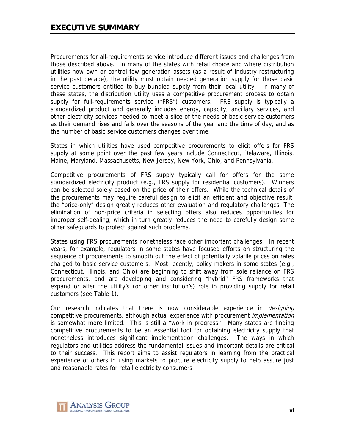Procurements for all-requirements service introduce different issues and challenges from those described above. In many of the states with retail choice and where distribution utilities now own or control few generation assets (as a result of industry restructuring in the past decade), the utility must obtain needed generation supply for those basic service customers entitled to buy bundled supply from their local utility. In many of these states, the distribution utility uses a competitive procurement process to obtain supply for full-requirements service ("FRS") customers. FRS supply is typically a standardized product and generally includes energy, capacity, ancillary services, and other electricity services needed to meet a slice of the needs of basic service customers as their demand rises and falls over the seasons of the year and the time of day, and as the number of basic service customers changes over time.

States in which utilities have used competitive procurements to elicit offers for FRS supply at some point over the past few years include Connecticut, Delaware, Illinois, Maine, Maryland, Massachusetts, New Jersey, New York, Ohio, and Pennsylvania.

Competitive procurements of FRS supply typically call for offers for the same standardized electricity product (e.g., FRS supply for residential customers). Winners can be selected solely based on the price of their offers. While the technical details of the procurements may require careful design to elicit an efficient and objective result, the "price-only" design greatly reduces other evaluation and regulatory challenges. The elimination of non-price criteria in selecting offers also reduces opportunities for improper self-dealing, which in turn greatly reduces the need to carefully design some other safeguards to protect against such problems.

States using FRS procurements nonetheless face other important challenges. In recent years, for example, regulators in some states have focused efforts on structuring the sequence of procurements to smooth out the effect of potentially volatile prices on rates charged to basic service customers. Most recently, policy makers in some states (e.g., Connecticut, Illinois, and Ohio) are beginning to shift away from sole reliance on FRS procurements, and are developing and considering "hybrid" FRS frameworks that expand or alter the utility's (or other institution's) role in providing supply for retail customers (see Table 1).

Our research indicates that there is now considerable experience in *designing* competitive procurements, although actual experience with procurement *implementation* is somewhat more limited. This is still a "work in progress." Many states are finding competitive procurements to be an essential tool for obtaining electricity supply that nonetheless introduces significant implementation challenges. The ways in which regulators and utilities address the fundamental issues and important details are critical to their success. This report aims to assist regulators in learning from the practical experience of others in using markets to procure electricity supply to help assure just and reasonable rates for retail electricity consumers.

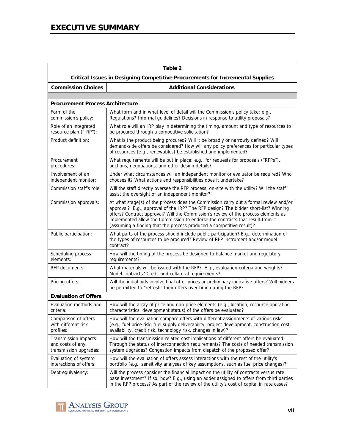# **EXECUTIVE SUMMARY**

| Table 2                                                                               |                                                                                                                                                                                                                                                                                                                                                                                                                            |  |  |
|---------------------------------------------------------------------------------------|----------------------------------------------------------------------------------------------------------------------------------------------------------------------------------------------------------------------------------------------------------------------------------------------------------------------------------------------------------------------------------------------------------------------------|--|--|
| <b>Critical Issues in Designing Competitive Procurements for Incremental Supplies</b> |                                                                                                                                                                                                                                                                                                                                                                                                                            |  |  |
| <b>Commission Choices</b>                                                             | <b>Additional Considerations</b>                                                                                                                                                                                                                                                                                                                                                                                           |  |  |
|                                                                                       |                                                                                                                                                                                                                                                                                                                                                                                                                            |  |  |
| <b>Procurement Process Architecture</b>                                               |                                                                                                                                                                                                                                                                                                                                                                                                                            |  |  |
| Form of the<br>commission's policy:                                                   | What form and in what level of detail will the Commission's policy take: e.g.,<br>Regulations? Informal guidelines? Decisions in response to utility proposals?                                                                                                                                                                                                                                                            |  |  |
| Role of an integrated<br>resource plan ("IRP"):                                       | What role will an IRP play in determining the timing, amount and type of resources to<br>be procured through a competitive solicitation?                                                                                                                                                                                                                                                                                   |  |  |
| Product definition:                                                                   | What is the product being procured? Will it be broadly or narrowly defined? Will<br>demand-side offers be considered? How will any policy preferences for particular types<br>of resources (e.g., renewables) be established and implemented?                                                                                                                                                                              |  |  |
| Procurement<br>procedures:                                                            | What requirements will be put in place: e.g., for requests for proposals ("RFPs"),<br>auctions, negotiations, and other design details?                                                                                                                                                                                                                                                                                    |  |  |
| Involvement of an<br>independent monitor:                                             | Under what circumstances will an independent monitor or evaluator be required? Who<br>chooses it? What actions and responsibilities does it undertake?                                                                                                                                                                                                                                                                     |  |  |
| Commission staff's role:                                                              | Will the staff directly oversee the RFP process, on-site with the utility? Will the staff<br>assist the oversight of an independent monitor?                                                                                                                                                                                                                                                                               |  |  |
| Commission approvals:                                                                 | At what stage(s) of the process does the Commission carry out a formal review and/or<br>approval? E.g., approval of the IRP? The RFP design? The bidder short-list? Winning<br>offers? Contract approval? Will the Commission's review of the process elements as<br>implemented allow the Commission to endorse the contracts that result from it<br>(assuming a finding that the process produced a competitive result)? |  |  |
| Public participation:                                                                 | What parts of the process should include public participation? E.g., determination of<br>the types of resources to be procured? Review of RFP instrument and/or model<br>contract?                                                                                                                                                                                                                                         |  |  |
| Scheduling process<br>elements:                                                       | How will the timing of the process be designed to balance market and regulatory<br>requirements?                                                                                                                                                                                                                                                                                                                           |  |  |
| RFP documents:                                                                        | What materials will be issued with the RFP? E.g., evaluation criteria and weights?<br>Model contracts? Credit and collateral requirements?                                                                                                                                                                                                                                                                                 |  |  |
| Pricing offers:                                                                       | Will the initial bids involve final offer prices or preliminary indicative offers? Will bidders<br>be permitted to "refresh" their offers over time during the RFP?                                                                                                                                                                                                                                                        |  |  |
| <b>Evaluation of Offers</b>                                                           |                                                                                                                                                                                                                                                                                                                                                                                                                            |  |  |
| Evaluation methods and<br>criteria:                                                   | How will the array of price and non-price elements (e.g., location, resource operating<br>characteristics, development status) of the offers be evaluated?                                                                                                                                                                                                                                                                 |  |  |
| Comparison of offers<br>with different risk<br>profiles:                              | How will the evaluation compare offers with different assignments of various risks<br>(e.g., fuel price risk, fuel supply deliverability, project development, construction cost,<br>availability, credit risk, technology risk, changes in law)?                                                                                                                                                                          |  |  |
| Transmission impacts<br>and costs of any<br>transmission upgrades:                    | How will the transmission-related cost implications of different offers be evaluated:<br>Through the status of interconnection requirements? The costs of needed transmission<br>system upgrades? Congestion impacts from dispatch of the proposed offer?                                                                                                                                                                  |  |  |
| Evaluation of system<br>interactions of offers:                                       | How will the evaluation of offers assess interactions with the rest of the utility's<br>portfolio (e.g., sensitivity analyses of key assumptions, such as fuel price changes)?                                                                                                                                                                                                                                             |  |  |
| Debt equivalency:                                                                     | Will the process consider the financial impact on the utility of contracts versus rate<br>base investment? If so, how? E.g., using an adder assigned to offers from third parties<br>in the RFP process? As part of the review of the utility's cost of capital in rate cases?                                                                                                                                             |  |  |

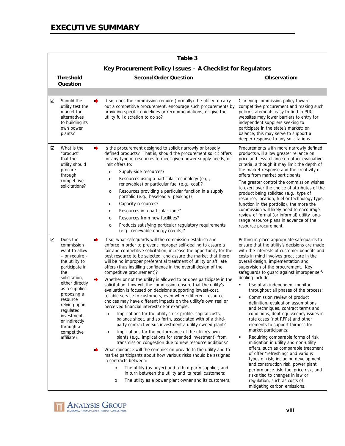| Table 3 |                                                                                                                                                                                                                                                                                             |                                                                                                                                                                                                                                                                                                                                                                                                                                                                                                                                                                                                                                                                                                                                                                                                                                                                                                                                                                                                                                                                                                                                                                                                                                                                                                                                                                                                                                                                                                                                                                                                         |                                                                                                                                                                                                                                                                                                                                                                                                                                                                                                                                                                                                                                                                                                                                                                                                                                                                                                                                                                                                                                                                      |  |  |
|---------|---------------------------------------------------------------------------------------------------------------------------------------------------------------------------------------------------------------------------------------------------------------------------------------------|---------------------------------------------------------------------------------------------------------------------------------------------------------------------------------------------------------------------------------------------------------------------------------------------------------------------------------------------------------------------------------------------------------------------------------------------------------------------------------------------------------------------------------------------------------------------------------------------------------------------------------------------------------------------------------------------------------------------------------------------------------------------------------------------------------------------------------------------------------------------------------------------------------------------------------------------------------------------------------------------------------------------------------------------------------------------------------------------------------------------------------------------------------------------------------------------------------------------------------------------------------------------------------------------------------------------------------------------------------------------------------------------------------------------------------------------------------------------------------------------------------------------------------------------------------------------------------------------------------|----------------------------------------------------------------------------------------------------------------------------------------------------------------------------------------------------------------------------------------------------------------------------------------------------------------------------------------------------------------------------------------------------------------------------------------------------------------------------------------------------------------------------------------------------------------------------------------------------------------------------------------------------------------------------------------------------------------------------------------------------------------------------------------------------------------------------------------------------------------------------------------------------------------------------------------------------------------------------------------------------------------------------------------------------------------------|--|--|
|         | Key Procurement Policy Issues - A Checklist for Regulators                                                                                                                                                                                                                                  |                                                                                                                                                                                                                                                                                                                                                                                                                                                                                                                                                                                                                                                                                                                                                                                                                                                                                                                                                                                                                                                                                                                                                                                                                                                                                                                                                                                                                                                                                                                                                                                                         |                                                                                                                                                                                                                                                                                                                                                                                                                                                                                                                                                                                                                                                                                                                                                                                                                                                                                                                                                                                                                                                                      |  |  |
|         | <b>Threshold</b><br><b>Second Order Question</b><br>Observation:<br>Question                                                                                                                                                                                                                |                                                                                                                                                                                                                                                                                                                                                                                                                                                                                                                                                                                                                                                                                                                                                                                                                                                                                                                                                                                                                                                                                                                                                                                                                                                                                                                                                                                                                                                                                                                                                                                                         |                                                                                                                                                                                                                                                                                                                                                                                                                                                                                                                                                                                                                                                                                                                                                                                                                                                                                                                                                                                                                                                                      |  |  |
|         |                                                                                                                                                                                                                                                                                             |                                                                                                                                                                                                                                                                                                                                                                                                                                                                                                                                                                                                                                                                                                                                                                                                                                                                                                                                                                                                                                                                                                                                                                                                                                                                                                                                                                                                                                                                                                                                                                                                         |                                                                                                                                                                                                                                                                                                                                                                                                                                                                                                                                                                                                                                                                                                                                                                                                                                                                                                                                                                                                                                                                      |  |  |
| ✓       | Should the<br>utility test the<br>market for<br>alternatives<br>to building its<br>own power<br>plants?                                                                                                                                                                                     | ∙<br>If so, does the commission require (formally) the utility to carry<br>out a competitive procurement, encourage such procurements by<br>providing specific guidelines or recommendations, or give the<br>utility full discretion to do so?                                                                                                                                                                                                                                                                                                                                                                                                                                                                                                                                                                                                                                                                                                                                                                                                                                                                                                                                                                                                                                                                                                                                                                                                                                                                                                                                                          | Clarifying commission policy toward<br>competitive procurement and making such<br>policy statements easy to find in PUC<br>websites may lower barriers to entry for<br>independent suppliers seeking to<br>participate in the state's market; on<br>balance, this may serve to support a<br>deeper response to any solicitations.                                                                                                                                                                                                                                                                                                                                                                                                                                                                                                                                                                                                                                                                                                                                    |  |  |
| ⊻       | What is the<br>"product"<br>that the<br>utility should<br>procure<br>through<br>competitive<br>solicitations?                                                                                                                                                                               | ⋫<br>Is the procurement designed to solicit narrowly or broadly<br>defined products? That is, should the procurement solicit offers<br>for any type of resources to meet given power supply needs, or<br>limit offers to:<br>Supply-side resources?<br>$\circ$<br>Resources using a particular technology (e.g.,<br>$\circ$<br>renewables) or particular fuel (e.g., coal)?<br>Resources providing a particular function in a supply<br>$\circ$<br>portfolio (e.g., baseload v. peaking)?<br>Capacity resources?<br>$\circ$<br>Resources in a particular zone?<br>$\circ$<br>Resources from new facilities?<br>$\circ$<br>Products satisfying particular regulatory requirements<br>$\circ$<br>(e.g., renewable energy credits)?                                                                                                                                                                                                                                                                                                                                                                                                                                                                                                                                                                                                                                                                                                                                                                                                                                                                        | Procurements with more narrowly defined<br>products will allow greater reliance on<br>price and less reliance on other evaluative<br>criteria, although it may limit the depth of<br>the market response and the creativity of<br>offers from market participants.<br>The greater control the commission wishes<br>to exert over the choice of attributes of the<br>product being solicited (e.g., type of<br>resource, location, fuel or technology type,<br>function in the portfolio), the more the<br>commission will likely need to encourage<br>review of formal (or informal) utility long-<br>range resource plans in advance of the<br>resource procurement.                                                                                                                                                                                                                                                                                                                                                                                                |  |  |
| ⊻       | Does the<br>commission<br>want to allow<br>- or require -<br>the utility to<br>participate in<br>the<br>solicitation,<br>either directly<br>as a supplier<br>proposing a<br>resource<br>relying upon<br>regulated<br>investment,<br>or indirectly<br>through a<br>competitive<br>affiliate? | ∙<br>If so, what safeguards will the commission establish and<br>enforce in order to prevent improper self-dealing to assure a<br>fair and competitive solicitation, increase the opportunity for the<br>best resource to be selected, and assure the market that there<br>will be no improper preferential treatment of utility or affiliate<br>offers (thus instilling confidence in the overall design of the<br>competitive procurement)?<br>Whether or not the utility is allowed to or does participate in the<br>◆<br>solicitation, how will the commission ensure that the utility's<br>evaluation is focused on decisions supporting lowest-cost,<br>reliable service to customers, even where different resource<br>choices may have different impacts on the utility's own real or<br>perceived financial interests? For example,<br>Implications for the utility's risk profile, capital costs,<br>$\circ$<br>balance sheet, and so forth, associated with of a third-<br>party contract versus investment a utility owned plant?<br>Implications for the performance of the utility's own<br>$\circ$<br>plants (e.g., implications for stranded investment) from<br>transmission congestion due to new resource additions?<br>What guidance will the commission provide to the utility and to<br>market participants about how various risks should be assigned<br>in contracts between:<br>The utility (as buyer) and a third party supplier, and<br>$\circ$<br>in turn between the utility and its retail customers;<br>The utility as a power plant owner and its customers.<br>$\circ$ | Putting in place appropriate safeguards to<br>ensure that the utility's decisions are made<br>with the interests of customer benefits and<br>costs in mind involves great care in the<br>overall design, implementation and<br>supervision of the procurement. Key<br>safeguards to guard against improper self-<br>dealing include:<br>Use of an independent monitor<br>throughout all phases of the process;<br>Commission review of product<br>٠<br>definition, evaluation assumptions<br>and techniques, contract terms and<br>conditions, debt-equivalency issues in<br>rate cases (not RFPs) and other<br>elements to support fairness for<br>market participants;<br>Requiring comparable forms of risk<br>٠<br>mitigation in utility and non-utility<br>offers, such as comparable treatment<br>of offer "refreshing" and various<br>types of risk, including development<br>and construction risk, power plant<br>performance risk, fuel price risk, and<br>risks tied to changes in law or<br>regulation, such as costs of<br>mitigating carbon emissions. |  |  |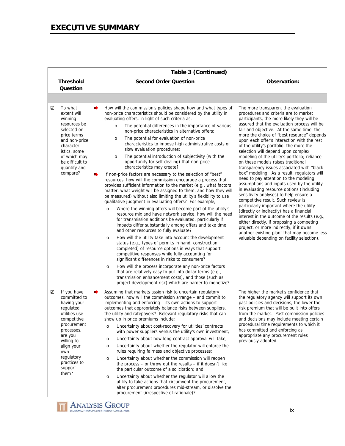# **EXECUTIVE SUMMARY**

|   | <b>Table 3 (Continued)</b>                                                                                                                                                                                           |                                                                                                                                                                                                                                                                                                                                                                                                                                                                                                                                                                                                                                                                                                                                                                                                                                                                                                                                                                                                                                                                                                                                                                                                                                                                                                                                                                                                                                                                                                                                                                                                                                                                                                                                                                                                                                                                                       |                                                                                                                                                                                                                                                                                                                                                                                                                                                                                                                                                                                                                                                                                                                                                                                                                                                                                                                                                                                                                                                                                                                                             |  |
|---|----------------------------------------------------------------------------------------------------------------------------------------------------------------------------------------------------------------------|---------------------------------------------------------------------------------------------------------------------------------------------------------------------------------------------------------------------------------------------------------------------------------------------------------------------------------------------------------------------------------------------------------------------------------------------------------------------------------------------------------------------------------------------------------------------------------------------------------------------------------------------------------------------------------------------------------------------------------------------------------------------------------------------------------------------------------------------------------------------------------------------------------------------------------------------------------------------------------------------------------------------------------------------------------------------------------------------------------------------------------------------------------------------------------------------------------------------------------------------------------------------------------------------------------------------------------------------------------------------------------------------------------------------------------------------------------------------------------------------------------------------------------------------------------------------------------------------------------------------------------------------------------------------------------------------------------------------------------------------------------------------------------------------------------------------------------------------------------------------------------------|---------------------------------------------------------------------------------------------------------------------------------------------------------------------------------------------------------------------------------------------------------------------------------------------------------------------------------------------------------------------------------------------------------------------------------------------------------------------------------------------------------------------------------------------------------------------------------------------------------------------------------------------------------------------------------------------------------------------------------------------------------------------------------------------------------------------------------------------------------------------------------------------------------------------------------------------------------------------------------------------------------------------------------------------------------------------------------------------------------------------------------------------|--|
|   | <b>Threshold</b><br><b>Question</b>                                                                                                                                                                                  | <b>Second Order Question</b>                                                                                                                                                                                                                                                                                                                                                                                                                                                                                                                                                                                                                                                                                                                                                                                                                                                                                                                                                                                                                                                                                                                                                                                                                                                                                                                                                                                                                                                                                                                                                                                                                                                                                                                                                                                                                                                          | Observation:                                                                                                                                                                                                                                                                                                                                                                                                                                                                                                                                                                                                                                                                                                                                                                                                                                                                                                                                                                                                                                                                                                                                |  |
|   |                                                                                                                                                                                                                      |                                                                                                                                                                                                                                                                                                                                                                                                                                                                                                                                                                                                                                                                                                                                                                                                                                                                                                                                                                                                                                                                                                                                                                                                                                                                                                                                                                                                                                                                                                                                                                                                                                                                                                                                                                                                                                                                                       |                                                                                                                                                                                                                                                                                                                                                                                                                                                                                                                                                                                                                                                                                                                                                                                                                                                                                                                                                                                                                                                                                                                                             |  |
| ⊻ | To what<br>extent will<br>winning<br>resources be<br>selected on<br>price terms<br>and non-price<br>character-<br>istics, some<br>of which may<br>be difficult to<br>quantify and<br>compare?                        | How will the commission's policies shape how and what types of<br>Ф.<br>non-price characteristics should be considered by the utility in<br>evaluating offers, in light of such criteria as:<br>The potential differences in the importance of various<br>$\circ$<br>non-price characteristics in alternative offers;<br>The potential for evaluation of non-price<br>$\circ$<br>characteristics to impose high administrative costs or<br>slow evaluation procedures;<br>The potential introduction of subjectivity (with the<br>$\circ$<br>opportunity for self-dealing) that non-price<br>characteristics may create?<br>If non-price factors are necessary to the selection of "best"<br>resources, how will the commission encourage a process that<br>provides sufficient information to the market (e.g., what factors<br>matter, what weight will be assigned to them, and how they will<br>be measured) without also limiting the utility's flexibility to use<br>qualitative judgment in evaluating offers? For example,<br>Where the winning offers will become part of the utility's<br>$\circ$<br>resource mix and have network service, how will the need<br>for transmission additions be evaluated, particularly if<br>impacts differ substantially among offers and take time<br>and other resources to fully evaluate?<br>How will the utility take into account the development<br>$\circ$<br>status (e.g., types of permits in hand, construction<br>completed) of resource options in ways that support<br>competitive responses while fully accounting for<br>significant differences in risks to consumers?<br>How will the process incorporate any non-price factors<br>$\circ$<br>that are relatively easy to put into dollar terms (e.g.,<br>transmission enhancement costs), and those (such as<br>project development risk) which are harder to monetize? | The more transparent the evaluation<br>procedures and criteria are to market<br>participants, the more likely they will be<br>assured that the evaluation process will be<br>fair and objective. At the same time, the<br>more the choice of "best resource" depends<br>upon each offer's interaction with the rest<br>of the utility's portfolio, the more the<br>selection will depend upon complex<br>modeling of the utility's portfolio; reliance<br>on these models raises traditional<br>transparency issues associated with "black<br>box" modeling. As a result, regulators will<br>need to pay attention to the modeling<br>assumptions and inputs used by the utility<br>in evaluating resource options (including<br>sensitivity analyses) to help ensure a<br>competitive result. Such review is<br>particularly important where the utility<br>(directly or indirectly) has a financial<br>interest in the outcome of the results (e.g.,<br>either directly, if proposing a competing<br>project, or more indirectly, if it owns<br>another existing plant that may become less<br>valuable depending on facility selection). |  |
| Κ | If you have<br>committed to<br>having your<br>regulated<br>utilities use<br>competitive<br>procurement<br>processes,<br>are you<br>willing to<br>align your<br>own<br>regulatory<br>practices to<br>support<br>them? | ∙<br>Assuming that markets assign risk to uncertain regulatory<br>outcomes, how will the commission arrange - and commit to<br>implementing and enforcing - its own actions to support<br>outcomes that appropriately balance risks between suppliers,<br>the utility and ratepayers? Relevant regulatory risks that can<br>show up in price premiums include:<br>Uncertainty about cost-recovery for utilities' contracts<br>$\circ$<br>with power suppliers versus the utility's own investment;<br>Uncertainty about how long contract approval will take;<br>$\circ$<br>Uncertainty about whether the regulator will enforce the<br>$\circ$<br>rules requiring fairness and objective processes;<br>Uncertainty about whether the commission will reopen<br>$\circ$<br>the process $-$ or throw out the results $-$ if it doesn't like<br>the particular outcome of a solicitation; and<br>Uncertainty about whether the regulator will allow the<br>$\circ$<br>utility to take actions that circumvent the procurement,<br>alter procurement procedures mid-stream, or dissolve the<br>procurement (irrespective of rationale)?                                                                                                                                                                                                                                                                                                                                                                                                                                                                                                                                                                                                                                                                                                                                                  | The higher the market's confidence that<br>the regulatory agency will support its own<br>past policies and decisions, the lower the<br>risk premium that will be built into offers<br>from the market. Past commission policies<br>and decisions may include meeting certain<br>procedural time requirements to which it<br>has committed and enforcing as<br>appropriate any procurement rules<br>previously adopted.                                                                                                                                                                                                                                                                                                                                                                                                                                                                                                                                                                                                                                                                                                                      |  |

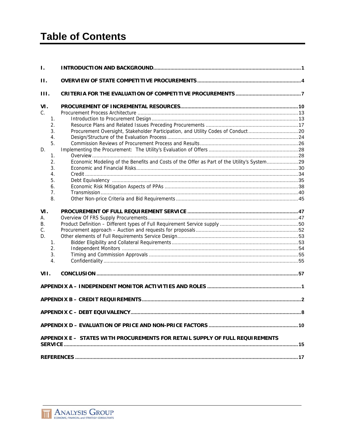# **Table of Contents**

| Ι.          |          |                                                                                            |  |
|-------------|----------|--------------------------------------------------------------------------------------------|--|
| $\Pi$ .     |          |                                                                                            |  |
| <b>III.</b> |          |                                                                                            |  |
| VI.         |          |                                                                                            |  |
| $C_{\cdot}$ |          |                                                                                            |  |
|             | 1.       |                                                                                            |  |
|             | 2.       |                                                                                            |  |
|             | 3.       | Procurement Oversight, Stakeholder Participation, and Utility Codes of Conduct20           |  |
|             | 4.       |                                                                                            |  |
|             | 5.       |                                                                                            |  |
| D.          |          |                                                                                            |  |
|             | 1.<br>2. | Economic Modeling of the Benefits and Costs of the Offer as Part of the Utility's System29 |  |
|             | 3.       |                                                                                            |  |
|             | 4.       |                                                                                            |  |
|             | 5.       |                                                                                            |  |
|             | 6.       |                                                                                            |  |
|             | 7.       |                                                                                            |  |
|             | 8.       |                                                                                            |  |
|             |          |                                                                                            |  |
| VI.         |          |                                                                                            |  |
| Α.          |          |                                                                                            |  |
| В.          |          |                                                                                            |  |
| C.          |          |                                                                                            |  |
| D.          |          |                                                                                            |  |
|             | 1.       |                                                                                            |  |
|             | 2.       |                                                                                            |  |
|             | 3.       |                                                                                            |  |
|             | 4.       |                                                                                            |  |
| VII.        |          |                                                                                            |  |
|             |          |                                                                                            |  |
|             |          |                                                                                            |  |
|             |          |                                                                                            |  |
|             |          |                                                                                            |  |
|             |          |                                                                                            |  |
|             |          | APPENDIX E - STATES WITH PROCUREMENTS FOR RETAIL SUPPLY OF FULL REQUIREMENTS               |  |
|             |          |                                                                                            |  |
|             |          |                                                                                            |  |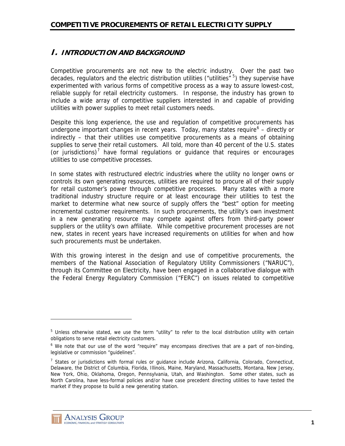### <span id="page-11-0"></span>**I. INTRODUCTION AND BACKGROUND**

Competitive procurements are not new to the electric industry. Over the past two decades, regulators and the electric distribution utilities ("utilities" <sup>[5](#page-11-1)</sup>) they supervise have experimented with various forms of competitive process as a way to assure lowest-cost, reliable supply for retail electricity customers. In response, the industry has grown to include a wide array of competitive suppliers interested in and capable of providing utilities with power supplies to meet retail customers needs.

Despite this long experience, the use and regulation of competitive procurements has undergone important changes in recent years. Today, many states require<sup>[6](#page-11-2)</sup> – directly or indirectly – that their utilities use competitive procurements as a means of obtaining supplies to serve their retail customers. All told, more than 40 percent of the U.S. states (or jurisdictions)<sup>[7](#page-11-3)</sup> have formal regulations or guidance that requires or encourages utilities to use competitive processes.

In some states with restructured electric industries where the utility no longer owns or controls its own generating resources, utilities are required to procure all of their supply for retail customer's power through competitive processes. Many states with a more traditional industry structure require or at least encourage their utilities to test the market to determine what new source of supply offers the "best" option for meeting incremental customer requirements. In such procurements, the utility's own investment in a new generating resource may compete against offers from third-party power suppliers or the utility's own affiliate. While competitive procurement processes are not new, states in recent years have increased requirements on utilities for when and how such procurements must be undertaken.

With this growing interest in the design and use of competitive procurements, the members of the National Association of Regulatory Utility Commissioners ("NARUC"), through its Committee on Electricity, have been engaged in a collaborative dialogue with the Federal Energy Regulatory Commission ("FERC") on issues related to competitive

<span id="page-11-1"></span><sup>&</sup>lt;sup>5</sup> Unless otherwise stated, we use the term "utility" to refer to the local distribution utility with certain obligations to serve retail electricity customers.

<span id="page-11-2"></span><sup>&</sup>lt;sup>6</sup> We note that our use of the word "require" may encompass directives that are a part of non-binding, legislative or commission "guidelines".

<span id="page-11-3"></span><sup>&</sup>lt;sup>7</sup> States or jurisdictions with formal rules or guidance include Arizona, California, Colorado, Connecticut, Delaware, the District of Columbia, Florida, Illinois, Maine, Maryland, Massachusetts, Montana, New Jersey, New York, Ohio, Oklahoma, Oregon, Pennsylvania, Utah, and Washington. Some other states, such as North Carolina, have less-formal policies and/or have case precedent directing utilities to have tested the market if they propose to build a new generating station.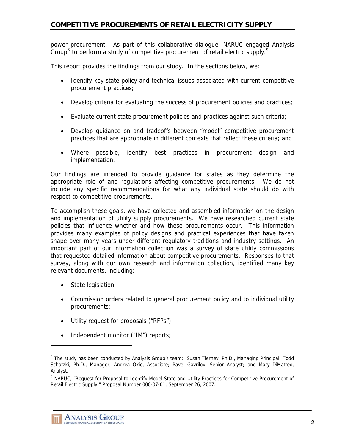power procurement. As part of this collaborative dialogue, NARUC engaged Analysis Group<sup>[8](#page-12-0)</sup> to perform a study of competitive procurement of retail electric supply.<sup>[9](#page-12-1)</sup>

This report provides the findings from our study. In the sections below, we:

- Identify key state policy and technical issues associated with current competitive procurement practices;
- Develop criteria for evaluating the success of procurement policies and practices;
- Evaluate current state procurement policies and practices against such criteria;
- Develop guidance on and tradeoffs between "model" competitive procurement practices that are appropriate in different contexts that reflect these criteria; and
- Where possible, identify best practices in procurement design and implementation.

Our findings are intended to provide guidance for states as they determine the appropriate role of and regulations affecting competitive procurements. We do not include any specific recommendations for what any individual state should do with respect to competitive procurements.

To accomplish these goals, we have collected and assembled information on the design and implementation of utility supply procurements. We have researched current state policies that influence whether and how these procurements occur. This information provides many examples of policy designs and practical experiences that have taken shape over many years under different regulatory traditions and industry settings. An important part of our information collection was a survey of state utility commissions that requested detailed information about competitive procurements. Responses to that survey, along with our own research and information collection, identified many key relevant documents, including:

• State legislation;

- Commission orders related to general procurement policy and to individual utility procurements;
- Utility request for proposals ("RFPs");
- Independent monitor ("IM") reports;

<span id="page-12-0"></span><sup>&</sup>lt;sup>8</sup> The study has been conducted by Analysis Group's team: Susan Tierney, Ph.D., Managing Principal; Todd Schatzki, Ph.D., Manager; Andrea Okie, Associate; Pavel Gavrilov, Senior Analyst; and Mary DiMatteo, Analyst.

<span id="page-12-1"></span><sup>&</sup>lt;sup>9</sup> NARUC, "Request for Proposal to Identify Model State and Utility Practices for Competitive Procurement of Retail Electric Supply," Proposal Number 000-07-01, September 26, 2007.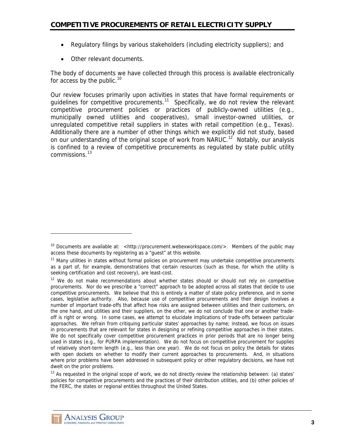- Regulatory filings by various stakeholders (including electricity suppliers); and
- Other relevant documents.

The body of documents we have collected through this process is available electronically for access by the public. $10$ 

Our review focuses primarily upon activities in states that have formal requirements or guidelines for competitive procurements.<sup>[11](#page-13-1)</sup> Specifically, we do not review the relevant competitive procurement policies or practices of publicly-owned utilities (e.g., municipally owned utilities and cooperatives), small investor-owned utilities, or unregulated competitive retail suppliers in states with retail competition (e.g., Texas). Additionally there are a number of other things which we explicitly did not study, based on our understanding of the original scope of work from NARUC.<sup>[12](#page-13-2)</sup> Notably, our analysis is confined to a review of competitive procurements as regulated by state public utility commissions.<sup>[13](#page-13-3)</sup>

<span id="page-13-0"></span><sup>&</sup>lt;sup>10</sup> Documents are available at: <http://procurement.webexworkspace.com/>. Members of the public may access these documents by registering as a "guest" at this website.

<span id="page-13-1"></span> $11$  Many utilities in states without formal policies on procurement may undertake competitive procurements as a part of, for example, demonstrations that certain resources (such as those, for which the utility is seeking certification and cost recovery), are least-cost.

<span id="page-13-2"></span> $12$  We do not make recommendations about whether states should or should not rely on competitive procurements. Nor do we prescribe a "correct" approach to be adopted across all states that decide to use competitive procurements. We believe that this is entirely a matter of state policy preference, and in some cases, legislative authority. Also, because use of competitive procurements and their design involves a number of important trade-offs that affect how risks are assigned between utilities and their customers, on the one hand, and utilities and their suppliers, on the other, we do not conclude that one or another tradeoff is right or wrong. In some cases, we attempt to elucidate implications of trade-offs between particular approaches. We refrain from critiquing particular states' approaches by name; instead, we focus on issues in procurements that are relevant for states in designing or refining competitive approaches in their states. We do not specifically cover competitive procurement practices in prior periods that are no longer being used in states (e.g., for PURPA implementation). We do not focus on competitive procurement for supplies of relatively short-term length (e.g., less than one year). We do not focus on policy the details for states with open dockets on whether to modify their current approaches to procurements. And, in situations where prior problems have been addressed in subsequent policy or other regulatory decisions, we have not dwelt on the prior problems.

<span id="page-13-3"></span> $13$  As requested in the original scope of work, we do not directly review the relationship between: (a) states' policies for competitive procurements and the practices of their distribution utilities, and (b) other policies of the FERC, the states or regional entities throughout the United States.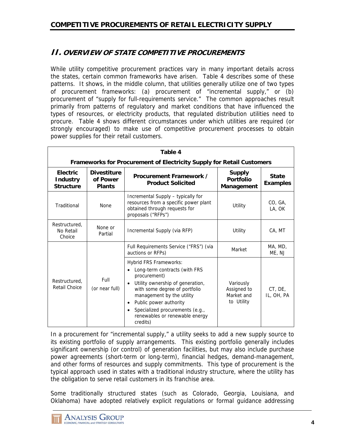### <span id="page-14-0"></span>**II. OVERVIEW OF STATE COMPETITIVE PROCUREMENTS**

While utility competitive procurement practices vary in many important details across the states, certain common frameworks have arisen. Table 4 describes some of these patterns. It shows, in the middle column, that utilities generally utilize one of two types of procurement frameworks: (a) procurement of "incremental supply," or (b) procurement of "supply for full-requirements service." The common approaches result primarily from patterns of regulatory and market conditions that have influenced the types of resources, or electricity products, that regulated distribution utilities need to procure. Table 4 shows different circumstances under which utilities are required (or strongly encouraged) to make use of competitive procurement processes to obtain power supplies for their retail customers.

| Table 4                                                |                                                                              |                                                                                                                                                                                                                                                                                                  |                                                      |                                 |
|--------------------------------------------------------|------------------------------------------------------------------------------|--------------------------------------------------------------------------------------------------------------------------------------------------------------------------------------------------------------------------------------------------------------------------------------------------|------------------------------------------------------|---------------------------------|
|                                                        | <b>Frameworks for Procurement of Electricity Supply for Retail Customers</b> |                                                                                                                                                                                                                                                                                                  |                                                      |                                 |
| <b>Electric</b><br><b>Industry</b><br><b>Structure</b> | <b>Divestiture</b><br>of Power<br><b>Plants</b>                              | Procurement Framework /<br><b>Product Solicited</b>                                                                                                                                                                                                                                              | <b>Supply</b><br><b>Portfolio</b><br>Management      | <b>State</b><br><b>Examples</b> |
| Traditional                                            | <b>None</b>                                                                  | Incremental Supply - typically for<br>resources from a specific power plant<br>obtained through requests for<br>proposals ("RFPs")                                                                                                                                                               | Utility                                              | CO, GA,<br>LA, OK               |
| Restructured,<br>No Retail<br>Choice                   | None or<br>Partial                                                           | Incremental Supply (via RFP)                                                                                                                                                                                                                                                                     | Utility                                              | CA, MT                          |
|                                                        |                                                                              | Full Requirements Service ("FRS") (via<br>auctions or RFPs)                                                                                                                                                                                                                                      | Market                                               | MA, MD,<br>ME, NJ               |
| Restructured.<br>Retail Choice                         | Full<br>(or near full)                                                       | <b>Hybrid FRS Frameworks:</b><br>Long-term contracts (with FRS<br>procurement)<br>Utility ownership of generation,<br>with some degree of portfolio<br>management by the utility<br>Public power authority<br>٠<br>Specialized procurements (e.g.,<br>renewables or renewable energy<br>credits) | Variously<br>Assigned to<br>Market and<br>to Utility | CT, DE,<br>IL, OH, PA           |

In a procurement for "incremental supply," a utility seeks to add a new supply source to its existing portfolio of supply arrangements. This existing portfolio generally includes significant ownership (or control) of generation facilities, but may also include purchase power agreements (short-term or long-term), financial hedges, demand-management, and other forms of resources and supply commitments. This type of procurement is the typical approach used in states with a traditional industry structure, where the utility has the obligation to serve retail customers in its franchise area.

Some traditionally structured states (such as Colorado, Georgia, Louisiana, and Oklahoma) have adopted relatively explicit regulations or formal guidance addressing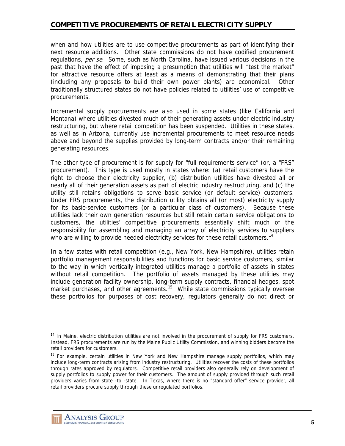### **COMPETITIVE PROCUREMENTS OF RETAIL ELECTRICITY SUPPLY**

when and how utilities are to use competitive procurements as part of identifying their next resource additions. Other state commissions do not have codified procurement regulations, per se. Some, such as North Carolina, have issued various decisions in the past that have the effect of imposing a presumption that utilities will "test the market" for attractive resource offers at least as a means of demonstrating that their plans (including any proposals to build their own power plants) are economical. Other traditionally structured states do not have policies related to utilities' use of competitive procurements.

Incremental supply procurements are also used in some states (like California and Montana) where utilities divested much of their generating assets under electric industry restructuring, but where retail competition has been suspended. Utilities in these states, as well as in Arizona, currently use incremental procurements to meet resource needs above and beyond the supplies provided by long-term contracts and/or their remaining generating resources.

The other type of procurement is for supply for "full requirements service" (or, a "FRS" procurement). This type is used mostly in states where: (a) retail customers have the right to choose their electricity supplier, (b) distribution utilities have divested all or nearly all of their generation assets as part of electric industry restructuring, and (c) the utility still retains obligations to serve basic service (or default service) customers. Under FRS procurements, the distribution utility obtains all (or most) electricity supply for its basic-service customers (or a particular class of customers). Because these utilities lack their own generation resources but still retain certain service obligations to customers, the utilities' competitive procurements essentially shift much of the responsibility for assembling and managing an array of electricity services to suppliers who are willing to provide needed electricity services for these retail customers.<sup>[14](#page-15-0)</sup>

In a few states with retail competition (e.g., New York, New Hampshire), utilities retain portfolio management responsibilities and functions for basic service customers, similar to the way in which vertically integrated utilities manage a portfolio of assets in states without retail competition. The portfolio of assets managed by these utilities may include generation facility ownership, long-term supply contracts, financial hedges, spot market purchases, and other agreements.<sup>[15](#page-15-1)</sup> While state commissions typically oversee these portfolios for purposes of cost recovery, regulators generally do not direct or

![](_page_15_Picture_8.jpeg)

<span id="page-15-0"></span> $14$  In Maine, electric distribution utilities are not involved in the procurement of supply for FRS customers. Instead, FRS procurements are run by the Maine Public Utility Commission, and winning bidders become the retail providers for customers.

<span id="page-15-1"></span><sup>&</sup>lt;sup>15</sup> For example, certain utilities in New York and New Hampshire manage supply portfolios, which may include long-term contracts arising from industry restructuring. Utilities recover the costs of these portfolios through rates approved by regulators. Competitive retail providers also generally rely on development of supply portfolios to supply power for their customers. The amount of supply provided through such retail providers varies from state -to -state. In Texas, where there is no "standard offer" service provider, all retail providers procure supply through these unregulated portfolios.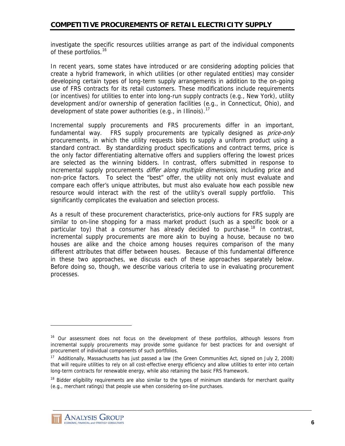investigate the specific resources utilities arrange as part of the individual components of these portfolios.<sup>[16](#page-16-0)</sup>

In recent years, some states have introduced or are considering adopting policies that create a hybrid framework, in which utilities (or other regulated entities) may consider developing certain types of long-term supply arrangements in addition to the on-going use of FRS contracts for its retail customers. These modifications include requirements (or incentives) for utilities to enter into long-run supply contracts (e.g., New York), utility development and/or ownership of generation facilities (e.g., in Connecticut, Ohio), and development of state power authorities (e.g., in Illinois).<sup>[17](#page-16-1)</sup>

Incremental supply procurements and FRS procurements differ in an important, fundamental way. FRS supply procurements are typically designed as *price-only* procurements, in which the utility requests bids to supply a uniform product using a standard contract. By standardizing product specifications and contract terms, price is the only factor differentiating alternative offers and suppliers offering the lowest prices are selected as the winning bidders. In contrast, offers submitted in response to incremental supply procurements *differ along multiple dimensions*, including price and non-price factors. To select the "best" offer, the utility not only must evaluate and compare each offer's unique attributes, but must also evaluate how each possible new resource would interact with the rest of the utility's overall supply portfolio. This significantly complicates the evaluation and selection process.

As a result of these procurement characteristics, price-only auctions for FRS supply are similar to on-line shopping for a mass market product (such as a specific book or a particular toy) that a consumer has already decided to purchase.<sup>[18](#page-16-2)</sup> In contrast, incremental supply procurements are more akin to buying a house, because no two houses are alike and the choice among houses requires comparison of the many different attributes that differ between houses. Because of this fundamental difference in these two approaches, we discuss each of these approaches separately below. Before doing so, though, we describe various criteria to use in evaluating procurement processes.

<span id="page-16-0"></span><sup>&</sup>lt;sup>16</sup> Our assessment does not focus on the development of these portfolios, although lessons from incremental supply procurements may provide some guidance for best practices for and oversight of procurement of individual components of such portfolios.

<span id="page-16-1"></span><sup>&</sup>lt;sup>17</sup> Additionally, Massachusetts has just passed a law (the Green Communities Act, signed on July 2, 2008) that will require utilities to rely on all cost-effective energy efficiency and allow utilities to enter into certain long-term contracts for renewable energy, while also retaining the basic FRS framework.

<span id="page-16-2"></span><sup>&</sup>lt;sup>18</sup> Bidder eligibility requirements are also similar to the types of minimum standards for merchant quality (e.g., merchant ratings) that people use when considering on-line purchases.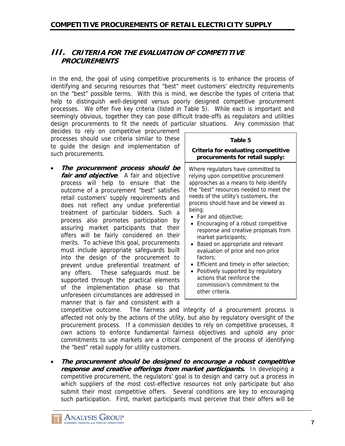#### <span id="page-17-0"></span>**III. CRITERIA FOR THE EVALUATION OF COMPETITIVE PROCUREMENTS**

In the end, the goal of using competitive procurements is to enhance the process of identifying and securing resources that "best" meet customers' electricity requirements on the "best" possible terms. With this is mind, we describe the types of criteria that help to distinguish well-designed versus poorly designed competitive procurement processes. We offer five key criteria (listed in Table 5). While each is important and seemingly obvious, together they can pose difficult trade-offs as regulators and utilities design procurements to fit the needs of particular situations. Any commission that

decides to rely on competitive procurement processes should use criteria similar to these to guide the design and implementation of such procurements.

• **The procurement process should be fair and objective**. A fair and objective process will help to ensure that the outcome of a procurement "best" satisfies retail customers' supply requirements and does not reflect any undue preferential treatment of particular bidders. Such a process also promotes participation by assuring market participants that their offers will be fairly considered on their merits. To achieve this goal, procurements must include appropriate safeguards built into the design of the procurement to prevent undue preferential treatment of any offers. These safeguards must be supported through the practical elements of the implementation phase so that unforeseen circumstances are addressed in manner that is fair and consistent with a

#### **Table 5**

#### **Criteria for evaluating competitive procurements for retail supply:**

Where regulators have committed to relying upon competitive procurement approaches as a means to help identify the "best" resources needed to meet the needs of the utility's customers, the process should have and be viewed as being:

- Fair and objective;
- Encouraging of a robust competitive response and creative proposals from market participants;
- Based on appropriate and relevant evaluation of price and non-price factors;
- Efficient and timely in offer selection;
- Positively supported by regulatory actions that reinforce the commission's commitment to the other criteria.

competitive outcome. The fairness and integrity of a procurement process is affected not only by the actions of the utility, but also by regulatory oversight of the procurement process. If a commission decides to rely on competitive processes, it own actions to enforce fundamental fairness objectives and uphold any prior commitments to use markets are a critical component of the process of identifying the "best" retail supply for utility customers.

• **The procurement should be designed to encourage a robust competitive response and creative offerings from market participants.** In developing a competitive procurement, the regulators' goal is to design and carry out a process in which suppliers of the most cost-effective resources not only participate but also submit their most competitive offers. Several conditions are key to encouraging such participation. First, market participants must perceive that their offers will be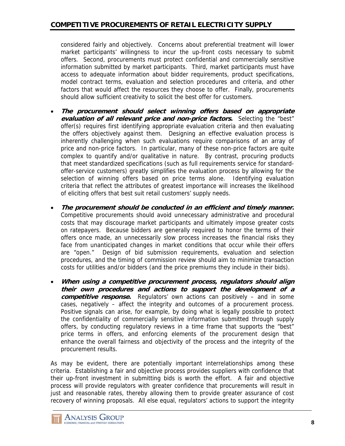considered fairly and objectively. Concerns about preferential treatment will lower market participants' willingness to incur the up-front costs necessary to submit offers. Second, procurements must protect confidential and commercially sensitive information submitted by market participants. Third, market participants must have access to adequate information about bidder requirements, product specifications, model contract terms, evaluation and selection procedures and criteria, and other factors that would affect the resources they choose to offer. Finally, procurements should allow sufficient creativity to solicit the best offer for customers.

- **The procurement should select winning offers based on appropriate evaluation of all relevant price and non-price factors.** Selecting the "best" offer(s) requires first identifying appropriate evaluation criteria and then evaluating the offers objectively against them. Designing an effective evaluation process is inherently challenging when such evaluations require comparisons of an array of price and non-price factors. In particular, many of these non-price factors are quite complex to quantify and/or qualitative in nature. By contrast, procuring products that meet standardized specifications (such as full requirements service for standardoffer-service customers) greatly simplifies the evaluation process by allowing for the selection of winning offers based on price terms alone. Identifying evaluation criteria that reflect the attributes of greatest importance will increases the likelihood of eliciting offers that best suit retail customers' supply needs.
- **The procurement should be conducted in an efficient and timely manner.** Competitive procurements should avoid unnecessary administrative and procedural costs that may discourage market participants and ultimately impose greater costs on ratepayers. Because bidders are generally required to honor the terms of their offers once made, an unnecessarily slow process increases the financial risks they face from unanticipated changes in market conditions that occur while their offers are "open." Design of bid submission requirements, evaluation and selection procedures, and the timing of commission review should aim to minimize transaction costs for utilities and/or bidders (and the price premiums they include in their bids).
- **When using a competitive procurement process, regulators should align their own procedures and actions to support the development of a competitive response.** Regulators' own actions can positively – and in some cases, negatively – affect the integrity and outcomes of a procurement process. Positive signals can arise, for example, by doing what is legally possible to protect the confidentiality of commercially sensitive information submitted through supply offers, by conducting regulatory reviews in a time frame that supports the "best" price terms in offers, and enforcing elements of the procurement design that enhance the overall fairness and objectivity of the process and the integrity of the procurement results.

As may be evident, there are potentially important interrelationships among these criteria. Establishing a fair and objective process provides suppliers with confidence that their up-front investment in submitting bids is worth the effort. A fair and objective process will provide regulators with greater confidence that procurements will result in just and reasonable rates, thereby allowing them to provide greater assurance of cost recovery of winning proposals. All else equal, regulators' actions to support the integrity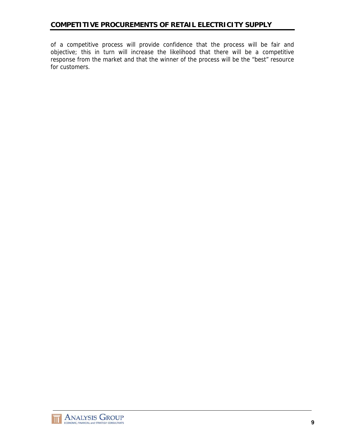#### **COMPETITIVE PROCUREMENTS OF RETAIL ELECTRICITY SUPPLY**

of a competitive process will provide confidence that the process will be fair and objective; this in turn will increase the likelihood that there will be a competitive response from the market and that the winner of the process will be the "best" resource for customers.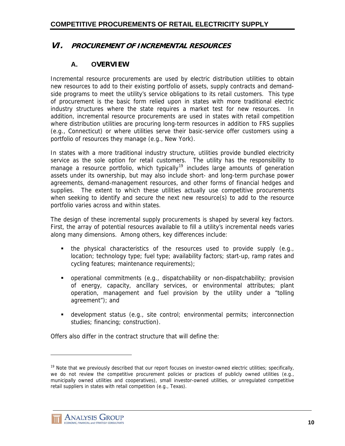### <span id="page-20-0"></span>**VI. PROCUREMENT OF INCREMENTAL RESOURCES**

### **A. OVERVIEW**

Incremental resource procurements are used by electric distribution utilities to obtain new resources to add to their existing portfolio of assets, supply contracts and demandside programs to meet the utility's service obligations to its retail customers. This type of procurement is the basic form relied upon in states with more traditional electric industry structures where the state requires a market test for new resources. In addition, incremental resource procurements are used in states with retail competition where distribution utilities are procuring long-term resources in addition to FRS supplies (e.g., Connecticut) or where utilities serve their basic-service offer customers using a portfolio of resources they manage (e.g., New York).

In states with a more traditional industry structure, utilities provide bundled electricity service as the sole option for retail customers. The utility has the responsibility to manage a resource portfolio, which typically<sup>[19](#page-20-1)</sup> includes large amounts of generation assets under its ownership, but may also include short- and long-term purchase power agreements, demand-management resources, and other forms of financial hedges and supplies. The extent to which these utilities actually use competitive procurements when seeking to identify and secure the next new resource(s) to add to the resource portfolio varies across and within states.

The design of these incremental supply procurements is shaped by several key factors. First, the array of potential resources available to fill a utility's incremental needs varies along many dimensions. Among others, key differences include:

- $\blacksquare$  the physical characteristics of the resources used to provide supply (e.g., location; technology type; fuel type; availability factors; start-up, ramp rates and cycling features; maintenance requirements);
- operational commitments (e.g., dispatchability or non-dispatchability; provision of energy, capacity, ancillary services, or environmental attributes; plant operation, management and fuel provision by the utility under a "tolling agreement"); and
- development status (e.g., site control; environmental permits; interconnection studies; financing; construction).

Offers also differ in the contract structure that will define the:

<span id="page-20-1"></span><sup>&</sup>lt;sup>19</sup> Note that we previously described that our report focuses on investor-owned electric utilities; specifically, we do not review the competitive procurement policies or practices of publicly owned utilities (e.g., municipally owned utilities and cooperatives), small investor-owned utilities, or unregulated competitive retail suppliers in states with retail competition (e.g., Texas).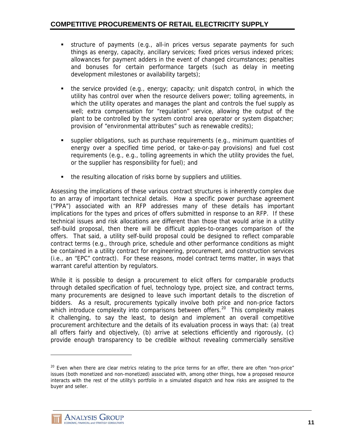- structure of payments (e.g., all-in prices versus separate payments for such things as energy, capacity, ancillary services; fixed prices versus indexed prices; allowances for payment adders in the event of changed circumstances; penalties and bonuses for certain performance targets (such as delay in meeting development milestones or availability targets);
- the service provided (e.g., energy; capacity; unit dispatch control, in which the utility has control over when the resource delivers power; tolling agreements, in which the utility operates and manages the plant and controls the fuel supply as well; extra compensation for "regulation" service, allowing the output of the plant to be controlled by the system control area operator or system dispatcher; provision of "environmental attributes" such as renewable credits);
- supplier obligations, such as purchase requirements (e.g., minimum quantities of energy over a specified time period, or take-or-pay provisions) and fuel cost requirements (e.g., e.g., tolling agreements in which the utility provides the fuel, or the supplier has responsibility for fuel); and
- the resulting allocation of risks borne by suppliers and utilities.

Assessing the implications of these various contract structures is inherently complex due to an array of important technical details. How a specific power purchase agreement ("PPA") associated with an RFP addresses many of these details has important implications for the types and prices of offers submitted in response to an RFP. If these technical issues and risk allocations are different than those that would arise in a utility self-build proposal, then there will be difficult apples-to-oranges comparison of the offers. That said, a utility self-build proposal could be designed to reflect comparable contract terms (e.g., through price, schedule and other performance conditions as might be contained in a utility contract for engineering, procurement, and construction services (i.e., an "EPC" contract). For these reasons, model contract terms matter, in ways that warrant careful attention by regulators.

While it is possible to design a procurement to elicit offers for comparable products through detailed specification of fuel, technology type, project size, and contract terms, many procurements are designed to leave such important details to the discretion of bidders. As a result, procurements typically involve both price and non-price factors which introduce complexity into comparisons between offers.<sup>[20](#page-21-0)</sup> This complexity makes it challenging, to say the least, to design and implement an overall competitive procurement architecture and the details of its evaluation process in ways that: (a) treat all offers fairly and objectively, (b) arrive at selections efficiently and rigorously, (c) provide enough transparency to be credible without revealing commercially sensitive

<span id="page-21-0"></span><sup>&</sup>lt;sup>20</sup> Even when there are clear metrics relating to the price terms for an offer, there are often "non-price" issues (both monetized and non-monetized) associated with, among other things, how a proposed resource interacts with the rest of the utility's portfolio in a simulated dispatch and how risks are assigned to the buyer and seller.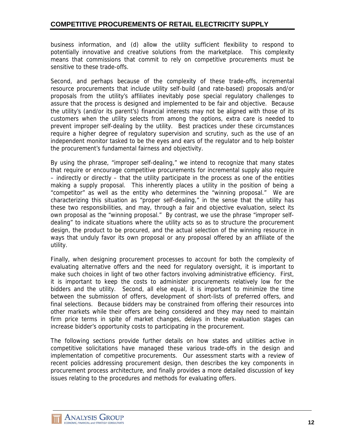business information, and (d) allow the utility sufficient flexibility to respond to potentially innovative and creative solutions from the marketplace. This complexity means that commissions that commit to rely on competitive procurements must be sensitive to these trade-offs.

Second, and perhaps because of the complexity of these trade-offs, incremental resource procurements that include utility self-build (and rate-based) proposals and/or proposals from the utility's affiliates inevitably pose special regulatory challenges to assure that the process is designed and implemented to be fair and objective. Because the utility's (and/or its parent's) financial interests may not be aligned with those of its customers when the utility selects from among the options, extra care is needed to prevent improper self-dealing by the utility. Best practices under these circumstances require a higher degree of regulatory supervision and scrutiny, such as the use of an independent monitor tasked to be the eyes and ears of the regulator and to help bolster the procurement's fundamental fairness and objectivity.

By using the phrase, "improper self-dealing," we intend to recognize that many states that require or encourage competitive procurements for incremental supply also require – indirectly or directly – that the utility participate in the process as one of the entities making a supply proposal. This inherently places a utility in the position of being a "competitor" as well as the entity who determines the "winning proposal." We are characterizing this situation as "proper self-dealing," in the sense that the utility has these two responsibilities, and may, through a fair and objective evaluation, select its own proposal as the "winning proposal." By contrast, we use the phrase "improper selfdealing" to indicate situations where the utility acts so as to structure the procurement design, the product to be procured, and the actual selection of the winning resource in ways that unduly favor its own proposal or any proposal offered by an affiliate of the utility.

Finally, when designing procurement processes to account for both the complexity of evaluating alternative offers and the need for regulatory oversight, it is important to make such choices in light of two other factors involving administrative efficiency. First, it is important to keep the costs to administer procurements relatively low for the bidders and the utility. Second, all else equal, it is important to minimize the time between the submission of offers, development of short-lists of preferred offers, and final selections. Because bidders may be constrained from offering their resources into other markets while their offers are being considered and they may need to maintain firm price terms in spite of market changes, delays in these evaluation stages can increase bidder's opportunity costs to participating in the procurement.

The following sections provide further details on how states and utilities active in competitive solicitations have managed these various trade-offs in the design and implementation of competitive procurements. Our assessment starts with a review of recent policies addressing procurement design, then describes the key components in procurement process architecture, and finally provides a more detailed discussion of key issues relating to the procedures and methods for evaluating offers.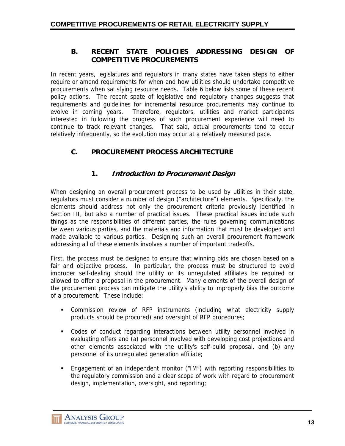#### <span id="page-23-0"></span>**B. RECENT STATE POLICIES ADDRESSING DESIGN OF COMPETITIVE PROCUREMENTS**

In recent years, legislatures and regulators in many states have taken steps to either require or amend requirements for when and how utilities should undertake competitive procurements when satisfying resource needs. Table 6 below lists some of these recent policy actions. The recent spate of legislative and regulatory changes suggests that requirements and guidelines for incremental resource procurements may continue to evolve in coming years. Therefore, regulators, utilities and market participants interested in following the progress of such procurement experience will need to continue to track relevant changes. That said, actual procurements tend to occur relatively infrequently, so the evolution may occur at a relatively measured pace.

### **C. PROCUREMENT PROCESS ARCHITECTURE**

### **1. Introduction to Procurement Design**

When designing an overall procurement process to be used by utilities in their state, regulators must consider a number of design ("architecture") elements. Specifically, the elements should address not only the procurement criteria previously identified in Section III, but also a number of practical issues. These practical issues include such things as the responsibilities of different parties, the rules governing communications between various parties, and the materials and information that must be developed and made available to various parties. Designing such an overall procurement framework addressing all of these elements involves a number of important tradeoffs.

First, the process must be designed to ensure that winning bids are chosen based on a fair and objective process. In particular, the process must be structured to avoid improper self-dealing should the utility or its unregulated affiliates be required or allowed to offer a proposal in the procurement. Many elements of the overall design of the procurement process can mitigate the utility's ability to improperly bias the outcome of a procurement. These include:

- Commission review of RFP instruments (including what electricity supply products should be procured) and oversight of RFP procedures;
- Codes of conduct regarding interactions between utility personnel involved in evaluating offers and (a) personnel involved with developing cost projections and other elements associated with the utility's self-build proposal, and (b) any personnel of its unregulated generation affiliate;
- Engagement of an independent monitor ("IM") with reporting responsibilities to the regulatory commission and a clear scope of work with regard to procurement design, implementation, oversight, and reporting;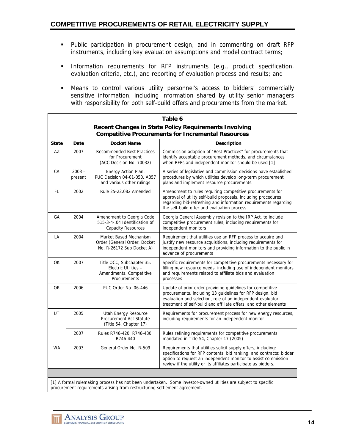- Public participation in procurement design, and in commenting on draft RFP instruments, including key evaluation assumptions and model contract terms;
- **Information requirements for RFP instruments (e.g., product specification,** evaluation criteria, etc.), and reporting of evaluation process and results; and
- Means to control various utility personnel's access to bidders' commercially sensitive information, including information shared by utility senior managers with responsibility for both self-build offers and procurements from the market.

| Table 6                                                                                                                   |                     |                                                                                              |                                                                                                                                                                                                                                                                          |  |
|---------------------------------------------------------------------------------------------------------------------------|---------------------|----------------------------------------------------------------------------------------------|--------------------------------------------------------------------------------------------------------------------------------------------------------------------------------------------------------------------------------------------------------------------------|--|
| <b>Recent Changes in State Policy Requirements Involving</b><br><b>Competitive Procurements for Incremental Resources</b> |                     |                                                                                              |                                                                                                                                                                                                                                                                          |  |
| <b>State</b>                                                                                                              | Date                | <b>Docket Name</b>                                                                           | <b>Description</b>                                                                                                                                                                                                                                                       |  |
| AZ                                                                                                                        | 2007                | <b>Recommended Best Practices</b><br>for Procurement<br>(ACC Decision No. 70032)             | Commission adoption of "Best Practices" for procurements that<br>identify acceptable procurement methods, and circumstances<br>when RFPs and independent monitor should be used [1]                                                                                      |  |
| CA                                                                                                                        | $2003 -$<br>present | Energy Action Plan,<br>PUC Decision 04-01-050, AB57<br>and various other rulings             | A series of legislative and commission decisions have established<br>procedures by which utilities develop long-term procurement<br>plans and implement resource procurements.                                                                                           |  |
| FL.                                                                                                                       | 2002                | Rule 25-22.082 Amended                                                                       | Amendment to rules requiring competitive procurements for<br>approval of utility self-build proposals, including procedures<br>regarding bid-refreshing and information requirements regarding<br>the self-build offer and evaluation process.                           |  |
| GA                                                                                                                        | 2004                | Amendment to Georgia Code<br>515-3-4-.04 Identification of<br><b>Capacity Resources</b>      | Georgia General Assembly revision to the IRP Act, to include<br>competitive procurement rules, including requirements for<br>independent monitors                                                                                                                        |  |
| LA                                                                                                                        | 2004                | Market Based Mechanism<br>Order (General Order, Docket<br>No. R-26172 Sub Docket A)          | Requirement that utilities use an RFP process to acquire and<br>justify new resource acquisitions, including requirements for<br>independent monitors and providing information to the public in<br>advance of procurements                                              |  |
| OK                                                                                                                        | 2007                | Title OCC, Subchapter 35:<br>Electric Utilities -<br>Amendments, Competitive<br>Procurements | Specific requirements for competitive procurements necessary for<br>filling new resource needs, including use of independent monitors<br>and requirements related to affiliate bids and evaluation<br>processes                                                          |  |
| <b>OR</b>                                                                                                                 | 2006                | PUC Order No. 06-446                                                                         | Update of prior order providing guidelines for competitive<br>procurements, including 13 guidelines for RFP design, bid<br>evaluation and selection, role of an independent evaluator,<br>treatment of self-build and affiliate offers, and other elements               |  |
| UT                                                                                                                        | 2005                | Utah Energy Resource<br>Procurement Act Statute<br>(Title 54, Chapter 17)                    | Requirements for procurement process for new energy resources,<br>including requirements for an independent monitor                                                                                                                                                      |  |
|                                                                                                                           | 2007                | Rules R746-420, R746-430,<br>R746-440                                                        | Rules refining requirements for competitive procurements<br>mandated in Title 54, Chapter 17 (2005)                                                                                                                                                                      |  |
| <b>WA</b>                                                                                                                 | 2003                | General Order No. R-509                                                                      | Requirements that utilities solicit supply offers, including:<br>specifications for RFP contents, bid ranking, and contracts; bidder<br>option to request an independent monitor to assist commission<br>review if the utility or its affiliates participate as bidders. |  |
|                                                                                                                           |                     |                                                                                              |                                                                                                                                                                                                                                                                          |  |
| [1] A formal rulemaking process has not been undertaken. Some investor-owned utilities are subject to specific            |                     |                                                                                              |                                                                                                                                                                                                                                                                          |  |

procurement requirements arising from restructuring settlement agreement.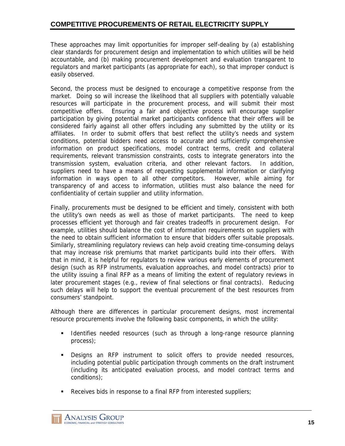These approaches may limit opportunities for improper self-dealing by (a) establishing clear standards for procurement design and implementation to which utilities will be held accountable, and (b) making procurement development and evaluation transparent to regulators and market participants (as appropriate for each), so that improper conduct is easily observed.

Second, the process must be designed to encourage a competitive response from the market. Doing so will increase the likelihood that all suppliers with potentially valuable resources will participate in the procurement process, and will submit their most competitive offers. Ensuring a fair and objective process will encourage supplier participation by giving potential market participants confidence that their offers will be considered fairly against all other offers including any submitted by the utility or its affiliates. In order to submit offers that best reflect the utility's needs and system conditions, potential bidders need access to accurate and sufficiently comprehensive information on product specifications, model contract terms, credit and collateral requirements, relevant transmission constraints, costs to integrate generators into the transmission system, evaluation criteria, and other relevant factors. In addition, suppliers need to have a means of requesting supplemental information or clarifying information in ways open to all other competitors. However, while aiming for transparency of and access to information, utilities must also balance the need for confidentiality of certain supplier and utility information.

Finally, procurements must be designed to be efficient and timely, consistent with both the utility's own needs as well as those of market participants. The need to keep processes efficient yet thorough and fair creates tradeoffs in procurement design. For example, utilities should balance the cost of information requirements on suppliers with the need to obtain sufficient information to ensure that bidders offer suitable proposals. Similarly, streamlining regulatory reviews can help avoid creating time-consuming delays that may increase risk premiums that market participants build into their offers. With that in mind, it is helpful for regulators to review various early elements of procurement design (such as RFP instruments, evaluation approaches, and model contracts) prior to the utility issuing a final RFP as a means of limiting the extent of regulatory reviews in later procurement stages (e.g., review of final selections or final contracts). Reducing such delays will help to support the eventual procurement of the best resources from consumers' standpoint.

Although there are differences in particular procurement designs, most incremental resource procurements involve the following basic components, in which the utility:

- **IDENTIFIELD IDENTIFIELD IS CONTENT A STATE CONTENT I** denoting the Identifies needed resource planning process);
- Designs an RFP instrument to solicit offers to provide needed resources, including potential public participation through comments on the draft instrument (including its anticipated evaluation process, and model contract terms and conditions);
- Receives bids in response to a final RFP from interested suppliers;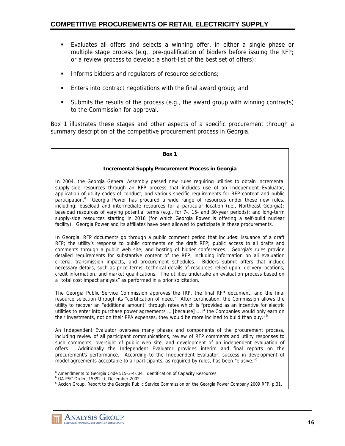- Evaluates all offers and selects a winning offer, in either a single phase or multiple stage process (e.g., pre-qualification of bidders before issuing the RFP; or a review process to develop a short-list of the best set of offers);
- **Informs bidders and regulators of resource selections;**
- Enters into contract negotiations with the final award group; and
- Submits the results of the process (e.g., the award group with winning contracts) to the Commission for approval.

Box 1 illustrates these stages and other aspects of a specific procurement through a summary description of the competitive procurement process in Georgia.

#### **Box 1**

#### **Incremental Supply Procurement Process in Georgia**

In 2004, the Georgia General Assembly passed new rules requiring utilities to obtain incremental supply-side resources through an RFP process that includes use of an Independent Evaluator, application of utility codes of conduct, and various specific requirements for RFP content and public participation.<sup>a</sup> Georgia Power has procured a wide range of resources under these new rules, including: baseload and intermediate resources for a particular location (i.e., Northeast Georgia); baseload resources of varying potential terms (e.g., for 7-, 15- and 30-year periods); and long-term supply-side resources starting in 2016 (for which Georgia Power is offering a self-build nuclear facility). Georgia Power and its affiliates have been allowed to participate in these procurements.

In Georgia, RFP documents go through a public comment period that includes: issuance of a draft RFP; the utility's response to public comments on the draft RFP; public access to all drafts and comments through a public web site; and hosting of bidder conferences. Georgia's rules provide detailed requirements for substantive content of the RFP, including information on all evaluation criteria, transmission impacts, and procurement schedules. Bidders submit offers that include necessary details, such as price terms, technical details of resources relied upon, delivery locations, credit information, and market qualifications. The utilities undertake an evaluation process based on a "total cost impact analysis" as performed in a prior solicitation.

The Georgia Public Service Commission approves the IRP, the final RFP document, and the final resource selection through its "certification of need." After certification, the Commission allows the utility to recover an "additional amount" through rates which is "provided as an incentive for electric utilities to enter into purchase power agreements … [because] … if the Companies would only earn on their investments, not on their PPA expenses, they would be more inclined to build than buy.<sup>"b</sup>

An Independent Evaluator oversees many phases and components of the procurement process, including review of all participant communications, review of RFP comments and utility responses to such comments, oversight of public web site, and development of an independent evaluation of offers. Additionally the Independent Evaluator provides interim and final reports on the procurement's performance. According to the Independent Evaluator, success in development of model agreements acceptable to all participants, as required by rules, has been "elusive."<sup>c</sup>

- <sup>a</sup> Amendments to Georgia Code 515-3-4-.04, Identification of Capacity Resources.<br>**b CA BSC Order 15292.U. Desember 2002**
- GA PSC Order, 15392-U, December 2002.

<sup>&</sup>lt;sup>c</sup> Accion Group, Report to the Georgia Public Service Commission on the Georgia Power Company 2009 RFP, p.31.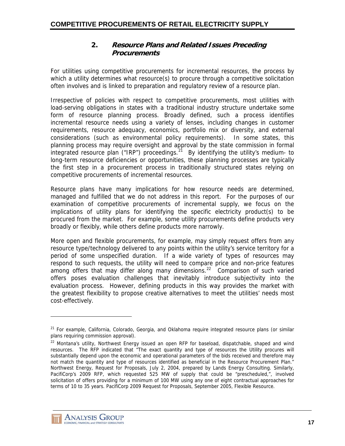#### **2. Resource Plans and Related Issues Preceding Procurements**

<span id="page-27-0"></span>For utilities using competitive procurements for incremental resources, the process by which a utility determines what resource(s) to procure through a competitive solicitation often involves and is linked to preparation and regulatory review of a resource plan.

Irrespective of policies with respect to competitive procurements, most utilities with load-serving obligations in states with a traditional industry structure undertake some form of resource planning process. Broadly defined, such a process identifies incremental resource needs using a variety of lenses, including changes in customer requirements, resource adequacy, economics, portfolio mix or diversity, and external considerations (such as environmental policy requirements). In some states, this planning process may require oversight and approval by the state commission in formal integrated resource plan ("IRP") proceedings.  $2^1$  By identifying the utility's medium- to long-term resource deficiencies or opportunities, these planning processes are typically the first step in a procurement process in traditionally structured states relying on competitive procurements of incremental resources.

Resource plans have many implications for how resource needs are determined, managed and fulfilled that we do not address in this report. For the purposes of our examination of competitive procurements of incremental supply, we focus on the implications of utility plans for identifying the specific electricity product(s) to be procured from the market. For example, some utility procurements define products very broadly or flexibly, while others define products more narrowly.

More open and flexible procurements, for example, may simply request offers from any resource type/technology delivered to any points within the utility's service territory for a period of some unspecified duration. If a wide variety of types of resources may respond to such requests, the utility will need to compare price and non-price features among offers that may differ along many dimensions.<sup>[22](#page-27-2)</sup> Comparison of such varied offers poses evaluation challenges that inevitably introduce subjectivity into the evaluation process. However, defining products in this way provides the market with the greatest flexibility to propose creative alternatives to meet the utilities' needs most cost-effectively.

<span id="page-27-1"></span><sup>&</sup>lt;sup>21</sup> For example, California, Colorado, Georgia, and Oklahoma require integrated resource plans (or similar plans requiring commission approval).

<span id="page-27-2"></span><sup>&</sup>lt;sup>22</sup> Montana's utility, Northwest Energy issued an open RFP for baseload, dispatchable, shaped and wind resources. The RFP indicated that "The exact quantity and type of resources the Utility procures will substantially depend upon the economic and operational parameters of the bids received and therefore may not match the quantity and type of resources identified as beneficial in the Resource Procurement Plan." Northwest Energy, Request for Proposals, July 2, 2004, prepared by Lands Energy Consulting. Similarly, PacifiCorp's 2009 RFP, which requested 525 MW of supply that could be "prescheduled,", involved solicitation of offers providing for a minimum of 100 MW using any one of eight contractual approaches for terms of 10 to 35 years. PacifiCorp 2009 Request for Proposals, September 2005, Flexible Resource.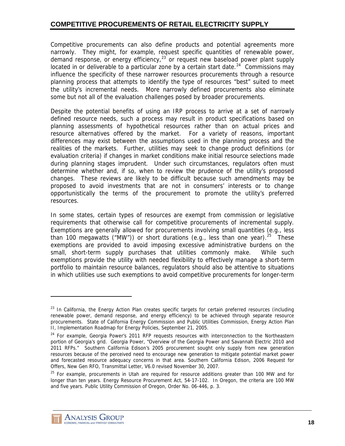Competitive procurements can also define products and potential agreements more narrowly. They might, for example, request specific quantities of renewable power, demand response, or energy efficiency,  $23$  or request new baseload power plant supply located in or deliverable to a particular zone by a certain start date.<sup>[24](#page-28-1)</sup> Commissions may influence the specificity of these narrower resources procurements through a resource planning process that attempts to identify the type of resources "best" suited to meet the utility's incremental needs. More narrowly defined procurements also eliminate some but not all of the evaluation challenges posed by broader procurements.

Despite the potential benefits of using an IRP process to arrive at a set of narrowly defined resource needs, such a process may result in product specifications based on planning assessments of hypothetical resources rather than on actual prices and resource alternatives offered by the market. For a variety of reasons, important differences may exist between the assumptions used in the planning process and the realities of the markets. Further, utilities may seek to change product definitions (or evaluation criteria) if changes in market conditions make initial resource selections made during planning stages imprudent. Under such circumstances, regulators often must determine whether and, if so, when to review the prudence of the utility's proposed changes. These reviews are likely to be difficult because such amendments may be proposed to avoid investments that are not in consumers' interests or to change opportunistically the terms of the procurement to promote the utility's preferred resources.

In some states, certain types of resources are exempt from commission or legislative requirements that otherwise call for competitive procurements of incremental supply. Exemptions are generally allowed for procurements involving small quantities (e.g., less than 100 megawatts ("MW")) or short durations (e.g., less than one year).<sup>[25](#page-28-2)</sup> These exemptions are provided to avoid imposing excessive administrative burdens on the small, short-term supply purchases that utilities commonly make. While such exemptions provide the utility with needed flexibility to effectively manage a short-term portfolio to maintain resource balances, regulators should also be attentive to situations in which utilities use such exemptions to avoid competitive procurements for longer-term

<span id="page-28-0"></span> $23$  In California, the Energy Action Plan creates specific targets for certain preferred resources (including renewable power, demand response, and energy efficiency) to be achieved through separate resource procurements. State of California Energy Commission and Public Utilities Commission, Energy Action Plan II, Implementation Roadmap for Energy Policies, September 21, 2005.

<span id="page-28-1"></span><sup>&</sup>lt;sup>24</sup> For example, Georgia Power's 2011 RFP requests resources with interconnection to the Northeastern portion of Georgia's grid. Georgia Power, "Overview of the Georgia Power and Savannah Electric 2010 and 2011 RFPs." Southern California Edison's 2005 procurement sought only supply from new generation resources because of the perceived need to encourage new generation to mitigate potential market power and forecasted resource adequacy concerns in that area. Southern California Edison, 2006 Request for Offers, New Gen RFO, Transmittal Letter, V6.0 revised November 30, 2007.

<span id="page-28-2"></span><sup>&</sup>lt;sup>25</sup> For example, procurements in Utah are required for resource additions greater than 100 MW and for longer than ten years. Energy Resource Procurement Act, 54-17-102. In Oregon, the criteria are 100 MW and five years. Public Utility Commission of Oregon, Order No. 06-446, p. 3.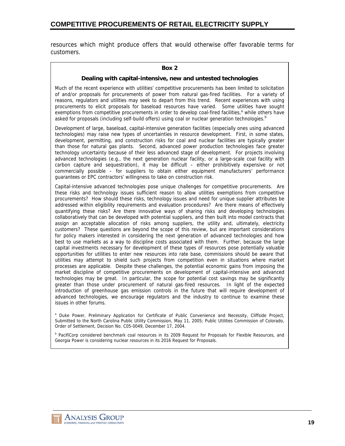resources which might produce offers that would otherwise offer favorable terms for customers.

#### **Box 2**

#### **Dealing with capital-intensive, new and untested technologies**

Much of the recent experience with utilities' competitive procurements has been limited to solicitation of and/or proposals for procurements of power from natural gas-fired facilities. For a variety of reasons, regulators and utilities may seek to depart from this trend. Recent experiences with using procurements to elicit proposals for baseload resources have varied. Some utilities have sought exemptions from competitive procurements in order to develop coal-fired facilities,<sup>a</sup> while others have asked for proposals (including self-build offers) using coal or nuclear generation technologies.<sup>b</sup>

Development of large, baseload, capital-intensive generation facilities (especially ones using advanced technologies) may raise new types of uncertainties in resource development. First, in some states, development, permitting, and construction risks for coal and nuclear facilities are typically greater than those for natural gas plants. Second, advanced power production technologies face greater technology uncertainty because of their less advanced stage of development. For projects involving advanced technologies (e.g., the next generation nuclear facility, or a large-scale coal facility with carbon capture and sequestration), it may be difficult – either prohibitively expensive or not commercially possible – for suppliers to obtain either equipment manufacturers' performance guarantees or EPC contractors' willingness to take on construction risk.

Capital-intensive advanced technologies pose unique challenges for competitive procurements. Are these risks and technology issues sufficient reason to allow utilities exemptions from competitive procurements? How should these risks, technology issues and need for unique supplier attributes be addressed within eligibility requirements and evaluation procedures? Are there means of effectively quantifying these risks? Are there innovative ways of sharing risks and developing technologies collaboratively that can be developed with potential suppliers, and then built into model contracts that assign an acceptable allocation of risks among suppliers, the utility and, ultimately, electricity customers? These questions are beyond the scope of this review, but are important considerations for policy makers interested in considering the next generation of advanced technologies and how best to use markets as a way to discipline costs associated with them. Further, because the large capital investments necessary for development of these types of resources pose potentially valuable opportunities for utilities to enter new resources into rate base, commissions should be aware that utilities may attempt to shield such projects from competition even in situations where market processes are applicable. Despite these challenges, the potential economic gains from imposing the market discipline of competitive procurements on development of capital-intensive and advanced technologies may be great. In particular, the scope for potential cost savings may be significantly greater than those under procurement of natural gas-fired resources. In light of the expected introduction of greenhouse gas emission controls in the future that will require development of advanced technologies, we encourage regulators and the industry to continue to examine these issues in other forums.

<sup>a</sup> Duke Power, Preliminary Application for Certificate of Public Convenience and Necessity, Cliffside Project, Submitted to the North Carolina Public Utility Commission, May 11, 2005; Public Utilities Commission of Colorado, Order of Settlement, Decision No. C05-0049, December 17, 2004.

**b** PacifiCorp considered benchmark coal resources in its 2009 Request for Proposals for Flexible Resources, and Georgia Power is considering nuclear resources in its 2016 Request for Proposals.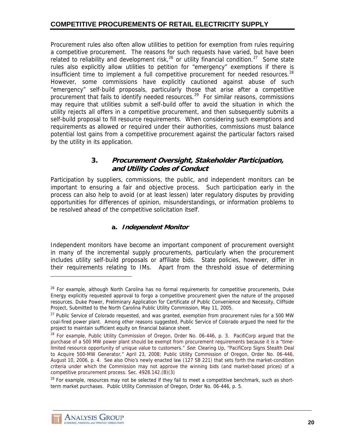<span id="page-30-0"></span>Procurement rules also often allow utilities to petition for exemption from rules requiring a competitive procurement. The reasons for such requests have varied, but have been related to reliability and development risk,  $^{26}$  $^{26}$  $^{26}$  or utility financial condition.<sup>[27](#page-30-2)</sup> Some state rules also explicitly allow utilities to petition for "emergency" exemptions if there is insufficient time to implement a full competitive procurement for needed resources. $^{28}$ However, some commissions have explicitly cautioned against abuse of such "emergency" self-build proposals, particularly those that arise after a competitive procurement that fails to identify needed resources.<sup>[29](#page-30-4)</sup> For similar reasons, commissions may require that utilities submit a self-build offer to avoid the situation in which the utility rejects all offers in a competitive procurement, and then subsequently submits a self-build proposal to fill resource requirements. When considering such exemptions and requirements as allowed or required under their authorities, commissions must balance potential lost gains from a competitive procurement against the particular factors raised by the utility in its application.

#### **3. Procurement Oversight, Stakeholder Participation, and Utility Codes of Conduct**

Participation by suppliers, commissions, the public, and independent monitors can be important to ensuring a fair and objective process. Such participation early in the process can also help to avoid (or at least lessen) later regulatory disputes by providing opportunities for differences of opinion, misunderstandings, or information problems to be resolved ahead of the competitive solicitation itself.

#### **a. Independent Monitor**

Independent monitors have become an important component of procurement oversight in many of the incremental supply procurements, particularly when the procurement includes utility self-build proposals or affiliate bids. State policies, however, differ in their requirements relating to IMs. Apart from the threshold issue of determining

<span id="page-30-1"></span><sup>&</sup>lt;sup>26</sup> For example, although North Carolina has no formal requirements for competitive procurements, Duke Energy explicitly requested approval to forgo a competitive procurement given the nature of the proposed resources. Duke Power, Preliminary Application for Certificate of Public Convenience and Necessity, Cliffside Project, Submitted to the North Carolina Public Utility Commission, May 11, 2005.

<span id="page-30-2"></span><sup>&</sup>lt;sup>27</sup> Public Service of Colorado requested, and was granted, exemption from procurement rules for a 500 MW coal-fired power plant. Among other reasons suggested, Public Service of Colorado argued the need for the project to maintain sufficient equity on financial balance sheet.

<span id="page-30-3"></span> $^{28}$  For example, Public Utility Commission of Oregon, Order No. 06-446, p. 3. PacifiCorp argued that the purchase of a 500 MW power plant should be exempt from procurement requirements because it is a "timelimited resource opportunity of unique value to customers." See: Clearing Up, "PacifiCorp Signs Stealth Deal to Acquire 500-MW Generator," April 23, 2008; Public Utility Commission of Oregon, Order No. 06-446, August 10, 2006, p. 4. See also Ohio's newly enacted law (127 SB 221) that sets forth the market-condition criteria under which the Commission may not approve the winning bids (and market-based prices) of a competitive procurement process. Sec. 4928.142.(B)(3)

<span id="page-30-4"></span> $29$  For example, resources may not be selected if they fail to meet a competitive benchmark, such as shortterm market purchases. Public Utility Commission of Oregon, Order No. 06-446, p. 5.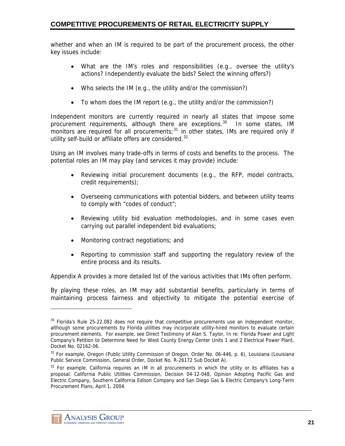whether and when an IM is required to be part of the procurement process, the other key issues include:

- What are the IM's roles and responsibilities (e.g., oversee the utility's actions? Independently evaluate the bids? Select the winning offers?)
- Who selects the IM (e.g., the utility and/or the commission?)
- To whom does the IM report (e.g., the utility and/or the commission?)

Independent monitors are currently required in nearly all states that impose some procurement requirements, although there are exceptions.<sup>[30](#page-31-0)</sup> In some states, IM monitors are required for all procurements;  $31$  in other states, IMs are required only if utility self-build or affiliate offers are considered. $32$ 

Using an IM involves many trade-offs in terms of costs and benefits to the process. The potential roles an IM may play (and services it may provide) include:

- Reviewing initial procurement documents (e.g., the RFP, model contracts, credit requirements);
- Overseeing communications with potential bidders, and between utility teams to comply with "codes of conduct";
- Reviewing utility bid evaluation methodologies, and in some cases even carrying out parallel independent bid evaluations;
- Monitoring contract negotiations; and
- Reporting to commission staff and supporting the regulatory review of the entire process and its results.

Appendix A provides a more detailed list of the various activities that IMs often perform.

By playing these roles, an IM may add substantial benefits, particularly in terms of maintaining process fairness and objectivity to mitigate the potential exercise of

<span id="page-31-0"></span> $30$  Florida's Rule 25-22.082 does not require that competitive procurements use an independent monitor, although some procurements by Florida utilities may incorporate utility-hired monitors to evaluate certain procurement elements. For example, see Direct Testimony of Alan S. Taylor, In re: Florida Power and Light Company's Petition to Determine Need for West County Energy Center Units 1 and 2 Electrical Power Plant, Docket No. 02162-06.

<span id="page-31-1"></span><sup>&</sup>lt;sup>31</sup> For example, Oregon (Public Utility Commission of Oregon, Order No. 06-446, p. 6), Louisiana (Louisiana Public Service Commission, General Order, Docket No. R-26172 Sub Docket A).

<span id="page-31-2"></span> $32$  For example, California requires an IM in all procurements in which the utility or its affiliates has a proposal. California Public Utilities Commission, Decision 04-12-048, Opinion Adopting Pacific Gas and Electric Company, Southern California Edison Company and San Diego Gas & Electric Company's Long-Term Procurement Plans, April 1, 2004.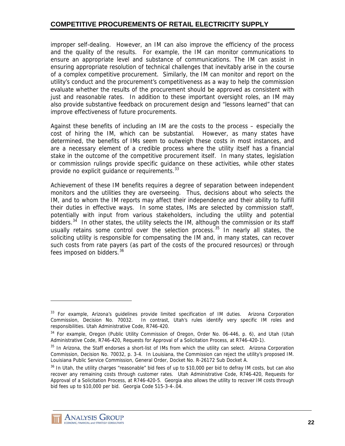improper self-dealing. However, an IM can also improve the efficiency of the process and the quality of the results. For example, the IM can monitor communications to ensure an appropriate level and substance of communications. The IM can assist in ensuring appropriate resolution of technical challenges that inevitably arise in the course of a complex competitive procurement. Similarly, the IM can monitor and report on the utility's conduct and the procurement's competitiveness as a way to help the commission evaluate whether the results of the procurement should be approved as consistent with just and reasonable rates. In addition to these important oversight roles, an IM may also provide substantive feedback on procurement design and "lessons learned" that can improve effectiveness of future procurements.

Against these benefits of including an IM are the costs to the process – especially the cost of hiring the IM, which can be substantial. However, as many states have determined, the benefits of IMs seem to outweigh these costs in most instances, and are a necessary element of a credible process where the utility itself has a financial stake in the outcome of the competitive procurement itself. In many states, legislation or commission rulings provide specific guidance on these activities, while other states provide no explicit quidance or requirements.<sup>[33](#page-32-0)</sup>

Achievement of these IM benefits requires a degree of separation between independent monitors and the utilities they are overseeing. Thus, decisions about who selects the IM, and to whom the IM reports may affect their independence and their ability to fulfill their duties in effective ways. In some states, IMs are selected by commission staff, potentially with input from various stakeholders, including the utility and potential bidders.<sup>[34](#page-32-1)</sup> In other states, the utility selects the IM, although the commission or its staff usually retains some control over the selection process.<sup>[35](#page-32-2)</sup> In nearly all states, the soliciting utility is responsible for compensating the IM and, in many states, can recover such costs from rate payers (as part of the costs of the procured resources) or through fees imposed on bidders.<sup>[36](#page-32-3)</sup>

<span id="page-32-0"></span><sup>&</sup>lt;sup>33</sup> For example, Arizona's guidelines provide limited specification of IM duties. Arizona Corporation Commission, Decision No. 70032. In contrast, Utah's rules identify very specific IM roles and responsibilities. Utah Administrative Code, R746-420.

<span id="page-32-1"></span><sup>&</sup>lt;sup>34</sup> For example, Oregon (Public Utility Commission of Oregon, Order No. 06-446, p. 6), and Utah (Utah Administrative Code, R746-420, Requests for Approval of a Solicitation Process, at R746-420-1).

<span id="page-32-2"></span><sup>&</sup>lt;sup>35</sup> In Arizona, the Staff endorses a short-list of IMs from which the utility can select. Arizona Corporation Commission, Decision No. 70032, p. 3-4. In Louisiana, the Commission can reject the utility's proposed IM. Louisiana Public Service Commission, General Order, Docket No. R-26172 Sub Docket A.

<span id="page-32-3"></span><sup>&</sup>lt;sup>36</sup> In Utah, the utility charges "reasonable" bid fees of up to \$10,000 per bid to defray IM costs, but can also recover any remaining costs through customer rates. Utah Administrative Code, R746-420, Requests for Approval of a Solicitation Process, at R746-420-5. Georgia also allows the utility to recover IM costs through bid fees up to \$10,000 per bid. Georgia Code 515-3-4-.04.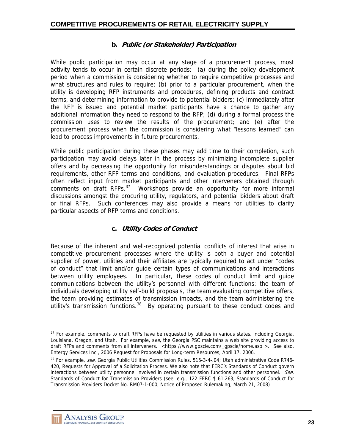#### **b. Public (or Stakeholder) Participation**

While public participation may occur at any stage of a procurement process, most activity tends to occur in certain discrete periods: (a) during the policy development period when a commission is considering whether to require competitive processes and what structures and rules to require; (b) prior to a particular procurement, when the utility is developing RFP instruments and procedures, defining products and contract terms, and determining information to provide to potential bidders; (c) immediately after the RFP is issued and potential market participants have a chance to gather any additional information they need to respond to the RFP; (d) during a formal process the commission uses to review the results of the procurement; and (e) after the procurement process when the commission is considering what "lessons learned" can lead to process improvements in future procurements.

While public participation during these phases may add time to their completion, such participation may avoid delays later in the process by minimizing incomplete supplier offers and by decreasing the opportunity for misunderstandings or disputes about bid requirements, other RFP terms and conditions, and evaluation procedures. Final RFPs often reflect input from market participants and other interveners obtained through comments on draft RFPs. $37$  Workshops provide an opportunity for more informal discussions amongst the procuring utility, regulators, and potential bidders about draft or final RFPs. Such conferences may also provide a means for utilities to clarify particular aspects of RFP terms and conditions.

#### **c. Utility Codes of Conduct**

Because of the inherent and well-recognized potential conflicts of interest that arise in competitive procurement processes where the utility is both a buyer and potential supplier of power, utilities and their affiliates are typically required to act under "codes of conduct" that limit and/or guide certain types of communications and interactions between utility employees. In particular, these codes of conduct limit and guide communications between the utility's personnel with different functions: the team of individuals developing utility self-build proposals, the team evaluating competitive offers, the team providing estimates of transmission impacts, and the team administering the utility's transmission functions.<sup>[38](#page-33-1)</sup> By operating pursuant to these conduct codes and

<span id="page-33-0"></span> $37$  For example, comments to draft RFPs have be requested by utilities in various states, including Georgia, Louisiana, Oregon, and Utah. For example, see, the Georgia PSC maintains a web site providing access to draft RFPs and comments from all interveners. <https://www.gpscie.com/\_gpscie/home.asp >. See also, Entergy Services Inc., 2006 Request for Proposals for Long-term Resources, April 17, 2006.

<span id="page-33-1"></span><sup>&</sup>lt;sup>38</sup> For example, see, Georgia Public Utilities Commission Rules, 515-3-4-.04; Utah administrative Code R746-420, Requests for Approval of a Solicitation Process. We also note that FERC's Standards of Conduct govern interactions between utility personnel involved in certain transmission functions and other personnel. See, Standards of Conduct for Transmission Providers (see, e.g., 122 FERC ¶ 61,263, Standards of Conduct for Transmission Providers Docket No. RM07-1-000, Notice of Proposed Rulemaking, March 21, 2008)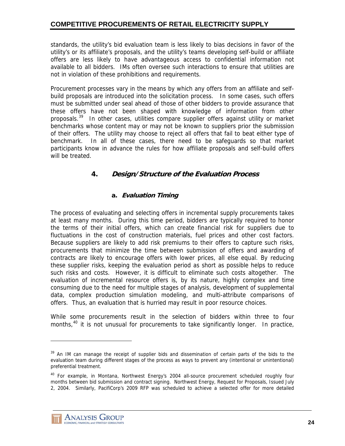### <span id="page-34-0"></span>**COMPETITIVE PROCUREMENTS OF RETAIL ELECTRICITY SUPPLY**

standards, the utility's bid evaluation team is less likely to bias decisions in favor of the utility's or its affiliate's proposals, and the utility's teams developing self-build or affiliate offers are less likely to have advantageous access to confidential information not available to all bidders. IMs often oversee such interactions to ensure that utilities are not in violation of these prohibitions and requirements.

Procurement processes vary in the means by which any offers from an affiliate and selfbuild proposals are introduced into the solicitation process. In some cases, such offers must be submitted under seal ahead of those of other bidders to provide assurance that these offers have not been shaped with knowledge of information from other proposals.<sup>[39](#page-34-1)</sup> In other cases, utilities compare supplier offers against utility or market benchmarks whose content may or may not be known to suppliers prior the submission of their offers. The utility may choose to reject all offers that fail to beat either type of benchmark. In all of these cases, there need to be safeguards so that market participants know in advance the rules for how affiliate proposals and self-build offers will be treated.

### **4. Design/Structure of the Evaluation Process**

#### **a. Evaluation Timing**

The process of evaluating and selecting offers in incremental supply procurements takes at least many months. During this time period, bidders are typically required to honor the terms of their initial offers, which can create financial risk for suppliers due to fluctuations in the cost of construction materials, fuel prices and other cost factors. Because suppliers are likely to add risk premiums to their offers to capture such risks, procurements that minimize the time between submission of offers and awarding of contracts are likely to encourage offers with lower prices, all else equal. By reducing these supplier risks, keeping the evaluation period as short as possible helps to reduce such risks and costs. However, it is difficult to eliminate such costs altogether. The evaluation of incremental resource offers is, by its nature, highly complex and time consuming due to the need for multiple stages of analysis, development of supplemental data, complex production simulation modeling, and multi-attribute comparisons of offers. Thus, an evaluation that is hurried may result in poor resource choices.

While some procurements result in the selection of bidders within three to four months,  $40$  it is not unusual for procurements to take significantly longer. In practice,

<span id="page-34-1"></span><sup>&</sup>lt;sup>39</sup> An IM can manage the receipt of supplier bids and dissemination of certain parts of the bids to the evaluation team during different stages of the process as ways to prevent any (intentional or unintentional) preferential treatment.

<span id="page-34-2"></span><sup>&</sup>lt;sup>40</sup> For example, in Montana, Northwest Energy's 2004 all-source procurement scheduled roughly four months between bid submission and contract signing. Northwest Energy, Request for Proposals, Issued July 2, 2004. Similarly, PacifiCorp's 2009 RFP was scheduled to achieve a selected offer for more detailed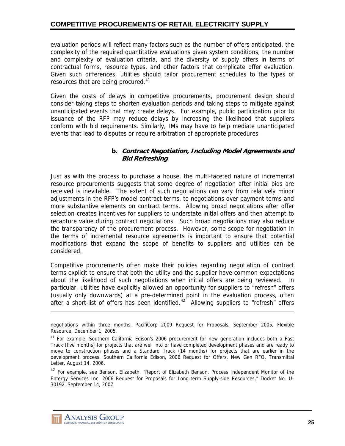evaluation periods will reflect many factors such as the number of offers anticipated, the complexity of the required quantitative evaluations given system conditions, the number and complexity of evaluation criteria, and the diversity of supply offers in terms of contractual forms, resource types, and other factors that complicate offer evaluation. Given such differences, utilities should tailor procurement schedules to the types of resources that are being procured.<sup>[41](#page-35-0)</sup>

Given the costs of delays in competitive procurements, procurement design should consider taking steps to shorten evaluation periods and taking steps to mitigate against unanticipated events that may create delays. For example, public participation prior to issuance of the RFP may reduce delays by increasing the likelihood that suppliers conform with bid requirements. Similarly, IMs may have to help mediate unanticipated events that lead to disputes or require arbitration of appropriate procedures.

#### **b. Contract Negotiation, Including Model Agreements and Bid Refreshing**

Just as with the process to purchase a house, the multi-faceted nature of incremental resource procurements suggests that some degree of negotiation after initial bids are received is inevitable. The extent of such negotiations can vary from relatively minor adjustments in the RFP's model contract terms, to negotiations over payment terms and more substantive elements on contract terms. Allowing broad negotiations after offer selection creates incentives for suppliers to understate initial offers and then attempt to recapture value during contract negotiations. Such broad negotiations may also reduce the transparency of the procurement process. However, some scope for negotiation in the terms of incremental resource agreements is important to ensure that potential modifications that expand the scope of benefits to suppliers and utilities can be considered.

Competitive procurements often make their policies regarding negotiation of contract terms explicit to ensure that both the utility and the supplier have common expectations about the likelihood of such negotiations when initial offers are being reviewed. In particular, utilities have explicitly allowed an opportunity for suppliers to "refresh" offers (usually only downwards) at a pre-determined point in the evaluation process, often after a short-list of offers has been identified.<sup>[42](#page-35-1)</sup> Allowing suppliers to "refresh" offers

negotiations within three months. PacifiCorp 2009 Request for Proposals, September 2005, Flexible Resource, December 1, 2005.

<span id="page-35-0"></span><sup>&</sup>lt;sup>41</sup> For example, Southern California Edison's 2006 procurement for new generation includes both a Fast Track (five months) for projects that are well into or have completed development phases and are ready to move to construction phases and a Standard Track (14 months) for projects that are earlier in the development process. Southern California Edison, 2006 Request for Offers, New Gen RFO, Transmittal Letter, August 14, 2006.

<span id="page-35-1"></span><sup>&</sup>lt;sup>42</sup> For example, see Benson, Elizabeth, "Report of Elizabeth Benson, Process Independent Monitor of the Entergy Services Inc. 2006 Request for Proposals for Long-term Supply-side Resources," Docket No. U-30192. September 14, 2007.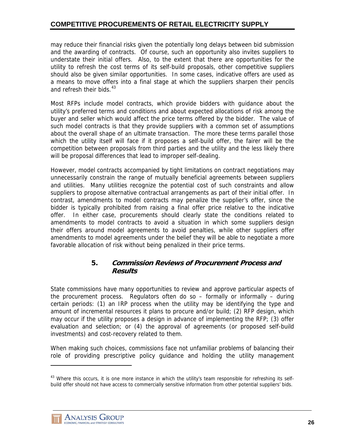may reduce their financial risks given the potentially long delays between bid submission and the awarding of contracts. Of course, such an opportunity also invites suppliers to understate their initial offers. Also, to the extent that there are opportunities for the utility to refresh the cost terms of its self-build proposals, other competitive suppliers should also be given similar opportunities. In some cases, indicative offers are used as a means to move offers into a final stage at which the suppliers sharpen their pencils and refresh their bids.  $43$ 

Most RFPs include model contracts, which provide bidders with guidance about the utility's preferred terms and conditions and about expected allocations of risk among the buyer and seller which would affect the price terms offered by the bidder. The value of such model contracts is that they provide suppliers with a common set of assumptions about the overall shape of an ultimate transaction. The more these terms parallel those which the utility itself will face if it proposes a self-build offer, the fairer will be the competition between proposals from third parties and the utility and the less likely there will be proposal differences that lead to improper self-dealing.

However, model contracts accompanied by tight limitations on contract negotiations may unnecessarily constrain the range of mutually beneficial agreements between suppliers and utilities. Many utilities recognize the potential cost of such constraints and allow suppliers to propose alternative contractual arrangements as part of their initial offer. In contrast, amendments to model contracts may penalize the supplier's offer, since the bidder is typically prohibited from raising a final offer price relative to the indicative offer. In either case, procurements should clearly state the conditions related to amendments to model contracts to avoid a situation in which some suppliers design their offers around model agreements to avoid penalties, while other suppliers offer amendments to model agreements under the belief they will be able to negotiate a more favorable allocation of risk without being penalized in their price terms.

# **5. Commission Reviews of Procurement Process and Results**

State commissions have many opportunities to review and approve particular aspects of the procurement process. Regulators often do so – formally or informally – during certain periods: (1) an IRP process when the utility may be identifying the type and amount of incremental resources it plans to procure and/or build; (2) RFP design, which may occur if the utility proposes a design in advance of implementing the RFP; (3) offer evaluation and selection; or (4) the approval of agreements (or proposed self-build investments) and cost-recovery related to them.

When making such choices, commissions face not unfamiliar problems of balancing their role of providing prescriptive policy guidance and holding the utility management

<span id="page-36-0"></span><sup>&</sup>lt;sup>43</sup> Where this occurs, it is one more instance in which the utility's team responsible for refreshing its selfbuild offer should not have access to commercially sensitive information from other potential suppliers' bids.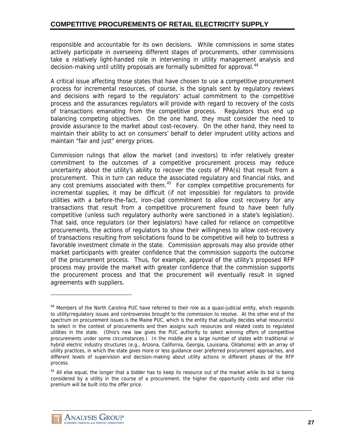responsible and accountable for its own decisions. While commissions in some states actively participate in overseeing different stages of procurements, other commissions take a relatively light-handed role in intervening in utility management analysis and decision-making until utility proposals are formally submitted for approval.<sup>[44](#page-37-0)</sup>

A critical issue affecting those states that have chosen to use a competitive procurement process for incremental resources, of course, is the signals sent by regulatory reviews and decisions with regard to the regulators' actual commitment to the competitive process and the assurances regulators will provide with regard to recovery of the costs of transactions emanating from the competitive process. Regulators thus end up balancing competing objectives. On the one hand, they must consider the need to provide assurance to the market about cost-recovery. On the other hand, they need to maintain their ability to act on consumers' behalf to deter imprudent utility actions and maintain "fair and just" energy prices.

Commission rulings that allow the market (and investors) to infer relatively greater commitment to the outcomes of a competitive procurement process may reduce uncertainty about the utility's ability to recover the costs of PPA(s) that result from a procurement. This in turn can reduce the associated regulatory and financial risks, and any cost premiums associated with them. $45$  For complex competitive procurements for incremental supplies, it may be difficult (if not impossible) for regulators to provide utilities with a before-the-fact, iron-clad commitment to allow cost recovery for any transactions that result from a competitive procurement found to have been fully competitive (unless such regulatory authority were sanctioned in a state's legislation). That said, once regulators (or their legislators) have called for reliance on competitive procurements, the actions of regulators to show their willingness to allow cost-recovery of transactions resulting from solicitations found to be competitive will help to buttress a favorable investment climate in the state. Commission approvals may also provide other market participants with greater confidence that the commission supports the outcome of the procurement process. Thus, for example, approval of the utility's proposed RFP process may provide the market with greater confidence that the commission supports the procurement process and that the procurement will eventually result in signed agreements with suppliers.

<span id="page-37-0"></span><sup>&</sup>lt;sup>44</sup> Members of the North Carolina PUC have referred to their role as a quasi-judicial entity, which responds to utility/regulatory issues and controversies brought to the commission to resolve. At the other end of the spectrum on procurement issues is the Maine PUC, which is the entity that actually decides what resource(s) to select in the context of procurements and then assigns such resources and related costs to regulated utilities in the state. (Ohio's new law gives the PUC authority to select winning offers of competitive procurements under some circumstances.) In the middle are a large number of states with traditional or hybrid electric industry structures (e.g., Arizona, California, Georgia, Louisiana, Oklahoma) with an array of utility practices, in which the state gives more or less guidance over preferred procurement approaches, and different levels of supervision and decision-making about utility actions in different phases of the RFP process.

<span id="page-37-1"></span><sup>&</sup>lt;sup>45</sup> All else equal, the longer that a bidder has to keep its resource out of the market while its bid is being considered by a utility in the course of a procurement, the higher the opportunity costs and other risk premium will be built into the offer price.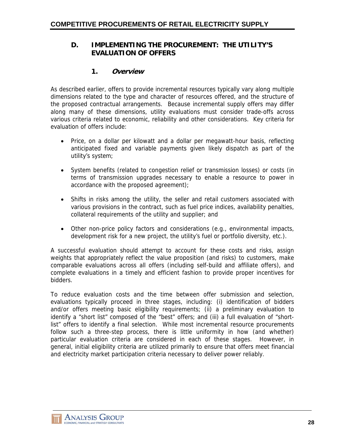#### **D. IMPLEMENTING THE PROCUREMENT: THE UTILITY'S EVALUATION OF OFFERS**

#### **1. Overview**

As described earlier, offers to provide incremental resources typically vary along multiple dimensions related to the type and character of resources offered, and the structure of the proposed contractual arrangements. Because incremental supply offers may differ along many of these dimensions, utility evaluations must consider trade-offs across various criteria related to economic, reliability and other considerations. Key criteria for evaluation of offers include:

- Price, on a dollar per kilowatt and a dollar per megawatt-hour basis, reflecting anticipated fixed and variable payments given likely dispatch as part of the utility's system;
- System benefits (related to congestion relief or transmission losses) or costs (in terms of transmission upgrades necessary to enable a resource to power in accordance with the proposed agreement);
- Shifts in risks among the utility, the seller and retail customers associated with various provisions in the contract, such as fuel price indices, availability penalties, collateral requirements of the utility and supplier; and
- Other non-price policy factors and considerations (e.g., environmental impacts, development risk for a new project, the utility's fuel or portfolio diversity, etc.).

A successful evaluation should attempt to account for these costs and risks, assign weights that appropriately reflect the value proposition (and risks) to customers, make comparable evaluations across all offers (including self-build and affiliate offers), and complete evaluations in a timely and efficient fashion to provide proper incentives for bidders.

To reduce evaluation costs and the time between offer submission and selection, evaluations typically proceed in three stages, including: (i) identification of bidders and/or offers meeting basic eligibility requirements; (ii) a preliminary evaluation to identify a "short list" composed of the "best" offers; and (iii) a full evaluation of "shortlist" offers to identify a final selection. While most incremental resource procurements follow such a three-step process, there is little uniformity in how (and whether) particular evaluation criteria are considered in each of these stages. However, in general, initial eligibility criteria are utilized primarily to ensure that offers meet financial and electricity market participation criteria necessary to deliver power reliably.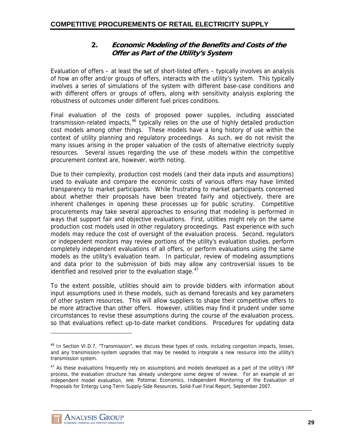#### **2. Economic Modeling of the Benefits and Costs of the Offer as Part of the Utility's System**

Evaluation of offers – at least the set of short-listed offers – typically involves an analysis of how an offer and/or groups of offers, interacts with the utility's system. This typically involves a series of simulations of the system with different base-case conditions and with different offers or groups of offers, along with sensitivity analysis exploring the robustness of outcomes under different fuel prices conditions.

Final evaluation of the costs of proposed power supplies, including associated transmission-related impacts,<sup>[46](#page-39-0)</sup> typically relies on the use of highly detailed production cost models among other things. These models have a long history of use within the context of utility planning and regulatory proceedings. As such, we do not revisit the many issues arising in the proper valuation of the costs of alternative electricity supply resources. Several issues regarding the use of these models within the competitive procurement context are, however, worth noting.

Due to their complexity, production cost models (and their data inputs and assumptions) used to evaluate and compare the economic costs of various offers may have limited transparency to market participants. While frustrating to market participants concerned about whether their proposals have been treated fairly and objectively, there are inherent challenges in opening these processes up for public scrutiny. Competitive procurements may take several approaches to ensuring that modeling is performed in ways that support fair and objective evaluations. First, utilities might rely on the same production cost models used in other regulatory proceedings. Past experience with such models may reduce the cost of oversight of the evaluation process. Second, regulators or independent monitors may review portions of the utility's evaluation studies, perform completely independent evaluations of all offers, or perform evaluations using the same models as the utility's evaluation team. In particular, review of modeling assumptions and data prior to the submission of bids may allow any controversial issues to be identified and resolved prior to the evaluation stage. $47$ 

To the extent possible, utilities should aim to provide bidders with information about input assumptions used in these models, such as demand forecasts and key parameters of other system resources. This will allow suppliers to shape their competitive offers to be more attractive than other offers. However, utilities may find it prudent under some circumstances to revise these assumptions during the course of the evaluation process, so that evaluations reflect up-to-date market conditions. Procedures for updating data

<span id="page-39-0"></span><sup>46</sup> In Section VI.D.7, "Transmission", we discuss these types of costs, including congestion impacts, losses, and any transmission-system upgrades that may be needed to integrate a new resource into the utility's transmission system.

<span id="page-39-1"></span><sup>&</sup>lt;sup>47</sup> As these evaluations frequently rely on assumptions and models developed as a part of the utility's IRP process, the evaluation structure has already undergone some degree of review. For an example of an independent model evaluation, see, Potomac Economics, Independent Monitoring of the Evaluation of Proposals for Entergy Long-Term Supply-Side Resources, Solid-Fuel Final Report, September 2007.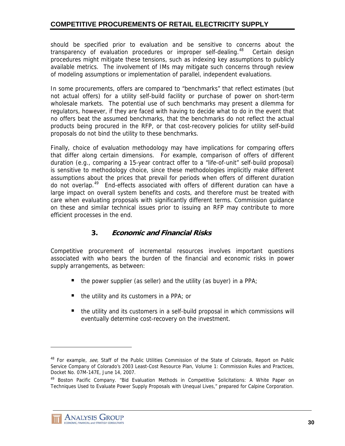should be specified prior to evaluation and be sensitive to concerns about the transparency of evaluation procedures or improper self-dealing.<sup>[48](#page-40-0)</sup> Certain design procedures might mitigate these tensions, such as indexing key assumptions to publicly available metrics. The involvement of IMs may mitigate such concerns through review of modeling assumptions or implementation of parallel, independent evaluations.

In some procurements, offers are compared to "benchmarks" that reflect estimates (but not actual offers) for a utility self-build facility or purchase of power on short-term wholesale markets. The potential use of such benchmarks may present a dilemma for regulators, however, if they are faced with having to decide what to do in the event that no offers beat the assumed benchmarks, that the benchmarks do not reflect the actual products being procured in the RFP, or that cost-recovery policies for utility self-build proposals do not bind the utility to these benchmarks.

Finally, choice of evaluation methodology may have implications for comparing offers that differ along certain dimensions. For example, comparison of offers of different duration (e.g., comparing a 15-year contract offer to a "life-of-unit" self-build proposal) is sensitive to methodology choice, since these methodologies implicitly make different assumptions about the prices that prevail for periods when offers of different duration do not overlap.[49](#page-40-1) End-effects associated with offers of different duration can have a large impact on overall system benefits and costs, and therefore must be treated with care when evaluating proposals with significantly different terms. Commission guidance on these and similar technical issues prior to issuing an RFP may contribute to more efficient processes in the end.

#### **3. Economic and Financial Risks**

Competitive procurement of incremental resources involves important questions associated with who bears the burden of the financial and economic risks in power supply arrangements, as between:

- $\blacksquare$  the power supplier (as seller) and the utility (as buyer) in a PPA;
- $\blacksquare$  the utility and its customers in a PPA; or
- the utility and its customers in a self-build proposal in which commissions will eventually determine cost-recovery on the investment.

<span id="page-40-0"></span><sup>&</sup>lt;sup>48</sup> For example, see, Staff of the Public Utilities Commission of the State of Colorado, Report on Public Service Company of Colorado's 2003 Least-Cost Resource Plan, Volume 1: Commission Rules and Practices, Docket No. 07M-147E, June 14, 2007.

<span id="page-40-1"></span><sup>&</sup>lt;sup>49</sup> Boston Pacific Company. "Bid Evaluation Methods in Competitive Solicitations: A White Paper on Techniques Used to Evaluate Power Supply Proposals with Unequal Lives," prepared for Calpine Corporation.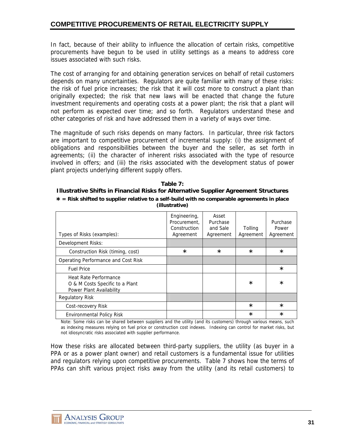In fact, because of their ability to influence the allocation of certain risks, competitive procurements have begun to be used in utility settings as a means to address core issues associated with such risks.

The cost of arranging for and obtaining generation services on behalf of retail customers depends on many uncertainties. Regulators are quite familiar with many of these risks: the risk of fuel price increases; the risk that it will cost more to construct a plant than originally expected; the risk that new laws will be enacted that change the future investment requirements and operating costs at a power plant; the risk that a plant will not perform as expected over time; and so forth. Regulators understand these and other categories of risk and have addressed them in a variety of ways over time.

The magnitude of such risks depends on many factors. In particular, three risk factors are important to competitive procurement of incremental supply: (i) the assignment of obligations and responsibilities between the buyer and the seller, as set forth in agreements; (ii) the character of inherent risks associated with the type of resource involved in offers; and (iii) the risks associated with the development status of power plant projects underlying different supply offers.

| Table $7:$                                                                                                       |
|------------------------------------------------------------------------------------------------------------------|
| Illustrative Shifts in Financial Risks for Alternative Supplier Agreement Structures                             |
| $*$ = Risk shifted to supplier relative to a self-build with no comparable agreements in place<br>(illustrative) |

| Types of Risks (examples):                                                           | Engineering,<br>Procurement.<br>Construction<br>Agreement | Asset<br>Purchase<br>and Sale<br>Agreement | Tolling<br>Agreement | Purchase<br>Power<br>Agreement |
|--------------------------------------------------------------------------------------|-----------------------------------------------------------|--------------------------------------------|----------------------|--------------------------------|
| Development Risks:                                                                   |                                                           |                                            |                      |                                |
| Construction Risk (timing, cost)                                                     | $\ast$                                                    | $\ast$                                     | $\ast$               | $\ast$                         |
| Operating Performance and Cost Risk                                                  |                                                           |                                            |                      |                                |
| <b>Fuel Price</b>                                                                    |                                                           |                                            |                      | $\ast$                         |
| Heat Rate Performance<br>O & M Costs Specific to a Plant<br>Power Plant Availability |                                                           |                                            | $\ast$               | $\ast$                         |
| <b>Regulatory Risk</b>                                                               |                                                           |                                            |                      |                                |
| Cost-recovery Risk                                                                   |                                                           |                                            | $\ast$               | $\ast$                         |
| <b>Environmental Policy Risk</b>                                                     |                                                           |                                            | $\ast$               | $\ast$                         |

Note: Some risks can be shared between suppliers and the utility (and its customers) through various means, such as indexing measures relying on fuel price or construction cost indexes. Indexing can control for market risks, but not idiosyncratic risks associated with supplier performance.

How these risks are allocated between third-party suppliers, the utility (as buyer in a PPA or as a power plant owner) and retail customers is a fundamental issue for utilities and regulators relying upon competitive procurements. Table 7 shows how the terms of PPAs can shift various project risks away from the utility (and its retail customers) to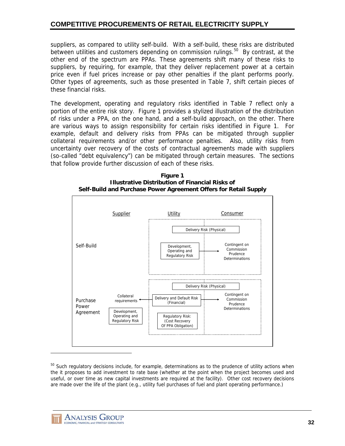suppliers, as compared to utility self-build. With a self-build, these risks are distributed between utilities and customers depending on commission rulings.<sup>[50](#page-42-0)</sup> By contrast, at the other end of the spectrum are PPAs. These agreements shift many of these risks to suppliers, by requiring, for example, that they deliver replacement power at a certain price even if fuel prices increase or pay other penalties if the plant performs poorly. Other types of agreements, such as those presented in Table 7, shift certain pieces of these financial risks.

The development, operating and regulatory risks identified in Table 7 reflect only a portion of the entire risk story. Figure 1 provides a stylized illustration of the distribution of risks under a PPA, on the one hand, and a self-build approach, on the other. There are various ways to assign responsibility for certain risks identified in Figure 1. For example, default and delivery risks from PPAs can be mitigated through supplier collateral requirements and/or other performance penalties. Also, utility risks from uncertainty over recovery of the costs of contractual agreements made with suppliers (so-called "debt equivalency") can be mitigated through certain measures. The sections that follow provide further discussion of each of these risks.





<span id="page-42-0"></span> $50$  Such regulatory decisions include, for example, determinations as to the prudence of utility actions when the it proposes to add investment to rate base (whether at the point when the project becomes used and useful, or over time as new capital investments are required at the facility). Other cost recovery decisions are made over the life of the plant (e.g., utility fuel purchases of fuel and plant operating performance.)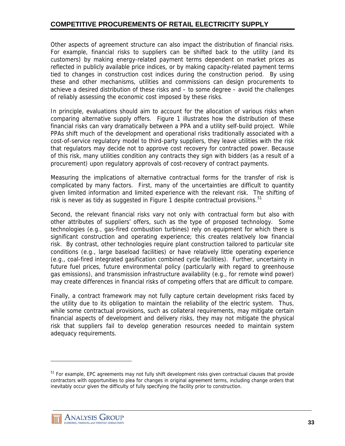Other aspects of agreement structure can also impact the distribution of financial risks. For example, financial risks to suppliers can be shifted back to the utility (and its customers) by making energy-related payment terms dependent on market prices as reflected in publicly available price indices, or by making capacity-related payment terms tied to changes in construction cost indices during the construction period. By using these and other mechanisms, utilities and commissions can design procurements to achieve a desired distribution of these risks and – to some degree – avoid the challenges of reliably assessing the economic cost imposed by these risks.

In principle, evaluations should aim to account for the allocation of various risks when comparing alternative supply offers. Figure 1 illustrates how the distribution of these financial risks can vary dramatically between a PPA and a utility self-build project. While PPAs shift much of the development and operational risks traditionally associated with a cost-of-service regulatory model to third-party suppliers, they leave utilities with the risk that regulators may decide not to approve cost recovery for contracted power. Because of this risk, many utilities condition any contracts they sign with bidders (as a result of a procurement) upon regulatory approvals of cost-recovery of contract payments.

Measuring the implications of alternative contractual forms for the transfer of risk is complicated by many factors. First, many of the uncertainties are difficult to quantity given limited information and limited experience with the relevant risk. The shifting of risk is never as tidy as suggested in Figure 1 despite contractual provisions.  $51$ 

Second, the relevant financial risks vary not only with contractual form but also with other attributes of suppliers' offers, such as the type of proposed technology. Some technologies (e.g., gas-fired combustion turbines) rely on equipment for which there is significant construction and operating experience; this creates relatively low financial risk. By contrast, other technologies require plant construction tailored to particular site conditions (e.g., large baseload facilities) or have relatively little operating experience (e.g., coal-fired integrated gasification combined cycle facilities). Further, uncertainty in future fuel prices, future environmental policy (particularly with regard to greenhouse gas emissions), and transmission infrastructure availability (e.g., for remote wind power) may create differences in financial risks of competing offers that are difficult to compare.

Finally, a contract framework may not fully capture certain development risks faced by the utility due to its obligation to maintain the reliability of the electric system. Thus, while some contractual provisions, such as collateral requirements, may mitigate certain financial aspects of development and delivery risks, they may not mitigate the physical risk that suppliers fail to develop generation resources needed to maintain system adequacy requirements.

<span id="page-43-0"></span><sup>&</sup>lt;sup>51</sup> For example, EPC agreements may not fully shift development risks given contractual clauses that provide contractors with opportunities to plea for changes in original agreement terms, including change orders that inevitably occur given the difficulty of fully specifying the facility prior to construction.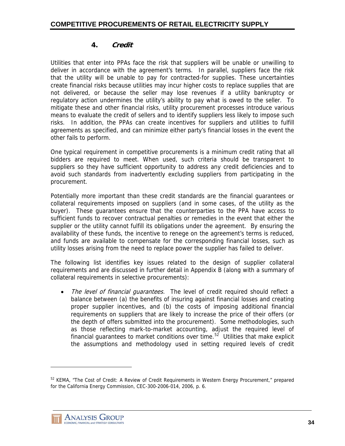#### **4. Credit**

Utilities that enter into PPAs face the risk that suppliers will be unable or unwilling to deliver in accordance with the agreement's terms. In parallel, suppliers face the risk that the utility will be unable to pay for contracted-for supplies. These uncertainties create financial risks because utilities may incur higher costs to replace supplies that are not delivered, or because the seller may lose revenues if a utility bankruptcy or regulatory action undermines the utility's ability to pay what is owed to the seller. To mitigate these and other financial risks, utility procurement processes introduce various means to evaluate the credit of sellers and to identify suppliers less likely to impose such risks. In addition, the PPAs can create incentives for suppliers and utilities to fulfill agreements as specified, and can minimize either party's financial losses in the event the other fails to perform.

One typical requirement in competitive procurements is a minimum credit rating that all bidders are required to meet. When used, such criteria should be transparent to suppliers so they have sufficient opportunity to address any credit deficiencies and to avoid such standards from inadvertently excluding suppliers from participating in the procurement.

Potentially more important than these credit standards are the financial guarantees or collateral requirements imposed on suppliers (and in some cases, of the utility as the buyer). These guarantees ensure that the counterparties to the PPA have access to sufficient funds to recover contractual penalties or remedies in the event that either the supplier or the utility cannot fulfill its obligations under the agreement. By ensuring the availability of these funds, the incentive to renege on the agreement's terms is reduced, and funds are available to compensate for the corresponding financial losses, such as utility losses arising from the need to replace power the supplier has failed to deliver.

The following list identifies key issues related to the design of supplier collateral requirements and are discussed in further detail in Appendix B (along with a summary of collateral requirements in selective procurements):

• The level of financial quarantees. The level of credit required should reflect a balance between (a) the benefits of insuring against financial losses and creating proper supplier incentives, and (b) the costs of imposing additional financial requirements on suppliers that are likely to increase the price of their offers (or the depth of offers submitted into the procurement). Some methodologies, such as those reflecting mark-to-market accounting, adjust the required level of financial guarantees to market conditions over time.<sup>[52](#page-44-0)</sup> Utilities that make explicit the assumptions and methodology used in setting required levels of credit

<span id="page-44-0"></span> $52$  KEMA, "The Cost of Credit: A Review of Credit Requirements in Western Energy Procurement," prepared for the California Energy Commission, CEC-300-2006-014, 2006, p. 6.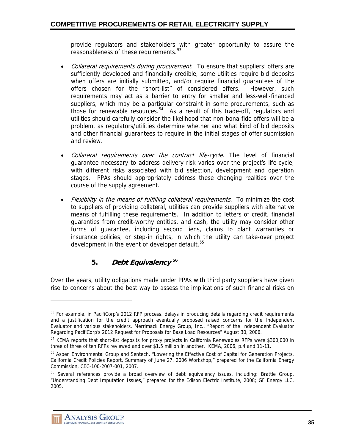provide regulators and stakeholders with greater opportunity to assure the reasonableness of these requirements.<sup>[53](#page-45-0)</sup>

- Collateral requirements during procurement. To ensure that suppliers' offers are sufficiently developed and financially credible, some utilities require bid deposits when offers are initially submitted, and/or require financial guarantees of the offers chosen for the "short-list" of considered offers. However, such requirements may act as a barrier to entry for smaller and less-well-financed suppliers, which may be a particular constraint in some procurements, such as those for renewable resources.<sup>[54](#page-45-1)</sup> As a result of this trade-off, regulators and utilities should carefully consider the likelihood that non-bona-fide offers will be a problem, as regulators/utilities determine whether and what kind of bid deposits and other financial guarantees to require in the initial stages of offer submission and review.
- Collateral requirements over the contract life-cycle. The level of financial guarantee necessary to address delivery risk varies over the project's life-cycle, with different risks associated with bid selection, development and operation stages. PPAs should appropriately address these changing realities over the course of the supply agreement.
- Flexibility in the means of fulfilling collateral requirements. To minimize the cost to suppliers of providing collateral, utilities can provide suppliers with alternative means of fulfilling these requirements. In addition to letters of credit, financial guaranties from credit-worthy entities, and cash, the utility may consider other forms of guarantee, including second liens, claims to plant warranties or insurance policies, or step-in rights, in which the utility can take-over project development in the event of developer default.<sup>[55](#page-45-2)</sup>

# **5. Debt Equivalency [56](#page-45-3)**

Over the years, utility obligations made under PPAs with third party suppliers have given rise to concerns about the best way to assess the implications of such financial risks on

<span id="page-45-0"></span><sup>&</sup>lt;sup>53</sup> For example, in PacifiCorp's 2012 RFP process, delays in producing details regarding credit requirements and a justification for the credit approach eventually proposed raised concerns for the Independent Evaluator and various stakeholders. Merrimack Energy Group, Inc., "Report of the Independent Evaluator Regarding PacifiCorp's 2012 Request for Proposals for Base Load Resources" August 30, 2006.

<span id="page-45-1"></span><sup>54</sup> KEMA reports that short-list deposits for proxy projects in California Renewables RFPs were \$300,000 in three of three of ten RFPs reviewed and over \$1.5 million in another. KEMA, 2006, p.4 and 11-11.

<span id="page-45-2"></span><sup>55</sup> Aspen Environmental Group and Sentech, "Lowering the Effective Cost of Capital for Generation Projects, California Credit Policies Report, Summary of June 27, 2006 Workshop," prepared for the California Energy Commission, CEC-100-2007-001, 2007.

<span id="page-45-3"></span><sup>56</sup> Several references provide a broad overview of debt equivalency issues, including: Brattle Group, "Understanding Debt Imputation Issues," prepared for the Edison Electric Institute, 2008; GF Energy LLC, 2005.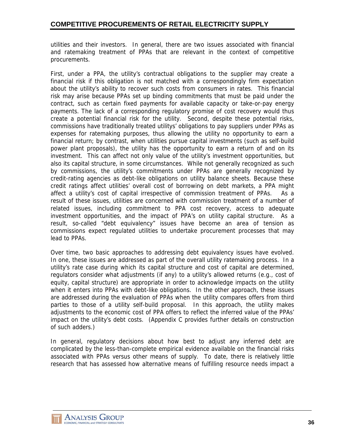utilities and their investors. In general, there are two issues associated with financial and ratemaking treatment of PPAs that are relevant in the context of competitive procurements.

First, under a PPA, the utility's contractual obligations to the supplier may create a financial risk if this obligation is not matched with a correspondingly firm expectation about the utility's ability to recover such costs from consumers in rates. This financial risk may arise because PPAs set up binding commitments that must be paid under the contract, such as certain fixed payments for available capacity or take-or-pay energy payments. The lack of a corresponding regulatory promise of cost recovery would thus create a potential financial risk for the utility. Second, despite these potential risks, commissions have traditionally treated utilitys' obligations to pay suppliers under PPAs as expenses for ratemaking purposes, thus allowing the utility no opportunity to earn a financial return; by contrast, when utilities pursue capital investments (such as self-build power plant proposals), the utility has the opportunity to earn a return of and on its investment. This can affect not only value of the utility's investment opportunities, but also its capital structure, in some circumstances. While not generally recognized as such by commissions, the utility's commitments under PPAs are generally recognized by credit-rating agencies as debt-like obligations on utility balance sheets. Because these credit ratings affect utilities' overall cost of borrowing on debt markets, a PPA might affect a utility's cost of capital irrespective of commission treatment of PPAs. As a result of these issues, utilities are concerned with commission treatment of a number of related issues, including commitment to PPA cost recovery, access to adequate investment opportunities, and the impact of PPA's on utility capital structure. As a result, so-called "debt equivalency" issues have become an area of tension as commissions expect regulated utilities to undertake procurement processes that may lead to PPAs.

Over time, two basic approaches to addressing debt equivalency issues have evolved. In one, these issues are addressed as part of the overall utility ratemaking process. In a utility's rate case during which its capital structure and cost of capital are determined, regulators consider what adjustments (if any) to a utility's allowed returns (e.g., cost of equity, capital structure) are appropriate in order to acknowledge impacts on the utility when it enters into PPAs with debt-like obligations. In the other approach, these issues are addressed during the evaluation of PPAs when the utility compares offers from third parties to those of a utility self-build proposal. In this approach, the utility makes adjustments to the economic cost of PPA offers to reflect the inferred value of the PPAs' impact on the utility's debt costs. (Appendix C provides further details on construction of such adders.)

In general, regulatory decisions about how best to adjust any inferred debt are complicated by the less-than-complete empirical evidence available on the financial risks associated with PPAs versus other means of supply. To date, there is relatively little research that has assessed how alternative means of fulfilling resource needs impact a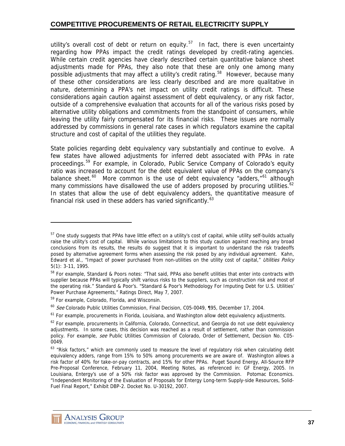utility's overall cost of debt or return on equity.<sup>[57](#page-47-0)</sup> In fact, there is even uncertainty regarding how PPAs impact the credit ratings developed by credit-rating agencies. While certain credit agencies have clearly described certain quantitative balance sheet adjustments made for PPAs, they also note that these are only one among many possible adjustments that may affect a utility's credit rating.<sup>[58](#page-47-1)</sup> However, because many of these other considerations are less clearly described and are more qualitative in nature, determining a PPA's net impact on utility credit ratings is difficult. These considerations again caution against assessment of debt equivalency, or any risk factor, outside of a comprehensive evaluation that accounts for all of the various risks posed by alternative utility obligations and commitments from the standpoint of consumers, while leaving the utility fairly compensated for its financial risks. These issues are normally addressed by commissions in general rate cases in which regulators examine the capital structure and cost of capital of the utilities they regulate.

State policies regarding debt equivalency vary substantially and continue to evolve. A few states have allowed adjustments for inferred debt associated with PPAs in rate proceedings.<sup>[59](#page-47-2)</sup> For example, in Colorado, Public Service Company of Colorado's equity ratio was increased to account for the debt equivalent value of PPAs on the company's balance sheet.<sup>[60](#page-47-3)</sup> More common is the use of debt equivalency "adders,"<sup>[61](#page-47-4)</sup> although many commissions have disallowed the use of adders proposed by procuring utilities. $^{62}$ In states that allow the use of debt equivalency adders, the quantitative measure of financial risk used in these adders has varied significantly. $^{63}$  $^{63}$  $^{63}$ 

<span id="page-47-0"></span> $57$  One study suggests that PPAs have little effect on a utility's cost of capital, while utility self-builds actually raise the utility's cost of capital. While various limitations to this study caution against reaching any broad conclusions from its results, the results do suggest that it is important to understand the risk tradeoffs posed by alternative agreement forms when assessing the risk posed by any individual agreement. Kahn, Edward et al., "Impact of power purchased from non-utilities on the utility cost of capital," Utilities Policy 5(1): 3-11, 1995.

<span id="page-47-1"></span><sup>58</sup> For example, Standard & Poors notes: "That said, PPAs also benefit utilities that enter into contracts with supplier because PPAs will typically shift various risks to the suppliers, such as construction risk and most of the operating risk." Standard & Poor's. "Standard & Poor's Methodology For Imputing Debt for U.S. Utilities' Power Purchase Agreements," Ratings Direct, May 7, 2007.

<span id="page-47-2"></span><sup>59</sup> For example, Colorado, Florida, and Wisconsin.

<span id="page-47-3"></span> $^{60}$  See Colorado Public Utilities Commission, Final Decision, C05-0049, ¶95, December 17, 2004.

<span id="page-47-4"></span> $<sup>61</sup>$  For example, procurements in Florida, Louisiana, and Washington allow debt equivalency adjustments.</sup>

<span id="page-47-5"></span> $62$  For example, procurements in California, Colorado, Connecticut, and Georgia do not use debt equivalency adjustments. In some cases, this decision was reached as a result of settlement, rather than commission policy. For example, see Public Utilities Commission of Colorado, Order of Settlement, Decision No. C05-0049.

<span id="page-47-6"></span><sup>&</sup>lt;sup>63</sup> "Risk factors," which are commonly used to measure the level of regulatory risk when calculating debt equivalency adders, range from 15% to 50% among procurements we are aware of. Washington allows a risk factor of 40% for take-or-pay contracts, and 15% for other PPAs. Puget Sound Energy, All-Source RFP Pre-Proposal Conference, February 11, 2004, Meeting Notes, as referenced in: GF Energy, 2005. In Louisiana, Entergy's use of a 50% risk factor was approved by the Commission. Potomac Economics. "Independent Monitoring of the Evaluation of Proposals for Entergy Long-term Supply-side Resources, Solid-Fuel Final Report," Exhibit DBP-2. Docket No. U-30192, 2007.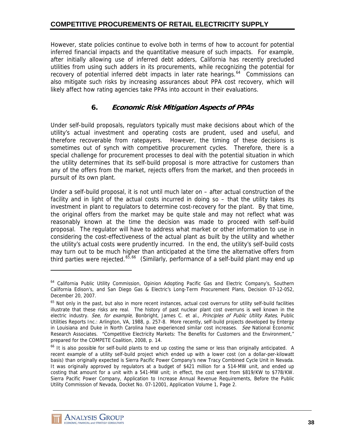However, state policies continue to evolve both in terms of how to account for potential inferred financial impacts and the quantitative measure of such impacts. For example, after initially allowing use of inferred debt adders, California has recently precluded utilities from using such adders in its procurements, while recognizing the potential for recovery of potential inferred debt impacts in later rate hearings.<sup>[64](#page-48-0)</sup> Commissions can also mitigate such risks by increasing assurances about PPA cost recovery, which will likely affect how rating agencies take PPAs into account in their evaluations.

#### **6. Economic Risk Mitigation Aspects of PPAs**

Under self-build proposals, regulators typically must make decisions about which of the utility's actual investment and operating costs are prudent, used and useful, and therefore recoverable from ratepayers. However, the timing of these decisions is sometimes out of synch with competitive procurement cycles. Therefore, there is a special challenge for procurement processes to deal with the potential situation in which the utility determines that its self-build proposal is more attractive for customers than any of the offers from the market, rejects offers from the market, and then proceeds in pursuit of its own plant.

Under a self-build proposal, it is not until much later on – after actual construction of the facility and in light of the actual costs incurred in doing so – that the utility takes its investment in plant to regulators to determine cost-recovery for the plant. By that time, the original offers from the market may be quite stale and may not reflect what was reasonably known at the time the decision was made to proceed with self-build proposal. The regulator will have to address what market or other information to use in considering the cost-effectiveness of the actual plant as built by the utility and whether the utility's actual costs were prudently incurred. In the end, the utility's self-build costs may turn out to be much higher than anticipated at the time the alternative offers from third parties were rejected.<sup>[65](#page-48-1),[66](#page-48-2)</sup> (Similarly, performance of a self-build plant may end up

<span id="page-48-0"></span><sup>&</sup>lt;sup>64</sup> California Public Utility Commission, Opinion Adopting Pacific Gas and Electric Company's, Southern California Edison's, and San Diego Gas & Electric's Long-Term Procurement Plans, Decision 07-12-052, December 20, 2007.

<span id="page-48-1"></span><sup>&</sup>lt;sup>65</sup> Not only in the past, but also in more recent instances, actual cost overruns for utility self-build facilities illustrate that these risks are real. The history of past nuclear plant cost overruns is well known in the electric industry. See, for example, Bonbright, James C. et al., Principles of Public Utility Rates, Public Utilities Reports Inc.: Arlington, VA, 1988, p. 257-8. More recently, self-build projects developed by Entergy in Louisiana and Duke in North Carolina have experienced similar cost increases. See National Economic Research Associates. "Competitive Electricity Markets: The Benefits for Customers and the Environment," prepared for the COMPETE Coalition, 2008, p. 14.

<span id="page-48-2"></span><sup>&</sup>lt;sup>66</sup> It is also possible for self-build plants to end up costing the same or less than originally anticipated. A recent example of a utility self-build project which ended up with a lower cost (on a dollar-per-kilowatt basis) than originally expected is Sierra Pacific Power Company's new Tracy Combined Cycle Unit in Nevada. It was originally approved by regulators at a budget of \$421 million for a 514-MW unit, and ended up costing that amount for a unit with a 541-MW unit; in effect, the cost went from \$819/KW to \$778/KW. Sierra Pacific Power Company, Application to Increase Annual Revenue Requirements, Before the Public Utility Commission of Nevada, Docket No. 07-12001, Application Volume 1, Page 2.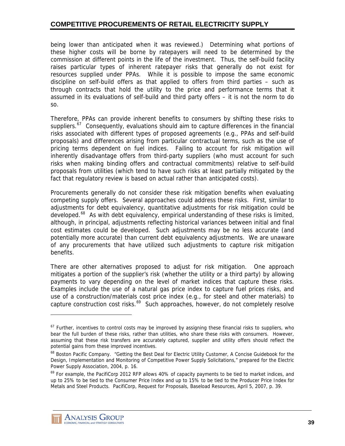being lower than anticipated when it was reviewed.) Determining what portions of these higher costs will be borne by ratepayers will need to be determined by the commission at different points in the life of the investment. Thus, the self-build facility raises particular types of inherent ratepayer risks that generally do not exist for resources supplied under PPAs. While it is possible to impose the same economic discipline on self-build offers as that applied to offers from third parties – such as through contracts that hold the utility to the price and performance terms that it assumed in its evaluations of self-build and third party offers – it is not the norm to do so.

Therefore, PPAs can provide inherent benefits to consumers by shifting these risks to suppliers. $67$  Consequently, evaluations should aim to capture differences in the financial risks associated with different types of proposed agreements (e.g., PPAs and self-build proposals) and differences arising from particular contractual terms, such as the use of pricing terms dependent on fuel indices. Failing to account for risk mitigation will inherently disadvantage offers from third-party suppliers (who must account for such risks when making binding offers and contractual commitments) relative to self-build proposals from utilities (which tend to have such risks at least partially mitigated by the fact that regulatory review is based on actual rather than anticipated costs).

Procurements generally do not consider these risk mitigation benefits when evaluating competing supply offers. Several approaches could address these risks. First, similar to adjustments for debt equivalency, quantitative adjustments for risk mitigation could be developed.<sup>[68](#page-49-1)</sup> As with debt equivalency, empirical understanding of these risks is limited, although, in principal, adjustments reflecting historical variances between initial and final cost estimates could be developed. Such adjustments may be no less accurate (and potentially more accurate) than current debt equivalency adjustments. We are unaware of any procurements that have utilized such adjustments to capture risk mitigation benefits.

There are other alternatives proposed to adjust for risk mitigation. One approach mitigates a portion of the supplier's risk (whether the utility or a third party) by allowing payments to vary depending on the level of market indices that capture these risks. Examples include the use of a natural gas price index to capture fuel prices risks, and use of a construction/materials cost price index (e.g., for steel and other materials) to capture construction cost risks.<sup>[69](#page-49-2)</sup> Such approaches, however, do not completely resolve

<span id="page-49-0"></span><sup>&</sup>lt;sup>67</sup> Further, incentives to control costs may be improved by assigning these financial risks to suppliers, who bear the full burden of these risks, rather than utilities, who share these risks with consumers. However, assuming that these risk transfers are accurately captured, supplier and utility offers should reflect the potential gains from these improved incentives.

<span id="page-49-1"></span><sup>&</sup>lt;sup>68</sup> Boston Pacific Company. "Getting the Best Deal for Electric Utility Customer, A Concise Guidebook for the Design, Implementation and Monitoring of Competitive Power Supply Solicitations," prepared for the Electric Power Supply Association, 2004, p. 16.

<span id="page-49-2"></span><sup>&</sup>lt;sup>69</sup> For example, the PacifiCorp 2012 RFP allows 40% of capacity payments to be tied to market indices, and up to 25% to be tied to the Consumer Price Index and up to 15% to be tied to the Producer Price Index for Metals and Steel Products. PacifiCorp, Request for Proposals, Baseload Resources, April 5, 2007, p. 39.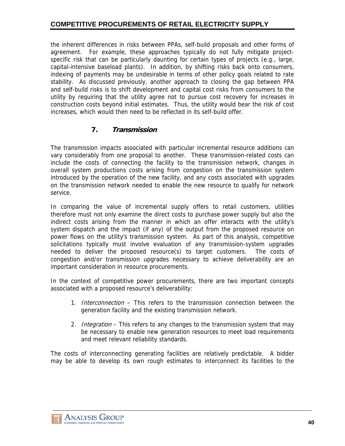the inherent differences in risks between PPAs, self-build proposals and other forms of agreement. For example, these approaches typically do not fully mitigate projectspecific risk that can be particularly daunting for certain types of projects (e.g., large, capital-intensive baseload plants). In addition, by shifting risks back onto consumers, indexing of payments may be undesirable in terms of other policy goals related to rate stability. As discussed previously, another approach to closing the gap between PPA and self-build risks is to shift development and capital cost risks from consumers to the utility by requiring that the utility agree not to pursue cost recovery for increases in construction costs beyond initial estimates. Thus, the utility would bear the risk of cost increases, which would then need to be reflected in its self-build offer.

# **7. Transmission**

The transmission impacts associated with particular incremental resource additions can vary considerably from one proposal to another. These transmission-related costs can include the costs of connecting the facility to the transmission network, changes in overall system productions costs arising from congestion on the transmission system introduced by the operation of the new facility, and any costs associated with upgrades on the transmission network needed to enable the new resource to qualify for network service.

In comparing the value of incremental supply offers to retail customers, utilities therefore must not only examine the direct costs to purchase power supply but also the indirect costs arising from the manner in which an offer interacts with the utility's system dispatch and the impact (if any) of the output from the proposed resource on power flows on the utility's transmission system. As part of this analysis, competitive solicitations typically must involve evaluation of any transmission-system upgrades needed to deliver the proposed resource(s) to target customers. The costs of congestion and/or transmission upgrades necessary to achieve deliverability are an important consideration in resource procurements.

In the context of competitive power procurements, there are two important concepts associated with a proposed resource's deliverability:

- 1. *Interconnection* This refers to the transmission connection between the generation facility and the existing transmission network.
- 2. *Integration* This refers to any changes to the transmission system that may be necessary to enable new generation resources to meet load requirements and meet relevant reliability standards.

The costs of interconnecting generating facilities are relatively predictable. A bidder may be able to develop its own rough estimates to interconnect its facilities to the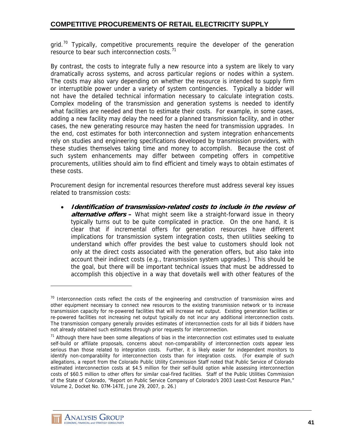$grid.<sup>70</sup>$  $grid.<sup>70</sup>$  $grid.<sup>70</sup>$  Typically, competitive procurements require the developer of the generation resource to bear such interconnection costs. $71$ 

By contrast, the costs to integrate fully a new resource into a system are likely to vary dramatically across systems, and across particular regions or nodes within a system. The costs may also vary depending on whether the resource is intended to supply firm or interruptible power under a variety of system contingencies. Typically a bidder will not have the detailed technical information necessary to calculate integration costs. Complex modeling of the transmission and generation systems is needed to identify what facilities are needed and then to estimate their costs. For example, in some cases, adding a new facility may delay the need for a planned transmission facility, and in other cases, the new generating resource may hasten the need for transmission upgrades. In the end, cost estimates for both interconnection and system integration enhancements rely on studies and engineering specifications developed by transmission providers, with these studies themselves taking time and money to accomplish. Because the cost of such system enhancements may differ between competing offers in competitive procurements, utilities should aim to find efficient and timely ways to obtain estimates of these costs.

Procurement design for incremental resources therefore must address several key issues related to transmission costs:

• **Identification of transmission-related costs to include in the review of alternative offers –** What might seem like a straight-forward issue in theory typically turns out to be quite complicated in practice. On the one hand, it is clear that if incremental offers for generation resources have different implications for transmission system integration costs, then utilities seeking to understand which offer provides the best value to customers should look not only at the direct costs associated with the generation offers, but also take into account their indirect costs (e.g., transmission system upgrades.) This should be the goal, but there will be important technical issues that must be addressed to accomplish this objective in a way that dovetails well with other features of the

<span id="page-51-0"></span> $70$  Interconnection costs reflect the costs of the engineering and construction of transmission wires and other equipment necessary to connect new resources to the existing transmission network or to increase transmission capacity for re-powered facilities that will increase net output. Existing generation facilities or re-powered facilities not increasing net output typically do not incur any additional interconnection costs. The transmission company generally provides estimates of interconnection costs for all bids if bidders have not already obtained such estimates through prior requests for interconnection.

<span id="page-51-1"></span> $71$  Although there have been some allegations of bias in the interconnection cost estimates used to evaluate self-build or affiliate proposals, concerns about non-comparability of interconnection costs appear less serious than those related to integration costs. Further, it is likely easier for independent monitors to identify non-comparability for interconnection costs than for integration costs. (For example of such allegations, a report from the Colorado Public Utility Commission Staff noted that Public Service of Colorado estimated interconnection costs at \$4.5 million for their self-build option while assessing interconnection costs of \$60.5 million to other offers for similar coal-fired facilities. Staff of the Public Utilities Commission of the State of Colorado, "Report on Public Service Company of Colorado's 2003 Least-Cost Resource Plan," Volume 2, Docket No. 07M-147E, June 29, 2007, p. 26.)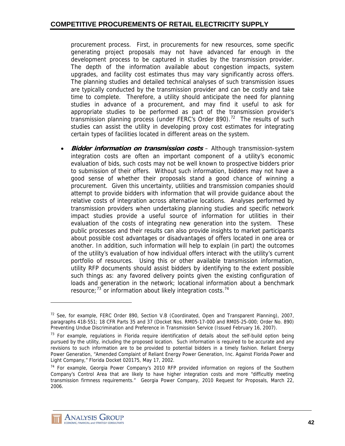procurement process. First, in procurements for new resources, some specific generating project proposals may not have advanced far enough in the development process to be captured in studies by the transmission provider. The depth of the information available about congestion impacts, system upgrades, and facility cost estimates thus may vary significantly across offers. The planning studies and detailed technical analyses of such transmission issues are typically conducted by the transmission provider and can be costly and take time to complete. Therefore, a utility should anticipate the need for planning studies in advance of a procurement, and may find it useful to ask for appropriate studies to be performed as part of the transmission provider's transmission planning process (under FERC's Order 890).<sup>[72](#page-52-0)</sup> The results of such studies can assist the utility in developing proxy cost estimates for integrating certain types of facilities located in different areas on the system.

• **Bidder information on transmission costs** – Although transmission-system integration costs are often an important component of a utility's economic evaluation of bids, such costs may not be well known to prospective bidders prior to submission of their offers. Without such information, bidders may not have a good sense of whether their proposals stand a good chance of winning a procurement. Given this uncertainty, utilities and transmission companies should attempt to provide bidders with information that will provide guidance about the relative costs of integration across alternative locations. Analyses performed by transmission providers when undertaking planning studies and specific network impact studies provide a useful source of information for utilities in their evaluation of the costs of integrating new generation into the system. These public processes and their results can also provide insights to market participants about possible cost advantages or disadvantages of offers located in one area or another. In addition, such information will help to explain (in part) the outcomes of the utility's evaluation of how individual offers interact with the utility's current portfolio of resources. Using this or other available transmission information, utility RFP documents should assist bidders by identifying to the extent possible such things as: any favored delivery points given the existing configuration of loads and generation in the network; locational information about a benchmark resource; $^{73}$  $^{73}$  $^{73}$  or information about likely integration costs.<sup>[74](#page-52-2)</sup>

<span id="page-52-0"></span> $72$  See, for example, FERC Order 890, Section V.B (Coordinated, Open and Transparent Planning), 2007, paragraphs 418-551; 18 CFR Parts 35 and 37 (Docket Nos. RM05-17-000 and RM05-25-000; Order No. 890) Preventing Undue Discrimination and Preference in Transmission Service (Issued February 16, 2007).

<span id="page-52-1"></span> $<sup>73</sup>$  For example, regulations in Florida require identification of details about the self-build option being</sup> pursued by the utility, including the proposed location. Such information is required to be accurate and any revisions to such information are to be provided to potential bidders in a timely fashion. Reliant Energy Power Generation, "Amended Complaint of Reliant Energy Power Generation, Inc. Against Florida Power and Light Company," Florida Docket 020175, May 17, 2002.

<span id="page-52-2"></span><sup>&</sup>lt;sup>74</sup> For example, Georgia Power Company's 2010 RFP provided information on regions of the Southern Company's Control Area that are likely to have higher integration costs and more "difficultly meeting transmission firmness requirements." Georgia Power Company, 2010 Request for Proposals, March 22, 2006.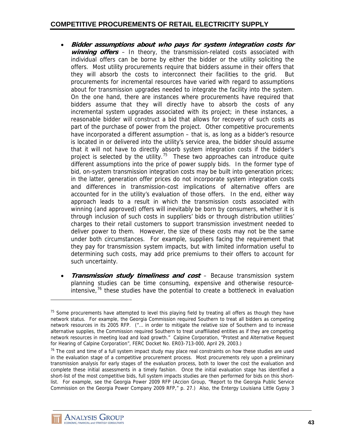- **Bidder assumptions about who pays for system integration costs for winning offers** – In theory, the transmission-related costs associated with individual offers can be borne by either the bidder or the utility soliciting the offers. Most utility procurements require that bidders assume in their offers that they will absorb the costs to interconnect their facilities to the grid. But procurements for incremental resources have varied with regard to assumptions about for transmission upgrades needed to integrate the facility into the system. On the one hand, there are instances where procurements have required that bidders assume that they will directly have to absorb the costs of any incremental system upgrades associated with its project; in these instances, a reasonable bidder will construct a bid that allows for recovery of such costs as part of the purchase of power from the project. Other competitive procurements have incorporated a different assumption – that is, as long as a bidder's resource is located in or delivered into the utility's service area, the bidder should assume that it will not have to directly absorb system integration costs if the bidder's project is selected by the utility.<sup>[75](#page-53-0)</sup> These two approaches can introduce quite different assumptions into the price of power supply bids. In the former type of bid, on-system transmission integration costs may be built into generation prices; in the latter, generation offer prices do not incorporate system integration costs and differences in transmission-cost implications of alternative offers are accounted for in the utility's evaluation of those offers. In the end, either way approach leads to a result in which the transmission costs associated with winning (and approved) offers will inevitably be born by consumers, whether it is through inclusion of such costs in suppliers' bids or through distribution utilities' charges to their retail customers to support transmission investment needed to deliver power to them. However, the size of these costs may not be the same under both circumstances. For example, suppliers facing the requirement that they pay for transmission system impacts, but with limited information useful to determining such costs, may add price premiums to their offers to account for such uncertainty.
- **Transmission study timeliness and cost** Because transmission system planning studies can be time consuming, expensive and otherwise resource-intensive,<sup>[76](#page-53-1)</sup> these studies have the potential to create a bottleneck in evaluation

<span id="page-53-0"></span> $75$  Some procurements have attempted to level this playing field by treating all offers as though they have network status. For example, the Georgia Commission required Southern to treat all bidders as competing network resources in its 2005 RFP. ("… in order to mitigate the relative size of Southern and to increase alternative supplies, the Commission required Southern to treat unaffiliated entities as if they are competing network resources in meeting load and load growth." Calpine Corporation, "Protest and Alternative Request for Hearing of Calpine Corporation", FERC Docket No. ER03-713-000, April 29, 2003.)

<span id="page-53-1"></span> $76$  The cost and time of a full system impact study may place real constraints on how these studies are used in the evaluation stage of a competitive procurement process. Most procurements rely upon a preliminary transmission analysis for early stages of the evaluation process, both to lower the cost the evaluation and complete these initial assessments in a timely fashion. Once the initial evaluation stage has identified a short-list of the most competitive bids, full system impacts studies are then performed for bids on this shortlist. For example, see the Georgia Power 2009 RFP (Accion Group, "Report to the Georgia Public Service Commission on the Georgia Power Company 2009 RFP," p. 27.) Also, the Entergy Louisiana Little Gypsy 3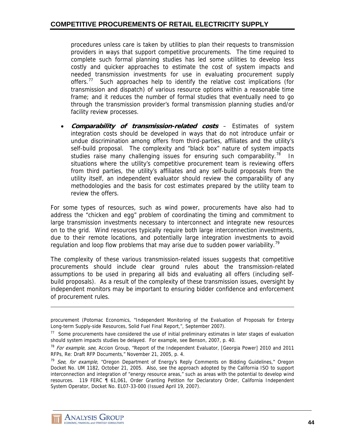procedures unless care is taken by utilities to plan their requests to transmission providers in ways that support competitive procurements. The time required to complete such formal planning studies has led some utilities to develop less costly and quicker approaches to estimate the cost of system impacts and needed transmission investments for use in evaluating procurement supply offers.<sup>[77](#page-54-0)</sup> Such approaches help to identify the relative cost implications (for transmission and dispatch) of various resource options within a reasonable time frame; and it reduces the number of formal studies that eventually need to go through the transmission provider's formal transmission planning studies and/or facility review processes.

• **Comparability of transmission-related costs** – Estimates of system integration costs should be developed in ways that do not introduce unfair or undue discrimination among offers from third-parties, affiliates and the utility's self-build proposal. The complexity and "black box" nature of system impacts studies raise many challenging issues for ensuring such comparability.<sup>[78](#page-54-1)</sup> In situations where the utility's competitive procurement team is reviewing offers from third parties, the utility's affiliates and any self-build proposals from the utility itself, an independent evaluator should review the comparability of any methodologies and the basis for cost estimates prepared by the utility team to review the offers.

For some types of resources, such as wind power, procurements have also had to address the "chicken and egg" problem of coordinating the timing and commitment to large transmission investments necessary to interconnect and integrate new resources on to the grid. Wind resources typically require both large interconnection investments, due to their remote locations, and potentially large integration investments to avoid regulation and loop flow problems that may arise due to sudden power variability.<sup>[79](#page-54-2)</sup>

The complexity of these various transmission-related issues suggests that competitive procurements should include clear ground rules about the transmission-related assumptions to be used in preparing all bids and evaluating all offers (including selfbuild proposals). As a result of the complexity of these transmission issues, oversight by independent monitors may be important to ensuring bidder confidence and enforcement of procurement rules.

procurement (Potomac Economics, "Independent Monitoring of the Evaluation of Proposals for Entergy Long-term Supply-side Resources, Solid Fuel Final Report,", September 2007).

<span id="page-54-0"></span> $77$  Some procurements have considered the use of initial preliminary estimates in later stages of evaluation should system impacts studies be delayed. For example, see Benson, 2007, p. 40.

<span id="page-54-1"></span><sup>&</sup>lt;sup>78</sup> For example, see, Accion Group, "Report of the Independent Evaluator, [Georgia Power] 2010 and 2011 RFPs, Re: Draft RFP Documents," November 21, 2005, p. 4.

<span id="page-54-2"></span><sup>&</sup>lt;sup>79</sup> See, for example, "Oregon Department of Energy's Reply Comments on Bidding Guidelines," Oregon Docket No. UM 1182, October 21, 2005. Also, see the approach adopted by the California ISO to support interconnection and integration of "energy resource areas," such as areas with the potential to develop wind resources. 119 FERC ¶ 61,061, Order Granting Petition for Declaratory Order, California Independent System Operator, Docket No. EL07-33-000 (Issued April 19, 2007).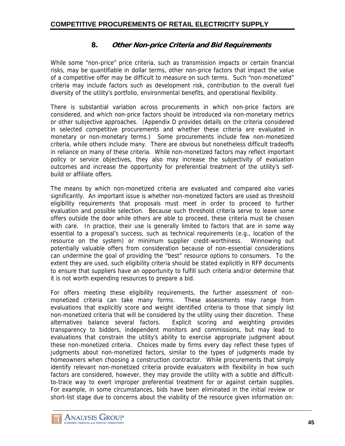## **8. Other Non-price Criteria and Bid Requirements**

While some "non-price" price criteria, such as transmission impacts or certain financial risks, may be quantifiable in dollar terms, other non-price factors that impact the value of a competitive offer may be difficult to measure on such terms. Such "non-monetized" criteria may include factors such as development risk, contribution to the overall fuel diversity of the utility's portfolio, environmental benefits, and operational flexibility.

There is substantial variation across procurements in which non-price factors are considered, and which non-price factors should be introduced via non-monetary metrics or other subjective approaches. (Appendix D provides details on the criteria considered in selected competitive procurements and whether these criteria are evaluated in monetary or non-monetary terms.) Some procurements include few non-monetized criteria, while others include many. There are obvious but nonetheless difficult tradeoffs in reliance on many of these criteria. While non-monetized factors may reflect important policy or service objectives, they also may increase the subjectivity of evaluation outcomes and increase the opportunity for preferential treatment of the utility's selfbuild or affiliate offers.

The means by which non-monetized criteria are evaluated and compared also varies significantly. An important issue is whether non-monetized factors are used as threshold eligibility requirements that proposals must meet in order to proceed to further evaluation and possible selection. Because such threshold criteria serve to leave some offers outside the door while others are able to proceed, these criteria must be chosen with care. In practice, their use is generally limited to factors that are in some way essential to a proposal's success, such as technical requirements (e.g., location of the resource on the system) or minimum supplier credit-worthiness. Winnowing out potentially valuable offers from consideration because of non-essential considerations can undermine the goal of providing the "best" resource options to consumers. To the extent they are used, such eligibility criteria should be stated explicitly in RFP documents to ensure that suppliers have an opportunity to fulfill such criteria and/or determine that it is not worth expending resources to prepare a bid.

For offers meeting these eligibility requirements, the further assessment of nonmonetized criteria can take many forms. These assessments may range from evaluations that explicitly score and weight identified criteria to those that simply list non-monetized criteria that will be considered by the utility using their discretion. These alternatives balance several factors. Explicit scoring and weighting provides transparency to bidders, independent monitors and commissions, but may lead to evaluations that constrain the utility's ability to exercise appropriate judgment about these non-monetized criteria. Choices made by firms every day reflect these types of judgments about non-monetized factors, similar to the types of judgments made by homeowners when choosing a construction contractor. While procurements that simply identify relevant non-monetized criteria provide evaluators with flexibility in how such factors are considered, however, they may provide the utility with a subtle and difficultto-trace way to exert improper preferential treatment for or against certain supplies. For example, in some circumstances, bids have been eliminated in the initial review or short-list stage due to concerns about the viability of the resource given information on: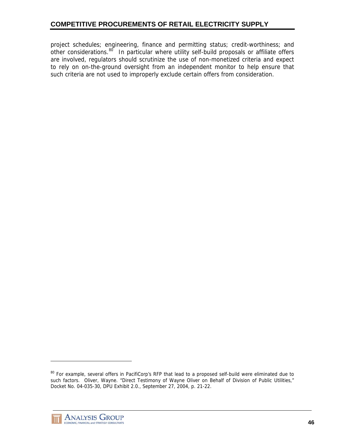project schedules; engineering, finance and permitting status; credit-worthiness; and other considerations. $80^\circ$  $80^\circ$  In particular where utility self-build proposals or affiliate offers are involved, regulators should scrutinize the use of non-monetized criteria and expect to rely on on-the-ground oversight from an independent monitor to help ensure that such criteria are not used to improperly exclude certain offers from consideration.

<span id="page-56-0"></span><sup>&</sup>lt;sup>80</sup> For example, several offers in PacifiCorp's RFP that lead to a proposed self-build were eliminated due to such factors. Oliver, Wayne. "Direct Testimony of Wayne Oliver on Behalf of Division of Public Utilities," Docket No. 04-035-30, DPU Exhibit 2.0., September 27, 2004, p. 21-22.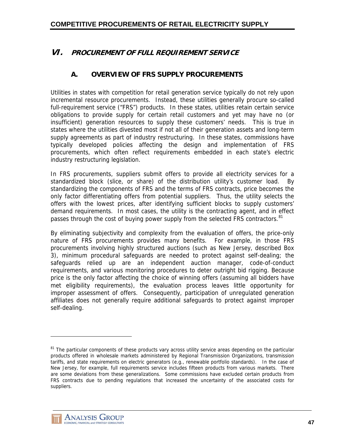# **VI. PROCUREMENT OF FULL REQUIREMENT SERVICE**

## **A. OVERVIEW OF FRS SUPPLY PROCUREMENTS**

Utilities in states with competition for retail generation service typically do not rely upon incremental resource procurements. Instead, these utilities generally procure so-called full-requirement service ("FRS") products. In these states, utilities retain certain service obligations to provide supply for certain retail customers and yet may have no (or insufficient) generation resources to supply these customers' needs. This is true in states where the utilities divested most if not all of their generation assets and long-term supply agreements as part of industry restructuring. In these states, commissions have typically developed policies affecting the design and implementation of FRS procurements, which often reflect requirements embedded in each state's electric industry restructuring legislation.

In FRS procurements, suppliers submit offers to provide all electricity services for a standardized block (slice, or share) of the distribution utility's customer load. By standardizing the components of FRS and the terms of FRS contracts, price becomes the only factor differentiating offers from potential suppliers. Thus, the utility selects the offers with the lowest prices, after identifying sufficient blocks to supply customers' demand requirements. In most cases, the utility is the contracting agent, and in effect passes through the cost of buying power supply from the selected FRS contractors.<sup>[81](#page-57-0)</sup>

By eliminating subjectivity and complexity from the evaluation of offers, the price-only nature of FRS procurements provides many benefits. For example, in those FRS procurements involving highly structured auctions (such as New Jersey, described Box 3), minimum procedural safeguards are needed to protect against self-dealing; the safeguards relied up are an independent auction manager, code-of-conduct requirements, and various monitoring procedures to deter outright bid rigging. Because price is the only factor affecting the choice of winning offers (assuming all bidders have met eligibility requirements), the evaluation process leaves little opportunity for improper assessment of offers. Consequently, participation of unregulated generation affiliates does not generally require additional safeguards to protect against improper self-dealing.

<span id="page-57-0"></span><sup>&</sup>lt;sup>81</sup> The particular components of these products vary across utility service areas depending on the particular products offered in wholesale markets administered by Regional Transmission Organizations, transmission tariffs, and state requirements on electric generators (e.g., renewable portfolio standards). In the case of New Jersey, for example, full requirements service includes fifteen products from various markets. There are some deviations from these generalizations. Some commissions have excluded certain products from FRS contracts due to pending regulations that increased the uncertainty of the associated costs for suppliers.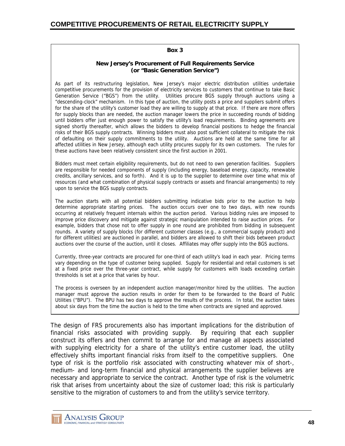#### **Box 3**

#### **New Jersey's Procurement of Full Requirements Service (or "Basic Generation Service")**

As part of its restructuring legislation, New Jersey's major electric distribution utilities undertake competitive procurements for the provision of electricity services to customers that continue to take Basic Generation Service ("BGS") from the utility. Utilities procure BGS supply through auctions using a "descending-clock" mechanism. In this type of auction, the utility posts a price and suppliers submit offers for the share of the utility's customer load they are willing to supply at that price. If there are more offers for supply blocks than are needed, the auction manager lowers the price in succeeding rounds of bidding until bidders offer just enough power to satisfy the utility's load requirements. Binding agreements are signed shortly thereafter, which allows the bidders to develop financial positions to hedge the financial risks of their BGS supply contracts. Winning bidders must also post sufficient collateral to mitigate the risk of defaulting on their supply commitments to the utility. Auctions are held at the same time for all affected utilities in New Jersey, although each utility procures supply for its own customers. The rules for these auctions have been relatively consistent since the first auction in 2001.

Bidders must meet certain eligibility requirements, but do not need to own generation facilities. Suppliers are responsible for needed components of supply (including energy, baseload energy, capacity, renewable credits, ancillary services, and so forth). And it is up to the supplier to determine over time what mix of resources (and what combination of physical supply contracts or assets and financial arrangements) to rely upon to service the BGS supply contracts.

The auction starts with all potential bidders submitting indicative bids prior to the auction to help determine appropriate starting prices. The auction occurs over one to two days, with new rounds occurring at relatively frequent internals within the auction period. Various bidding rules are imposed to improve price discovery and mitigate against strategic manipulation intended to raise auction prices. For example, bidders that chose not to offer supply in one round are prohibited from bidding in subsequent rounds. A variety of supply blocks (for different customer classes (e.g., a commercial supply product) and for different utilities) are auctioned in parallel, and bidders are allowed to shift their bids between product auctions over the course of the auction, until it closes. Affiliates may offer supply into the BGS auctions.

Currently, three-year contracts are procured for one-third of each utility's load in each year. Pricing terms vary depending on the type of customer being supplied. Supply for residential and retail customers is set at a fixed price over the three-year contract, while supply for customers with loads exceeding certain thresholds is set at a price that varies by hour.

The process is overseen by an independent auction manager/monitor hired by the utilities. The auction manager must approve the auction results in order for them to be forwarded to the Board of Public Utilities ("BPU"). The BPU has two days to approve the results of the process. In total, the auction takes about six days from the time the auction is held to the time when contracts are signed and approved.

The design of FRS procurements also has important implications for the distribution of financial risks associated with providing supply. By requiring that each supplier construct its offers and then commit to arrange for and manage all aspects associated with supplying electricity for a share of the utility's entire customer load, the utility effectively shifts important financial risks from itself to the competitive suppliers. One type of risk is the portfolio risk associated with constructing whatever mix of short-, medium- and long-term financial and physical arrangements the supplier believes are necessary and appropriate to service the contract. Another type of risk is the volumetric risk that arises from uncertainty about the size of customer load; this risk is particularly sensitive to the migration of customers to and from the utility's service territory.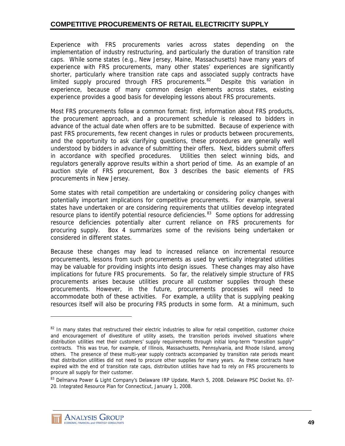Experience with FRS procurements varies across states depending on the implementation of industry restructuring, and particularly the duration of transition rate caps. While some states (e.g., New Jersey, Maine, Massachusetts) have many years of experience with FRS procurements, many other states' experiences are significantly shorter, particularly where transition rate caps and associated supply contracts have limited supply procured through FRS procurements. $82$  Despite this variation in experience, because of many common design elements across states, existing experience provides a good basis for developing lessons about FRS procurements.

Most FRS procurements follow a common format: first, information about FRS products, the procurement approach, and a procurement schedule is released to bidders in advance of the actual date when offers are to be submitted. Because of experience with past FRS procurements, few recent changes in rules or products between procurements, and the opportunity to ask clarifying questions, these procedures are generally well understood by bidders in advance of submitting their offers. Next, bidders submit offers in accordance with specified procedures. Utilities then select winning bids, and regulators generally approve results within a short period of time. As an example of an auction style of FRS procurement, Box 3 describes the basic elements of FRS procurements in New Jersey.

Some states with retail competition are undertaking or considering policy changes with potentially important implications for competitive procurements. For example, several states have undertaken or are considering requirements that utilities develop integrated resource plans to identify potential resource deficiencies.<sup>[83](#page-59-1)</sup> Some options for addressing resource deficiencies potentially alter current reliance on FRS procurements for procuring supply. Box 4 summarizes some of the revisions being undertaken or considered in different states.

Because these changes may lead to increased reliance on incremental resource procurements, lessons from such procurements as used by vertically integrated utilities may be valuable for providing insights into design issues. These changes may also have implications for future FRS procurements. So far, the relatively simple structure of FRS procurements arises because utilities procure all customer supplies through these procurements. However, in the future, procurements processes will need to accommodate both of these activities. For example, a utility that is supplying peaking resources itself will also be procuring FRS products in some form. At a minimum, such

<span id="page-59-0"></span><sup>82</sup> In many states that restructured their electric industries to allow for retail competition, customer choice and encouragement of divestiture of utility assets, the transition periods involved situations where distribution utilities met their customers' supply requirements through initial long-term "transition supply" contracts. This was true, for example, of Illinois, Massachusetts, Pennsylvania, and Rhode Island, among others. The presence of these multi-year supply contracts accompanied by transition rate periods meant that distribution utilities did not need to procure other supplies for many years. As these contracts have expired with the end of transition rate caps, distribution utilities have had to rely on FRS procurements to procure all supply for their customer.

<span id="page-59-1"></span><sup>83</sup> Delmarva Power & Light Company's Delaware IRP Update, March 5, 2008. Delaware PSC Docket No. 07-20. Integrated Resource Plan for Connecticut, January 1, 2008.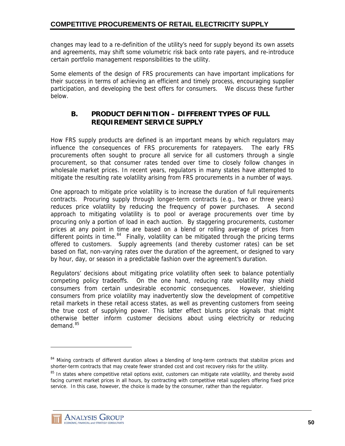changes may lead to a re-definition of the utility's need for supply beyond its own assets and agreements, may shift some volumetric risk back onto rate payers, and re-introduce certain portfolio management responsibilities to the utility.

Some elements of the design of FRS procurements can have important implications for their success in terms of achieving an efficient and timely process, encouraging supplier participation, and developing the best offers for consumers. We discuss these further below.

#### **B. PRODUCT DEFINITION – DIFFERENT TYPES OF FULL REQUIREMENT SERVICE SUPPLY**

How FRS supply products are defined is an important means by which regulators may influence the consequences of FRS procurements for ratepayers. The early FRS procurements often sought to procure all service for all customers through a single procurement, so that consumer rates tended over time to closely follow changes in wholesale market prices. In recent years, regulators in many states have attempted to mitigate the resulting rate volatility arising from FRS procurements in a number of ways.

One approach to mitigate price volatility is to increase the duration of full requirements contracts. Procuring supply through longer-term contracts (e.g., two or three years) reduces price volatility by reducing the frequency of power purchases. A second approach to mitigating volatility is to pool or average procurements over time by procuring only a portion of load in each auction. By staggering procurements, customer prices at any point in time are based on a blend or rolling average of prices from different points in time.<sup>[84](#page-60-0)</sup> Finally, volatility can be mitigated through the pricing terms offered to customers. Supply agreements (and thereby customer rates) can be set based on flat, non-varying rates over the duration of the agreement, or designed to vary by hour, day, or season in a predictable fashion over the agreement's duration.

Regulators' decisions about mitigating price volatility often seek to balance potentially competing policy tradeoffs. On the one hand, reducing rate volatility may shield consumers from certain undesirable economic consequences. However, shielding consumers from price volatility may inadvertently slow the development of competitive retail markets in these retail access states, as well as preventing customers from seeing the true cost of supplying power. This latter effect blunts price signals that might otherwise better inform customer decisions about using electricity or reducing demand.<sup>[85](#page-60-1)</sup>

<span id="page-60-0"></span><sup>84</sup> Mixing contracts of different duration allows a blending of long-term contracts that stabilize prices and shorter-term contracts that may create fewer stranded cost and cost recovery risks for the utility.

<span id="page-60-1"></span><sup>&</sup>lt;sup>85</sup> In states where competitive retail options exist, customers can mitigate rate volatility, and thereby avoid facing current market prices in all hours, by contracting with competitive retail suppliers offering fixed price service. In this case, however, the choice is made by the consumer, rather than the regulator.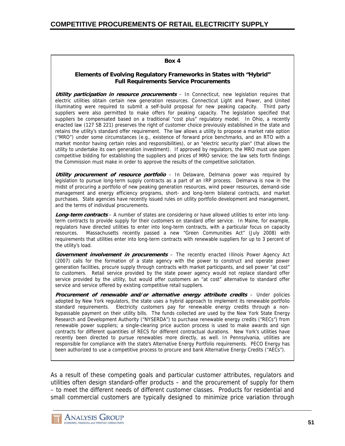#### **Box 4**

#### **Elements of Evolving Regulatory Frameworks in States with "Hybrid" Full Requirements Service Procurements**

**Utility participation in resource procurements** – In Connecticut, new legislation requires that electric utilities obtain certain new generation resources. Connecticut Light and Power, and United Illuminating were required to submit a self-build proposal for new peaking capacity. Third party suppliers were also permitted to make offers for peaking capacity. The legislation specified that suppliers be compensated based on a traditional "cost plus" regulatory model. In Ohio, a recently enacted law (127 SB 221) preserves the right of customer choice previously established in the state and retains the utility's standard offer requirement. The law allows a utility to propose a market rate option ("MRO") under some circumstances (e.g., existence of forward price benchmarks, and an RTO with a market monitor having certain roles and responsibilities), or an "electric security plan" (that allows the utility to undertake its own generation investment). If approved by regulators, the MRO must use open competitive bidding for establishing the suppliers and prices of MRO service; the law sets forth findings the Commission must make in order to approve the results of the competitive solicitation.

**Utility procurement of resource portfolio** - In Delaware, Delmarva power was required by legislation to pursue long-term supply contracts as a part of an IRP process. Delmarva is now in the midst of procuring a portfolio of new peaking generation resources, wind power resources, demand-side management and energy efficiency programs, short- and long-term bilateral contracts, and market purchases. State agencies have recently issued rules on utility portfolio development and management, and the terms of individual procurements.

**Long-term contracts** – A number of states are considering or have allowed utilities to enter into longterm contracts to provide supply for their customers on standard offer service. In Maine, for example, regulators have directed utilities to enter into long-term contracts, with a particular focus on capacity resources. Massachusetts recently passed a new "Green Communities Act" (July 2008) with requirements that utilities enter into long-term contracts with renewable suppliers for up to 3 percent of the utility's load.

**Government involvement in procurements** – The recently enacted Illinois Power Agency Act (2007) calls for the formation of a state agency with the power to construct and operate power generation facilities, procure supply through contracts with market participants, and sell power "at cost" to customers. Retail service provided by the state power agency would not replace standard offer service provided by the utility, but would offer customers an "at cost" alternative to standard offer service and service offered by existing competitive retail suppliers.

**Procurement of renewable and/or alternative energy attribute credits** – Under policies adopted by New York regulators, the state uses a hybrid approach to implement its renewable portfolio standard requirements. Electricity customers pay for renewable energy credits through a nonbypassable payment on their utility bills. The funds collected are used by the New York State Energy Research and Development Authority ("NYSERDA") to purchase renewable energy credits ("RECs") from renewable power suppliers; a single-clearing price auction process is used to make awards and sign contracts for different quantities of RECS for different contractual durations. New York's utilities have recently been directed to pursue renewables more directly, as well. In Pennsylvania, utilities are responsible for compliance with the state's Alternative Energy Portfolio requirements. PECO Energy has been authorized to use a competitive process to procure and bank Alternative Energy Credits ("AECs").

As a result of these competing goals and particular customer attributes, regulators and utilities often design standard-offer products – and the procurement of supply for them – to meet the different needs of different customer classes. Products for residential and small commercial customers are typically designed to minimize price variation through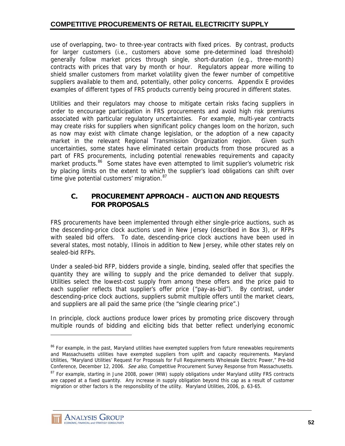use of overlapping, two- to three-year contracts with fixed prices. By contrast, products for larger customers (i.e., customers above some pre-determined load threshold) generally follow market prices through single, short-duration (e.g., three-month) contracts with prices that vary by month or hour. Regulators appear more willing to shield smaller customers from market volatility given the fewer number of competitive suppliers available to them and, potentially, other policy concerns. Appendix E provides examples of different types of FRS products currently being procured in different states.

Utilities and their regulators may choose to mitigate certain risks facing suppliers in order to encourage participation in FRS procurements and avoid high risk premiums associated with particular regulatory uncertainties. For example, multi-year contracts may create risks for suppliers when significant policy changes loom on the horizon, such as now may exist with climate change legislation, or the adoption of a new capacity market in the relevant Regional Transmission Organization region. Given such uncertainties, some states have eliminated certain products from those procured as a part of FRS procurements, including potential renewables requirements and capacity market products.<sup>[86](#page-62-0)</sup> Some states have even attempted to limit supplier's volumetric risk by placing limits on the extent to which the supplier's load obligations can shift over time give potential customers' migration. <sup>[87](#page-62-1)</sup>

#### **C. PROCUREMENT APPROACH – AUCTION AND REQUESTS FOR PROPOSALS**

FRS procurements have been implemented through either single-price auctions, such as the descending-price clock auctions used in New Jersey (described in Box 3), or RFPs with sealed bid offers. To date, descending-price clock auctions have been used in several states, most notably, Illinois in addition to New Jersey, while other states rely on sealed-bid RFPs.

Under a sealed-bid RFP, bidders provide a single, binding, sealed offer that specifies the quantity they are willing to supply and the price demanded to deliver that supply. Utilities select the lowest-cost supply from among these offers and the price paid to each supplier reflects that supplier's offer price ("pay-as-bid"). By contrast, under descending-price clock auctions, suppliers submit multiple offers until the market clears, and suppliers are all paid the same price (the "single clearing price".)

In principle, clock auctions produce lower prices by promoting price discovery through multiple rounds of bidding and eliciting bids that better reflect underlying economic

<span id="page-62-0"></span><sup>&</sup>lt;sup>86</sup> For example, in the past, Maryland utilities have exempted suppliers from future renewables requirements and Massachusetts utilities have exempted suppliers from uplift and capacity requirements. Maryland Utilities, "Maryland Utilities' Request For Proposals for Full Requirements Wholesale Electric Power," Pre-bid Conference, December 12, 2006. See also, Competitive Procurement Survey Response from Massachusetts.

<span id="page-62-1"></span><sup>&</sup>lt;sup>87</sup> For example, starting in June 2008, power (MW) supply obligations under Maryland utility FRS contracts are capped at a fixed quantity. Any increase in supply obligation beyond this cap as a result of customer migration or other factors is the responsibility of the utility. Maryland Utilities, 2006, p. 63-65.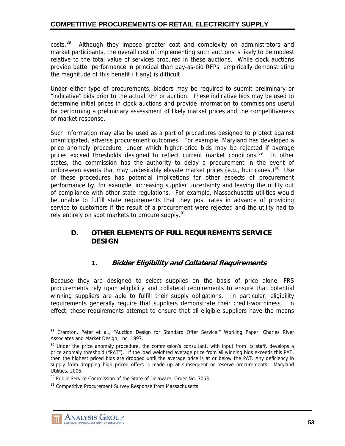costs.<sup>[88](#page-63-0)</sup> Although they impose greater cost and complexity on administrators and market participants, the overall cost of implementing such auctions is likely to be modest relative to the total value of services procured in these auctions. While clock auctions provide better performance in principal than pay-as-bid RFPs, empirically demonstrating the magnitude of this benefit (if any) is difficult.

Under either type of procurements, bidders may be required to submit preliminary or "indicative" bids prior to the actual RFP or auction. These indicative bids may be used to determine initial prices in clock auctions and provide information to commissions useful for performing a preliminary assessment of likely market prices and the competitiveness of market response.

Such information may also be used as a part of procedures designed to protect against unanticipated, adverse procurement outcomes. For example, Maryland has developed a price anomaly procedure, under which higher-price bids may be rejected if average prices exceed thresholds designed to reflect current market conditions.<sup>[89](#page-63-1)</sup> In other states, the commission has the authority to delay a procurement in the event of unforeseen events that may undesirably elevate market prices (e.g., hurricanes.)<sup>[90](#page-63-2)</sup> Use of these procedures has potential implications for other aspects of procurement performance by, for example, increasing supplier uncertainty and leaving the utility out of compliance with other state regulations. For example, Massachusetts utilities would be unable to fulfill state requirements that they post rates in advance of providing service to customers if the result of a procurement were rejected and the utility had to rely entirely on spot markets to procure supply.<sup>[91](#page-63-3)</sup>

#### **D. OTHER ELEMENTS OF FULL REQUIREMENTS SERVICE DESIGN**

# **1. Bidder Eligibility and Collateral Requirements**

Because they are designed to select supplies on the basis of price alone, FRS procurements rely upon eligibility and collateral requirements to ensure that potential winning suppliers are able to fulfill their supply obligations. In particular, eligibility requirements generally require that suppliers demonstrate their credit-worthiness. In effect, these requirements attempt to ensure that all eligible suppliers have the means

<span id="page-63-0"></span><sup>88</sup> Cramton, Peter et al., "Auction Design for Standard Offer Service." Working Paper, Charles River Associates and Market Design, Inc, 1997.

<span id="page-63-1"></span><sup>&</sup>lt;sup>89</sup> Under the price anomaly procedure, the commission's consultant, with input from its staff, develops a price anomaly threshold ("PAT"). If the load weighted average price from all winning bids exceeds this PAT, then the highest priced bids are dropped until the average price is at or below the PAT. Any deficiency in supply from dropping high priced offers is made up at subsequent or reserve procurements. Maryland Utilities, 2006.

<span id="page-63-2"></span><sup>90</sup> Public Service Commission of the State of Delaware, Order No. 7053.

<span id="page-63-3"></span><sup>91</sup> Competitive Procurement Survey Response from Massachusetts.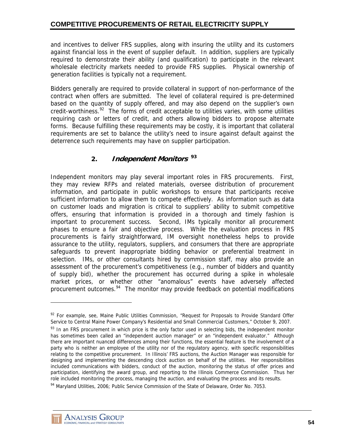and incentives to deliver FRS supplies, along with insuring the utility and its customers against financial loss in the event of supplier default. In addition, suppliers are typically required to demonstrate their ability (and qualification) to participate in the relevant wholesale electricity markets needed to provide FRS supplies. Physical ownership of generation facilities is typically not a requirement.

Bidders generally are required to provide collateral in support of non-performance of the contract when offers are submitted. The level of collateral required is pre-determined based on the quantity of supply offered, and may also depend on the supplier's own credit-worthiness.<sup>[92](#page-64-0)</sup> The forms of credit acceptable to utilities varies, with some utilities requiring cash or letters of credit, and others allowing bidders to propose alternate forms. Because fulfilling these requirements may be costly, it is important that collateral requirements are set to balance the utility's need to insure against default against the deterrence such requirements may have on supplier participation.

# **2. Independent Monitors [93](#page-64-1)**

Independent monitors may play several important roles in FRS procurements. First, they may review RFPs and related materials, oversee distribution of procurement information, and participate in public workshops to ensure that participants receive sufficient information to allow them to compete effectively. As information such as data on customer loads and migration is critical to suppliers' ability to submit competitive offers, ensuring that information is provided in a thorough and timely fashion is important to procurement success. Second, IMs typically monitor all procurement phases to ensure a fair and objective process. While the evaluation process in FRS procurements is fairly straightforward, IM oversight nonetheless helps to provide assurance to the utility, regulators, suppliers, and consumers that there are appropriate safeguards to prevent inappropriate bidding behavior or preferential treatment in selection. IMs, or other consultants hired by commission staff, may also provide an assessment of the procurement's competitiveness (e.g., number of bidders and quantity of supply bid), whether the procurement has occurred during a spike in wholesale market prices, or whether other "anomalous" events have adversely affected procurement outcomes.<sup>[94](#page-64-2)</sup> The monitor may provide feedback on potential modifications

<span id="page-64-0"></span><sup>92</sup> For example, see, Maine Public Utilities Commission, "Request for Proposals to Provide Standard Offer Service to Central Maine Power Company's Residential and Small Commercial Customers," October 9, 2007.

<span id="page-64-1"></span><sup>93</sup> In an FRS procurement in which price is the only factor used in selecting bids, the independent monitor has sometimes been called an "independent auction manager" or an "independent evaluator." Although there are important nuanced differences among their functions, the essential feature is the involvement of a party who is neither an employee of the utility nor of the regulatory agency, with specific responsibilities relating to the competitive procurement. In Illinois' FRS auctions, the Auction Manager was responsible for designing and implementing the descending clock auction on behalf of the utilities. Her responsibilities included communications with bidders, conduct of the auction, monitoring the status of offer prices and participation, identifying the award group, and reporting to the Illinois Commerce Commission. Thus her role included monitoring the process, managing the auction, and evaluating the process and its results.

<span id="page-64-2"></span><sup>94</sup> Maryland Utilities, 2006; Public Service Commission of the State of Delaware, Order No. 7053.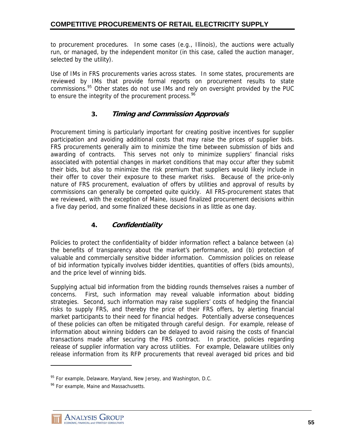to procurement procedures. In some cases (e.g., Illinois), the auctions were actually run, or managed, by the independent monitor (in this case, called the auction manager, selected by the utility).

Use of IMs in FRS procurements varies across states. In some states, procurements are reviewed by IMs that provide formal reports on procurement results to state commissions.<sup>[95](#page-65-0)</sup> Other states do not use IMs and rely on oversight provided by the PUC to ensure the integrity of the procurement process.<sup>[96](#page-65-1)</sup>

#### **3. Timing and Commission Approvals**

Procurement timing is particularly important for creating positive incentives for supplier participation and avoiding additional costs that may raise the prices of supplier bids. FRS procurements generally aim to minimize the time between submission of bids and awarding of contracts. This serves not only to minimize suppliers' financial risks associated with potential changes in market conditions that may occur after they submit their bids, but also to minimize the risk premium that suppliers would likely include in their offer to cover their exposure to these market risks. Because of the price-only nature of FRS procurement, evaluation of offers by utilities and approval of results by commissions can generally be competed quite quickly. All FRS-procurement states that we reviewed, with the exception of Maine, issued finalized procurement decisions within a five day period, and some finalized these decisions in as little as one day.

## **4. Confidentiality**

Policies to protect the confidentiality of bidder information reflect a balance between (a) the benefits of transparency about the market's performance, and (b) protection of valuable and commercially sensitive bidder information. Commission policies on release of bid information typically involves bidder identities, quantities of offers (bids amounts), and the price level of winning bids.

Supplying actual bid information from the bidding rounds themselves raises a number of concerns. First, such information may reveal valuable information about bidding strategies. Second, such information may raise suppliers' costs of hedging the financial risks to supply FRS, and thereby the price of their FRS offers, by alerting financial market participants to their need for financial hedges. Potentially adverse consequences of these policies can often be mitigated through careful design. For example, release of information about winning bidders can be delayed to avoid raising the costs of financial transactions made after securing the FRS contract. In practice, policies regarding release of supplier information vary across utilities. For example, Delaware utilities only release information from its RFP procurements that reveal averaged bid prices and bid

<span id="page-65-0"></span><sup>95</sup> For example, Delaware, Maryland, New Jersey, and Washington, D.C.

<span id="page-65-1"></span><sup>&</sup>lt;sup>96</sup> For example, Maine and Massachusetts.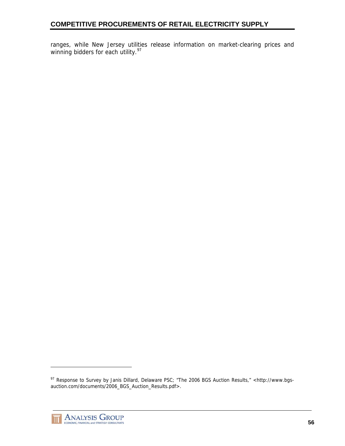ranges, while New Jersey utilities release information on market-clearing prices and winning bidders for each utility.<sup>[97](#page-66-0)</sup>

<span id="page-66-0"></span><sup>&</sup>lt;sup>97</sup> Response to Survey by Janis Dillard, Delaware PSC; "The 2006 BGS Auction Results," <http://www.bgsauction.com/documents/2006\_BGS\_Auction\_Results.pdf>.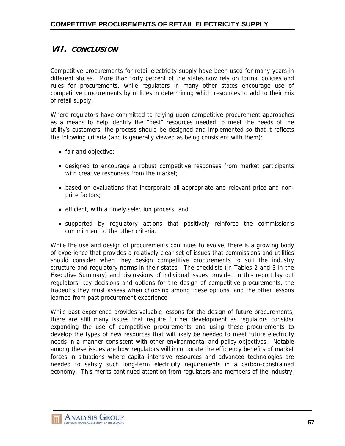# **VII. CONCLUSION**

Competitive procurements for retail electricity supply have been used for many years in different states. More than forty percent of the states now rely on formal policies and rules for procurements, while regulators in many other states encourage use of competitive procurements by utilities in determining which resources to add to their mix of retail supply.

Where regulators have committed to relying upon competitive procurement approaches as a means to help identify the "best" resources needed to meet the needs of the utility's customers, the process should be designed and implemented so that it reflects the following criteria (and is generally viewed as being consistent with them):

- fair and objective;
- designed to encourage a robust competitive responses from market participants with creative responses from the market;
- based on evaluations that incorporate all appropriate and relevant price and nonprice factors;
- efficient, with a timely selection process; and
- supported by regulatory actions that positively reinforce the commission's commitment to the other criteria.

While the use and design of procurements continues to evolve, there is a growing body of experience that provides a relatively clear set of issues that commissions and utilities should consider when they design competitive procurements to suit the industry structure and regulatory norms in their states. The checklists (in Tables 2 and 3 in the Executive Summary) and discussions of individual issues provided in this report lay out regulators' key decisions and options for the design of competitive procurements, the tradeoffs they must assess when choosing among these options, and the other lessons learned from past procurement experience.

While past experience provides valuable lessons for the design of future procurements, there are still many issues that require further development as regulators consider expanding the use of competitive procurements and using these procurements to develop the types of new resources that will likely be needed to meet future electricity needs in a manner consistent with other environmental and policy objectives. Notable among these issues are how regulators will incorporate the efficiency benefits of market forces in situations where capital-intensive resources and advanced technologies are needed to satisfy such long-term electricity requirements in a carbon-constrained economy. This merits continued attention from regulators and members of the industry.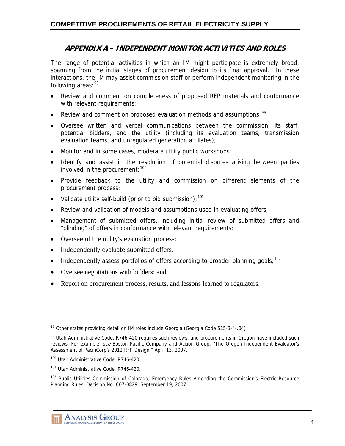#### **APPENDIX A – INDEPENDENT MONITOR ACTIVITIES AND ROLES**

The range of potential activities in which an IM might participate is extremely broad, spanning from the initial stages of procurement design to its final approval. In these interactions, the IM may assist commission staff or perform independent monitoring in the following areas: [98](#page-68-0)

- Review and comment on completeness of proposed RFP materials and conformance with relevant requirements;
- Review and comment on proposed evaluation methods and assumptions;  $99$
- Oversee written and verbal communications between the commission, its staff, potential bidders, and the utility (including its evaluation teams, transmission evaluation teams, and unregulated generation affiliates);
- Monitor and in some cases, moderate utility public workshops;
- Identify and assist in the resolution of potential disputes arising between parties involved in the procurement;  $100$
- Provide feedback to the utility and commission on different elements of the procurement process;
- Validate utility self-build (prior to bid submission); $^{101}$  $^{101}$  $^{101}$
- Review and validation of models and assumptions used in evaluating offers;
- Management of submitted offers, including initial review of submitted offers and "blinding" of offers in conformance with relevant requirements;
- Oversee of the utility's evaluation process;
- Independently evaluate submitted offers;
- Independently assess portfolios of offers according to broader planning goals;  $102$
- Oversee negotiations with bidders; and
- Report on procurement process, results, and lessons learned to regulators.

<span id="page-68-0"></span> $98$  Other states providing detail on IM roles include Georgia (Georgia Code 515-3-4-.04)

<span id="page-68-1"></span><sup>&</sup>lt;sup>99</sup> Utah Administrative Code, R746-420 requires such reviews, and procurements in Oregon have included such reviews. For example, see Boston Pacific Company and Accion Group, "The Oregon Independent Evaluator's Assessment of PacifiCorp's 2012 RFP Design," April 13, 2007.

<span id="page-68-2"></span><sup>100</sup> Utah Administrative Code, R746-420.

<span id="page-68-3"></span><sup>101</sup> Utah Administrative Code, R746-420.

<span id="page-68-4"></span><sup>102</sup> Public Utilities Commission of Colorado, Emergency Rules Amending the Commission's Electric Resource Planning Rules, Decision No. C07-0829, September 19, 2007.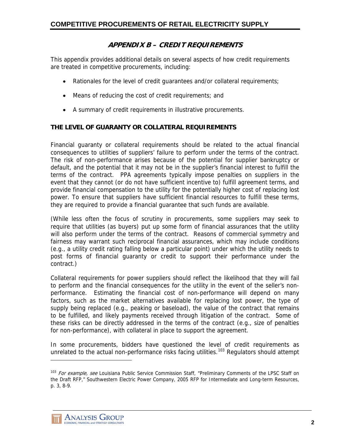# **APPENDIX B – CREDIT REQUIREMENTS**

This appendix provides additional details on several aspects of how credit requirements are treated in competitive procurements, including:

- Rationales for the level of credit guarantees and/or collateral requirements;
- Means of reducing the cost of credit requirements; and
- A summary of credit requirements in illustrative procurements.

#### **THE LEVEL OF GUARANTY OR COLLATERAL REQUIREMENTS**

Financial guaranty or collateral requirements should be related to the actual financial consequences to utilities of suppliers' failure to perform under the terms of the contract. The risk of non-performance arises because of the potential for supplier bankruptcy or default, and the potential that it may not be in the supplier's financial interest to fulfill the terms of the contract. PPA agreements typically impose penalties on suppliers in the event that they cannot (or do not have sufficient incentive to) fulfill agreement terms, and provide financial compensation to the utility for the potentially higher cost of replacing lost power. To ensure that suppliers have sufficient financial resources to fulfill these terms, they are required to provide a financial guarantee that such funds are available.

(While less often the focus of scrutiny in procurements, some suppliers may seek to require that utilities (as buyers) put up some form of financial assurances that the utility will also perform under the terms of the contract. Reasons of commercial symmetry and fairness may warrant such reciprocal financial assurances, which may include conditions (e.g., a utility credit rating falling below a particular point) under which the utility needs to post forms of financial guaranty or credit to support their performance under the contract.)

Collateral requirements for power suppliers should reflect the likelihood that they will fail to perform and the financial consequences for the utility in the event of the seller's nonperformance. Estimating the financial cost of non-performance will depend on many factors, such as the market alternatives available for replacing lost power, the type of supply being replaced (e.g., peaking or baseload), the value of the contract that remains to be fulfilled, and likely payments received through litigation of the contract. Some of these risks can be directly addressed in the terms of the contract (e.g., size of penalties for non-performance), with collateral in place to support the agreement.

In some procurements, bidders have questioned the level of credit requirements as unrelated to the actual non-performance risks facing utilities.<sup>[103](#page-69-0)</sup> Regulators should attempt  $\overline{a}$ 

<span id="page-69-0"></span><sup>&</sup>lt;sup>103</sup> For example, see Louisiana Public Service Commission Staff, "Preliminary Comments of the LPSC Staff on the Draft RFP," Southwestern Electric Power Company, 2005 RFP for Intermediate and Long-term Resources, p. 3, 8-9.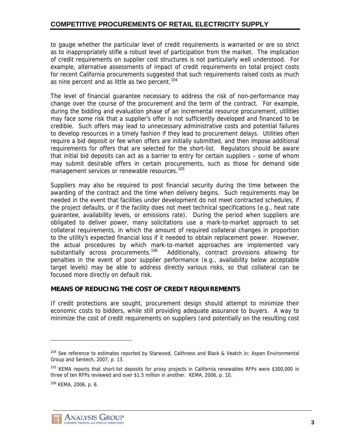to gauge whether the particular level of credit requirements is warranted or are so strict as to inappropriately stifle a robust level of participation from the market. The implication of credit requirements on supplier cost structures is not particularly well understood. For example, alternative assessments of impact of credit requirements on total project costs for recent California procurements suggested that such requirements raised costs as much as nine percent and as little as two percent.<sup>[104](#page-70-0)</sup>

The level of financial guarantee necessary to address the risk of non-performance may change over the course of the procurement and the term of the contract. For example, during the bidding and evaluation phase of an incremental resource procurement, utilities may face some risk that a supplier's offer is not sufficiently developed and financed to be credible. Such offers may lead to unnecessary administrative costs and potential failures to develop resources in a timely fashion if they lead to procurement delays. Utilities often require a bid deposit or fee when offers are initially submitted, and then impose additional requirements for offers that are selected for the short-list. Regulators should be aware that initial bid deposits can act as a barrier to entry for certain suppliers – some of whom may submit desirable offers in certain procurements, such as those for demand side management services or renewable resources.<sup>[105](#page-70-1)</sup>

Suppliers may also be required to post financial security during the time between the awarding of the contract and the time when delivery begins. Such requirements may be needed in the event that facilities under development do not meet contracted schedules, if the project defaults, or if the facility does not meet technical specifications (e.g., heat rate guarantee, availability levels, or emissions rate). During the period when suppliers are obligated to deliver power, many solicitations use a mark-to-market approach to set collateral requirements, in which the amount of required collateral changes in proportion to the utility's expected financial loss if it needed to obtain replacement power. However, the actual procedures by which mark-to-market approaches are implemented vary substantially across procurements.<sup>[106](#page-70-2)</sup> Additionally, contract provisions allowing for penalties in the event of poor supplier performance (e.g., availability below acceptable target levels) may be able to address directly various risks, so that collateral can be focused more directly on default risk.

#### **MEANS OF REDUCING THE COST OF CREDIT REQUIREMENTS**

If credit protections are sought, procurement design should attempt to minimize their economic costs to bidders, while still providing adequate assurance to buyers. A way to minimize the cost of credit requirements on suppliers (and potentially on the resulting cost

<span id="page-70-0"></span><sup>104</sup> See reference to estimates reported by Starwood, Caithness and Black & Veatch in: Aspen Environmental Group and Sentech, 2007, p. 13.

<span id="page-70-1"></span><sup>&</sup>lt;sup>105</sup> KEMA reports that short-list deposits for proxy projects in California renewables RFPs were \$300,000 in three of ten RFPs reviewed and over \$1.5 million in another. KEMA, 2006, p. 10.

<span id="page-70-2"></span><sup>106</sup> KEMA, 2006, p. 6.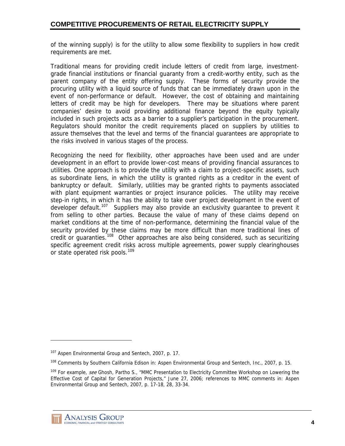of the winning supply) is for the utility to allow some flexibility to suppliers in how credit requirements are met.

Traditional means for providing credit include letters of credit from large, investmentgrade financial institutions or financial guaranty from a credit-worthy entity, such as the parent company of the entity offering supply. These forms of security provide the procuring utility with a liquid source of funds that can be immediately drawn upon in the event of non-performance or default. However, the cost of obtaining and maintaining letters of credit may be high for developers. There may be situations where parent companies' desire to avoid providing additional finance beyond the equity typically included in such projects acts as a barrier to a supplier's participation in the procurement. Regulators should monitor the credit requirements placed on suppliers by utilities to assure themselves that the level and terms of the financial guarantees are appropriate to the risks involved in various stages of the process.

Recognizing the need for flexibility, other approaches have been used and are under development in an effort to provide lower-cost means of providing financial assurances to utilities. One approach is to provide the utility with a claim to project-specific assets, such as subordinate liens, in which the utility is granted rights as a creditor in the event of bankruptcy or default. Similarly, utilities may be granted rights to payments associated with plant equipment warranties or project insurance policies. The utility may receive step-in rights, in which it has the ability to take over project development in the event of developer default.<sup>[107](#page-71-0)</sup> Suppliers may also provide an exclusivity quarantee to prevent it from selling to other parties. Because the value of many of these claims depend on market conditions at the time of non-performance, determining the financial value of the security provided by these claims may be more difficult than more traditional lines of credit or guaranties.<sup>[108](#page-71-1)</sup> Other approaches are also being considered, such as securitizing specific agreement credit risks across multiple agreements, power supply clearinghouses or state operated risk pools.<sup>[109](#page-71-2)</sup>

<span id="page-71-0"></span><sup>107</sup> Aspen Environmental Group and Sentech, 2007, p. 17.

<span id="page-71-1"></span><sup>108</sup> Comments by Southern California Edison in: Aspen Environmental Group and Sentech, Inc., 2007, p. 15.

<span id="page-71-2"></span><sup>&</sup>lt;sup>109</sup> For example, see Ghosh, Partho S., "MMC Presentation to Electricity Committee Workshop on Lowering the Effective Cost of Capital for Generation Projects," June 27, 2006; references to MMC comments in: Aspen Environmental Group and Sentech, 2007, p. 17-18, 28, 33-34.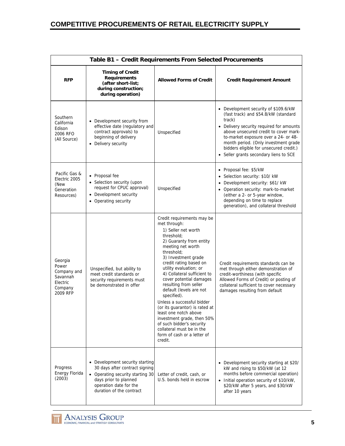|                                                                                | Table B1 - Credit Requirements From Selected Procurements                                                                                                                            |                                                                                                                                                                                                                                                                                                                                                                                                                                                                                                                                                                                  |                                                                                                                                                                                                                                                                                                                                                  |
|--------------------------------------------------------------------------------|--------------------------------------------------------------------------------------------------------------------------------------------------------------------------------------|----------------------------------------------------------------------------------------------------------------------------------------------------------------------------------------------------------------------------------------------------------------------------------------------------------------------------------------------------------------------------------------------------------------------------------------------------------------------------------------------------------------------------------------------------------------------------------|--------------------------------------------------------------------------------------------------------------------------------------------------------------------------------------------------------------------------------------------------------------------------------------------------------------------------------------------------|
| <b>RFP</b>                                                                     | <b>Timing of Credit</b><br><b>Requirements</b><br>(after short-list;<br>during construction;<br>during operation)                                                                    | <b>Allowed Forms of Credit</b>                                                                                                                                                                                                                                                                                                                                                                                                                                                                                                                                                   | <b>Credit Requirement Amount</b>                                                                                                                                                                                                                                                                                                                 |
| Southern<br>California<br>Edison<br>2006 RFO<br>(All Source)                   | • Development security from<br>effective date (regulatory and<br>contract approvals) to<br>beginning of delivery<br>• Delivery security                                              | Unspecified                                                                                                                                                                                                                                                                                                                                                                                                                                                                                                                                                                      | • Development security of \$109.6/kW<br>(fast track) and \$54.8/kW (standard<br>track)<br>• Delivery security required for amounts<br>above unsecured credit to cover mark-<br>to-market exposure over a 24- or 48-<br>month period. (Only investment grade<br>bidders eligible for unsecured credit.)<br>• Seller grants secondary liens to SCE |
| Pacific Gas &<br>Electric 2005<br>(New<br>Generation<br>Resources)             | • Proposal fee<br>• Selection security (upon<br>request for CPUC approval)<br>• Development security<br>• Operating security                                                         | Unspecified                                                                                                                                                                                                                                                                                                                                                                                                                                                                                                                                                                      | • Proposal fee: \$5/kW<br>• Selection security: \$10/ kW<br>• Development security: \$61/ kW<br>• Operation security: mark-to-market<br>(either a 2- or 5-year window,<br>depending on time to replace<br>generation), and collateral threshold                                                                                                  |
| Georgia<br>Power<br>Company and<br>Savannah<br>Electric<br>Company<br>2009 RFP | Unspecified, but ability to<br>meet credit standards or<br>security requirements must<br>be demonstrated in offer                                                                    | Credit requirements may be<br>met through:<br>1) Seller net worth<br>threshold:<br>2) Guaranty from entity<br>meeting net worth<br>threshold;<br>3) Investment grade<br>credit rating based on<br>utility evaluation; or<br>4) Collateral sufficient to<br>cover potential damages<br>resulting from seller<br>default (levels are not<br>specified).<br>Unless a successful bidder<br>(or its guarantor) is rated at<br>least one notch above<br>investment grade, then 50%<br>of such bidder's security<br>collateral must be in the<br>form of cash or a letter of<br>credit. | Credit requirements standards can be<br>met through either demonstration of<br>credit-worthiness (with specific<br>Allowed Forms of Credit) or posting of<br>collateral sufficient to cover necessary<br>damages resulting from default                                                                                                          |
| Progress<br>Energy Florida<br>(2003)                                           | • Development security starting<br>30 days after contract signing<br>• Operating security starting 30<br>days prior to planned<br>operation date for the<br>duration of the contract | Letter of credit, cash, or<br>U.S. bonds held in escrow                                                                                                                                                                                                                                                                                                                                                                                                                                                                                                                          | • Development security starting at \$20/<br>kW and rising to \$50/kW (at 12<br>months before commercial operation)<br>• Initial operation security of \$10/kW,<br>\$20/kW after 5 years, and \$30/kW<br>after 10 years                                                                                                                           |

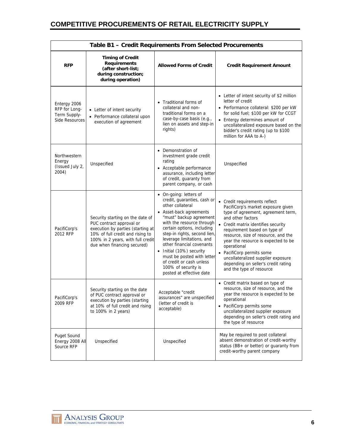|                                                                        | Table B1 - Credit Requirements From Selected Procurements                                                                                                                                                 |                                                                                                                                                                                                                                                                                                                                                                                                                               |                                                                                                                                                                                                                                                                                                                                                                                                                                          |  |  |  |  |  |
|------------------------------------------------------------------------|-----------------------------------------------------------------------------------------------------------------------------------------------------------------------------------------------------------|-------------------------------------------------------------------------------------------------------------------------------------------------------------------------------------------------------------------------------------------------------------------------------------------------------------------------------------------------------------------------------------------------------------------------------|------------------------------------------------------------------------------------------------------------------------------------------------------------------------------------------------------------------------------------------------------------------------------------------------------------------------------------------------------------------------------------------------------------------------------------------|--|--|--|--|--|
| <b>RFP</b>                                                             | <b>Timing of Credit</b><br><b>Requirements</b><br>(after short-list;<br>during construction;<br>during operation)                                                                                         | <b>Allowed Forms of Credit</b>                                                                                                                                                                                                                                                                                                                                                                                                | <b>Credit Requirement Amount</b>                                                                                                                                                                                                                                                                                                                                                                                                         |  |  |  |  |  |
| Entergy 2006<br>RFP for Long-<br>Term Supply-<br><b>Side Resources</b> | • Letter of intent security<br>• Performance collateral upon<br>execution of agreement                                                                                                                    | • Traditional forms of<br>collateral and non-<br>traditional forms on a<br>case-by-case basis (e.g.,<br>lien on assets and step-in<br>rights)                                                                                                                                                                                                                                                                                 | • Letter of intent security of \$2 million<br>letter of credit<br>• Performance collateral: \$200 per kW<br>for solid fuel; \$100 per kW for CCGT<br>• Entergy determines amount of<br>uncollateralized exposure based on the<br>bidder's credit rating (up to \$100<br>million for AAA to A-)                                                                                                                                           |  |  |  |  |  |
| Northwestern<br>Energy<br>(Issued July 2,<br>2004)                     | Unspecified                                                                                                                                                                                               | • Demonstration of<br>investment grade credit<br>rating<br>• Acceptable performance<br>assurance, including letter<br>of credit, guaranty from<br>parent company, or cash                                                                                                                                                                                                                                                     | Unspecified                                                                                                                                                                                                                                                                                                                                                                                                                              |  |  |  |  |  |
| PacifiCorp's<br>2012 RFP                                               | Security starting on the date of<br>PUC contract approval or<br>execution by parties (starting at<br>10% of full credit and rising to<br>100% in 2 years, with full credit<br>due when financing secured) | • On-going: letters of<br>credit, guaranties, cash or<br>other collateral<br>• Asset-back agreements<br>"must" backup agreement<br>with the resource through<br>certain options, including<br>step-in rights, second lien,<br>leverage limitations, and<br>other financial covenants<br>• Initial (10%) security<br>must be posted with letter<br>of credit or cash unless<br>100% of security is<br>posted at effective date | • Credit requirements reflect<br>PacifiCorp's market exposure given<br>type of agreement, agreement term,<br>and other factors<br>• Credit matrix identifies security<br>requirement based on type of<br>resource, size of resource, and the<br>year the resource is expected to be<br>operational<br>• PacifiCorp permits some<br>uncollateralized supplier exposure<br>depending on seller's credit rating<br>and the type of resource |  |  |  |  |  |
| PacifiCorp's<br>2009 RFP                                               | Security starting on the date<br>of PUC contract approval or<br>execution by parties (starting<br>at 10% of full credit and rising<br>to 100% in 2 years)                                                 | Acceptable "credit<br>assurances" are unspecified<br>(letter of credit is<br>acceptable)                                                                                                                                                                                                                                                                                                                                      | • Credit matrix based on type of<br>resource, size of resource, and the<br>year the resource is expected to be<br>operational<br>• PacifiCorp permits some<br>uncollateralized supplier exposure<br>depending on seller's credit rating and<br>the type of resource                                                                                                                                                                      |  |  |  |  |  |
| Puget Sound<br>Energy 2008 All<br>Source RFP                           | Unspecified                                                                                                                                                                                               | Unspecified                                                                                                                                                                                                                                                                                                                                                                                                                   | May be required to post collateral<br>absent demonstration of credit-worthy<br>status (BB+ or better) or quaranty from<br>credit-worthy parent company                                                                                                                                                                                                                                                                                   |  |  |  |  |  |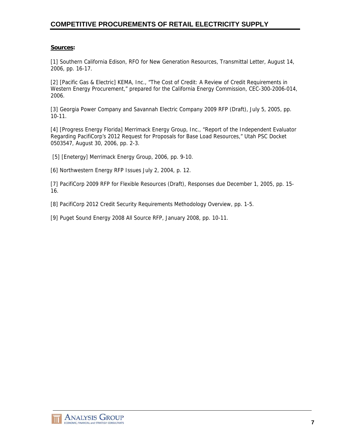#### **Sources:**

[1] Southern California Edison, RFO for New Generation Resources, Transmittal Letter, August 14, 2006, pp. 16-17.

[2] [Pacific Gas & Electric] KEMA, Inc., "The Cost of Credit: A Review of Credit Requirements in Western Energy Procurement," prepared for the California Energy Commission, CEC-300-2006-014, 2006.

[3] Georgia Power Company and Savannah Electric Company 2009 RFP (Draft), July 5, 2005, pp. 10-11.

[4] [Progress Energy Florida] Merrimack Energy Group, Inc., "Report of the Independent Evaluator Regarding PacifiCorp's 2012 Request for Proposals for Base Load Resources," Utah PSC Docket 0503547, August 30, 2006, pp. 2-3.

- [5] [Enetergy] Merrimack Energy Group, 2006, pp. 9-10.
- [6] Northwestern Energy RFP Issues July 2, 2004, p. 12.

[7] PacifiCorp 2009 RFP for Flexible Resources (Draft), Responses due December 1, 2005, pp. 15- 16.

[8] PacifiCorp 2012 Credit Security Requirements Methodology Overview, pp. 1-5.

[9] Puget Sound Energy 2008 All Source RFP, January 2008, pp. 10-11.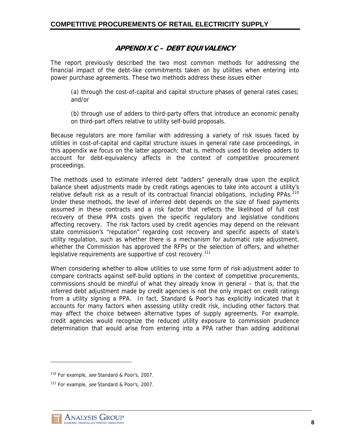### **APPENDIX C – DEBT EQUIVALENCY**

The report previously described the two most common methods for addressing the financial impact of the debt-like commitments taken on by utilities when entering into power purchase agreements. These two methods address these issues either

(a) through the cost-of-capital and capital structure phases of general rates cases; and/or

(b) through use of adders to third-party offers that introduce an economic penalty on third-part offers relative to utility self-build proposals.

Because regulators are more familiar with addressing a variety of risk issues faced by utilities in cost-of-capital and capital structure issues in general rate case proceedings, in this appendix we focus on the latter approach; that is, methods used to develop adders to account for debt-equivalency affects in the context of competitive procurement proceedings.

The methods used to estimate inferred debt "adders" generally draw upon the explicit balance sheet adjustments made by credit ratings agencies to take into account a utility's relative default risk as a result of its contractual financial obligations, including PPAs.<sup>110</sup> Under these methods, the level of inferred debt depends on the size of fixed payments assumed in these contracts and a risk factor that reflects the likelihood of full cost recovery of these PPA costs given the specific regulatory and legislative conditions affecting recovery. The risk factors used by credit agencies may depend on the relevant state commission's "reputation" regarding cost recovery and specific aspects of state's utility regulation, such as whether there is a mechanism for automatic rate adjustment, whether the Commission has approved the RFPs or the selection of offers, and whether legislative requirements are supportive of cost recovery.<sup>[111](#page-75-1)</sup>

When considering whether to allow utilities to use some form of risk-adjustment adder to compare contracts against self-build options in the context of competitive procurements, commissions should be mindful of what they already know in general – that is, that the inferred debt adjustment made by credit agencies is not the only impact on credit ratings from a utility signing a PPA. In fact, Standard & Poor's has explicitly indicated that it accounts for many factors when assessing utility credit risk, including other factors that may affect the choice between alternative types of supply agreements. For example, credit agencies would recognize the reduced utility exposure to commission prudence determination that would arise from entering into a PPA rather than adding additional

<span id="page-75-0"></span><sup>110</sup> For example, see Standard & Poor's, 2007.

<span id="page-75-1"></span><sup>&</sup>lt;sup>111</sup> For example, see Standard & Poor's, 2007.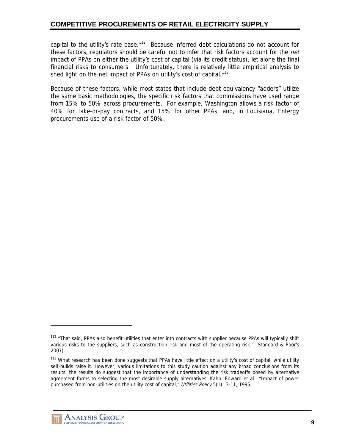capital to the utility's rate base.<sup>[112](#page-76-0)</sup> Because inferred debt calculations do not account for these factors, regulators should be careful not to infer that risk factors account for the *net* impact of PPAs on either the utility's cost of capital (via its credit status), let alone the final financial risks to consumers. Unfortunately, there is relatively little empirical analysis to shed light on the net impact of PPAs on utility's cost of capital.<sup>[113](#page-76-1)</sup>

Because of these factors, while most states that include debt equivalency "adders" utilize the same basic methodologies, the specific risk factors that commissions have used range from 15% to 50% across procurements. For example, Washington allows a risk factor of 40% for take-or-pay contracts, and 15% for other PPAs, and, in Louisiana, Entergy procurements use of a risk factor of 50%.

<span id="page-76-0"></span><sup>&</sup>lt;sup>112</sup> "That said, PPAs also benefit utilities that enter into contracts with supplier because PPAs will typically shift various risks to the suppliers, such as construction risk and most of the operating risk." Standard & Poor's 2007).

<span id="page-76-1"></span><sup>&</sup>lt;sup>113</sup> What research has been done suggests that PPAs have little effect on a utility's cost of capital, while utility self-builds raise it. However, various limitations to this study caution against any broad conclusions from its results, the results do suggest that the importance of understanding the risk tradeoffs posed by alternative agreement forms to selecting the most desirable supply alternatives. Kahn, Edward et al., "Impact of power purchased from non-utilities on the utility cost of capital," Utilities Policy 5(1): 3-11, 1995.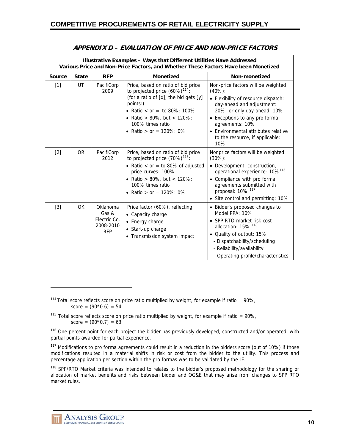|               | Illustrative Examples - Ways that Different Utilities Have Addressed<br>Various Price and Non-Price Factors, and Whether These Factors Have been Monetized |                                                              |                                                                                                                                                                                                                                                                |                                                                                                                                                                                                                                                                                          |  |  |  |
|---------------|------------------------------------------------------------------------------------------------------------------------------------------------------------|--------------------------------------------------------------|----------------------------------------------------------------------------------------------------------------------------------------------------------------------------------------------------------------------------------------------------------------|------------------------------------------------------------------------------------------------------------------------------------------------------------------------------------------------------------------------------------------------------------------------------------------|--|--|--|
| <b>Source</b> | <b>State</b>                                                                                                                                               | <b>RFP</b>                                                   | <b>Monetized</b>                                                                                                                                                                                                                                               | Non-monetized                                                                                                                                                                                                                                                                            |  |  |  |
| $[1]$         | UT                                                                                                                                                         | PacifiCorp<br>2009                                           | Price, based on ratio of bid price<br>to projected price $(60\%)$ <sup>114</sup> :<br>(for a ratio of $[x]$ , the bid gets $[y]$<br>points:)<br>• Ratio $\lt$ or $=$ to 80%: 100%<br>• Ratio > 80%, but < 120%:<br>100% times ratio<br>• Ratio > or = 120%: 0% | Non-price factors will be weighted<br>$(40\%)$ :<br>• Flexibility of resource dispatch:<br>day-ahead and adjustment:<br>20%; or only day-ahead: 10%<br>• Exceptions to any pro forma<br>agreements: 10%<br>• Environmental attributes relative<br>to the resource, if applicable:<br>10% |  |  |  |
| $[2]$         | <b>OR</b>                                                                                                                                                  | PacifiCorp<br>2012                                           | Price, based on ratio of bid price<br>to projected price $(70\%)$ <sup>115</sup> :<br>• Ratio $\lt$ or = to 80% of adjusted<br>price curves: 100%<br>• Ratio > 80%, but < 120%:<br>100% times ratio<br>• Ratio $>$ or = 120%: 0%                               | Nonprice factors will be weighted<br>$(30\%)$ :<br>• Development, construction,<br>operational experience: 10% <sup>116</sup><br>• Compliance with pro forma<br>agreements submitted with<br>proposal: 10% 117<br>• Site control and permitting: 10%                                     |  |  |  |
| $[3]$         | <b>OK</b>                                                                                                                                                  | Oklahoma<br>Gas &<br>Electric Co.<br>2008-2010<br><b>RFP</b> | Price factor (60%), reflecting:<br>• Capacity charge<br>• Energy charge<br>• Start-up charge<br>• Transmission system impact                                                                                                                                   | • Bidder's proposed changes to<br>Model PPA: 10%<br>• SPP RTO market risk cost<br>allocation: 15% 118<br>• Quality of output: 15%<br>- Dispatchability/scheduling<br>- Reliability/availability<br>- Operating profile/characteristics                                                   |  |  |  |

### **APPENDIX D – EVALUATION OF PRICE AND NON-PRICE FACTORS**

<span id="page-77-1"></span><sup>115</sup> Total score reflects score on price ratio multiplied by weight, for example if ratio = 90%, score =  $(90*0.7) = 63$ .

<span id="page-77-2"></span><sup>116</sup> One percent point for each project the bidder has previously developed, constructed and/or operated, with partial points awarded for partial experience.

<span id="page-77-3"></span><sup>117</sup> Modifications to pro forma agreements could result in a reduction in the bidders score (out of 10%) if those modifications resulted in a material shifts in risk or cost from the bidder to the utility. This process and percentage application per section within the pro formas was to be validated by the IE.

<span id="page-77-4"></span>118 SPP/RTO Market criteria was intended to relates to the bidder's proposed methodology for the sharing or allocation of market benefits and risks between bidder and OG&E that may arise from changes to SPP RTO market rules.

<span id="page-77-0"></span><sup>&</sup>lt;sup>114</sup> Total score reflects score on price ratio multiplied by weight, for example if ratio = 90%, score =  $(90*0.6) = 54$ .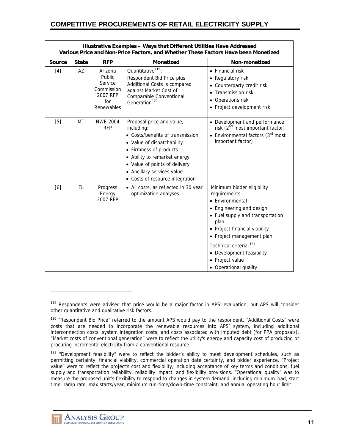|               | Illustrative Examples - Ways that Different Utilities Have Addressed<br>Various Price and Non-Price Factors, and Whether These Factors Have been Monetized |                                                                             |                                                                                                                                                                                                                                                                       |                                                                                                                                                                                                                                                                                                          |  |  |  |  |
|---------------|------------------------------------------------------------------------------------------------------------------------------------------------------------|-----------------------------------------------------------------------------|-----------------------------------------------------------------------------------------------------------------------------------------------------------------------------------------------------------------------------------------------------------------------|----------------------------------------------------------------------------------------------------------------------------------------------------------------------------------------------------------------------------------------------------------------------------------------------------------|--|--|--|--|
| <b>Source</b> | <b>State</b>                                                                                                                                               | <b>RFP</b>                                                                  | <b>Monetized</b>                                                                                                                                                                                                                                                      | Non-monetized                                                                                                                                                                                                                                                                                            |  |  |  |  |
| $[4]$         | AZ                                                                                                                                                         | Arizona<br>Public<br>Service<br>Commission<br>2007 RFP<br>for<br>Renewables | Quantitative <sup>119</sup> :<br>Respondent Bid Price plus<br>Additional Costs is compared<br>against Market Cost of<br>Comparable Conventional<br>Generation <sup>120</sup>                                                                                          | • Financial risk<br>• Regulatory risk<br>• Counterparty credit risk<br>• Transmission risk<br>• Operations risk<br>• Project development risk                                                                                                                                                            |  |  |  |  |
| $[5]$         | МT                                                                                                                                                         | <b>NWE 2004</b><br><b>RFP</b>                                               | Proposal price and value,<br>including:<br>• Costs/benefits of transmission<br>• Value of dispatchability<br>• Firmness of products<br>• Ability to remarket energy<br>• Value of points of delivery<br>• Ancillary services value<br>• Costs of resource integration | • Development and performance<br>risk (2 <sup>nd</sup> most important factor)<br>• Environmental factors (3rd most<br>important factor)                                                                                                                                                                  |  |  |  |  |
| [6]           | <b>FL</b>                                                                                                                                                  | Progress<br>Energy<br>2007 RFP                                              | • All costs, as reflected in 30 year<br>optimization analyses                                                                                                                                                                                                         | Minimum bidder eligibility<br>requirements:<br>• Environmental<br>• Engineering and design<br>• Fuel supply and transportation<br>plan<br>• Project financial viability<br>• Project management plan<br>Technical criteria: 121<br>• Development feasibility<br>• Project value<br>• Operational quality |  |  |  |  |

<span id="page-78-0"></span><sup>&</sup>lt;sup>119</sup> Respondents were advised that price would be a major factor in APS' evaluation, but APS will consider other quantitative and qualitative risk factors.

<span id="page-78-1"></span><sup>&</sup>lt;sup>120</sup> "Respondent Bid Price" referred to the amount APS would pay to the respondent. "Additional Costs" were costs that are needed to incorporate the renewable resources into APS' system, including additional interconnection costs, system integration costs, and costs associated with imputed debt (for PPA proposals). "Market costs of conventional generation" were to reflect the utility's energy and capacity cost of producing or procuring incremental electricity from a conventional resource.

<span id="page-78-2"></span><sup>121 &</sup>quot;Development feasibility" were to reflect the bidder's ability to meet development schedules, such as permitting certainty, financial viability, commercial operation date certainty, and bidder experience. "Project value" were to reflect the project's cost and flexibility, including acceptance of key terms and conditions, fuel supply and transportation reliability, reliability impact, and flexibility provisions. "Operational quality" was to measure the proposed unit's flexibility to respond to changes in system demand, including minimum load, start time, ramp rate, max starts/year, minimum run-time/down-time constraint, and annual operating hour limit.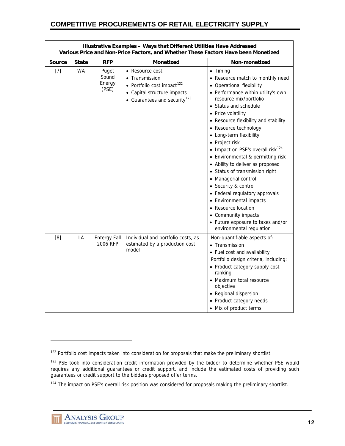|        | Illustrative Examples - Ways that Different Utilities Have Addressed<br>Various Price and Non-Price Factors, and Whether These Factors Have been Monetized |                                   |                                                                                                                                                        |                                                                                                                                                                                                                                                                                                                                                                                                                                                                                                                                                                                                                                                                                                        |  |  |  |
|--------|------------------------------------------------------------------------------------------------------------------------------------------------------------|-----------------------------------|--------------------------------------------------------------------------------------------------------------------------------------------------------|--------------------------------------------------------------------------------------------------------------------------------------------------------------------------------------------------------------------------------------------------------------------------------------------------------------------------------------------------------------------------------------------------------------------------------------------------------------------------------------------------------------------------------------------------------------------------------------------------------------------------------------------------------------------------------------------------------|--|--|--|
| Source | <b>State</b>                                                                                                                                               | <b>RFP</b>                        | <b>Monetized</b>                                                                                                                                       | Non-monetized                                                                                                                                                                                                                                                                                                                                                                                                                                                                                                                                                                                                                                                                                          |  |  |  |
| $[7]$  | <b>WA</b>                                                                                                                                                  | Puget<br>Sound<br>Energy<br>(PSE) | • Resource cost<br>• Transmission<br>• Portfolio cost impact <sup>122</sup><br>• Capital structure impacts<br>• Guarantees and security <sup>123</sup> | $\bullet$ Timing<br>• Resource match to monthly need<br>• Operational flexibility<br>• Performance within utility's own<br>resource mix/portfolio<br>• Status and schedule<br>• Price volatility<br>• Resource flexibility and stability<br>• Resource technology<br>• Long-term flexibility<br>• Project risk<br>• Impact on PSE's overall risk <sup>124</sup><br>• Environmental & permitting risk<br>• Ability to deliver as proposed<br>• Status of transmission right<br>• Managerial control<br>• Security & control<br>• Federal regulatory approvals<br>• Environmental impacts<br>• Resource location<br>• Community impacts<br>• Future exposure to taxes and/or<br>environmental regulation |  |  |  |
| [8]    | LA                                                                                                                                                         | <b>Entergy Fall</b><br>2006 RFP   | Individual and portfolio costs, as<br>estimated by a production cost<br>model                                                                          | Non-quantifiable aspects of:<br>• Transmission<br>• Fuel cost and availability<br>Portfolio design criteria, including:<br>• Product category supply cost<br>ranking<br>• Maximum total resource<br>objective<br>• Regional dispersion<br>• Product category needs<br>• Mix of product terms                                                                                                                                                                                                                                                                                                                                                                                                           |  |  |  |

<span id="page-79-0"></span><sup>&</sup>lt;sup>122</sup> Portfolio cost impacts taken into consideration for proposals that make the preliminary shortlist.

<span id="page-79-1"></span><sup>&</sup>lt;sup>123</sup> PSE took into consideration credit information provided by the bidder to determine whether PSE would requires any additional guarantees or credit support, and include the estimated costs of providing such guarantees or credit support to the bidders proposed offer terms.

<span id="page-79-2"></span><sup>&</sup>lt;sup>124</sup> The impact on PSE's overall risk position was considered for proposals making the preliminary shortlist.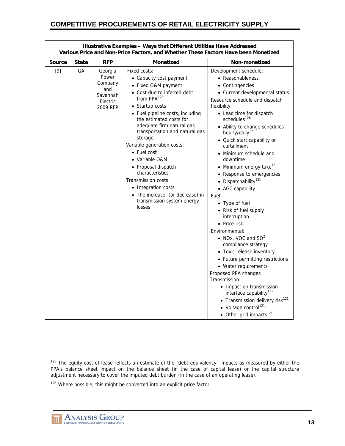| Illustrative Examples - Ways that Different Utilities Have Addressed<br>Various Price and Non-Price Factors, and Whether These Factors Have been Monetized |                                                                        |                                                                                                                                                                                                                                                                                                                                                                                                                                                                                                                                |                                                                                                                                                                                                                                                                                                                                                                                                                                                                                                                                                                                                                                                                                                                                                                                                                                                                                                                                                                              |  |  |  |
|------------------------------------------------------------------------------------------------------------------------------------------------------------|------------------------------------------------------------------------|--------------------------------------------------------------------------------------------------------------------------------------------------------------------------------------------------------------------------------------------------------------------------------------------------------------------------------------------------------------------------------------------------------------------------------------------------------------------------------------------------------------------------------|------------------------------------------------------------------------------------------------------------------------------------------------------------------------------------------------------------------------------------------------------------------------------------------------------------------------------------------------------------------------------------------------------------------------------------------------------------------------------------------------------------------------------------------------------------------------------------------------------------------------------------------------------------------------------------------------------------------------------------------------------------------------------------------------------------------------------------------------------------------------------------------------------------------------------------------------------------------------------|--|--|--|
| <b>Source</b><br><b>State</b>                                                                                                                              | <b>RFP</b>                                                             | <b>Monetized</b>                                                                                                                                                                                                                                                                                                                                                                                                                                                                                                               | Non-monetized                                                                                                                                                                                                                                                                                                                                                                                                                                                                                                                                                                                                                                                                                                                                                                                                                                                                                                                                                                |  |  |  |
| $[9]$<br>GA                                                                                                                                                | Georgia<br>Power<br>Company<br>and<br>Savannah<br>Electric<br>2009 RFP | Fixed costs:<br>• Capacity cost payment<br>• Fixed O&M payment<br>• Cost due to inferred debt<br>from PPA <sup>125</sup><br>• Startup costs<br>• Fuel pipeline costs, including<br>the estimated costs for<br>adequate firm natural gas<br>transportation and natural gas<br>storage<br>Variable generation costs:<br>$\bullet$ Fuel cost<br>• Variable O&M<br>• Proposal dispatch<br>characteristics<br>Transmission costs:<br>• Integration costs<br>• The increase (or decrease) in<br>transmission system energy<br>losses | Development schedule:<br>• Reasonableness<br>• Contingencies<br>• Current developmental status<br>Resource schedule and dispatch<br>flexibility:<br>• Lead time for dispatch<br>schedules <sup>126</sup><br>• Ability to change schedules<br>hourly/daily <sup>121</sup><br>• Quick start capability or<br>curtailment<br>• Minimum schedule and<br>downtime<br>• Minimum energy take $121$<br>• Response to emergencies<br>$\bullet$ Dispatchability <sup>121</sup><br>• AGC capability<br>Fuel:<br>• Type of fuel<br>• Risk of fuel supply<br>interruption<br>• Price risk<br>Environmental:<br>• NOx. VOC and $SO2$<br>compliance strategy<br>• Toxic release inventory<br>• Future permitting restrictions<br>• Water requirements<br>Proposed PPA changes<br>Transmission:<br>• Impact on transmission<br>interface capability <sup>121</sup><br>• Transmission delivery risk <sup>121</sup><br>• Voltage control <sup>121</sup><br>• Other grid impacts <sup>121</sup> |  |  |  |

<span id="page-80-0"></span> $125$  The equity cost of lease reflects an estimate of the "debt equivalency" impacts as measured by either the PPA's balance sheet impact on the balance sheet (in the case of capital lease) or the capital structure adjustment necessary to cover the imputed debt burden (in the case of an operating lease).

<span id="page-80-1"></span><sup>126</sup> Where possible, this might be converted into an explicit price factor.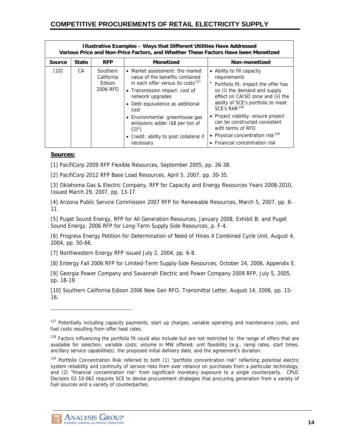|        | Illustrative Examples - Ways that Different Utilities Have Addressed<br>Various Price and Non-Price Factors, and Whether These Factors Have been Monetized |                                                     |                                                                                                                                                                                                                                                                                                                                                                        |                                                                                                                                                                                                                                                                                                                                                                                                         |  |  |  |  |
|--------|------------------------------------------------------------------------------------------------------------------------------------------------------------|-----------------------------------------------------|------------------------------------------------------------------------------------------------------------------------------------------------------------------------------------------------------------------------------------------------------------------------------------------------------------------------------------------------------------------------|---------------------------------------------------------------------------------------------------------------------------------------------------------------------------------------------------------------------------------------------------------------------------------------------------------------------------------------------------------------------------------------------------------|--|--|--|--|
| Source | <b>State</b>                                                                                                                                               | <b>RFP</b>                                          | Monetized                                                                                                                                                                                                                                                                                                                                                              | Non-monetized                                                                                                                                                                                                                                                                                                                                                                                           |  |  |  |  |
| $[10]$ | CА                                                                                                                                                         | <b>Southern</b><br>California<br>Edison<br>2006 RFO | • Market assessment: the market<br>value of the benefits contained<br>in each offer versus its costs <sup>127</sup><br>• Transmission impact: cost of<br>network upgrades<br>• Debt equivalence as additional<br>cost<br>• Environmental: greenhouse gas<br>emissions adder (\$8 per ton of<br>CO <sup>2</sup><br>• Credit: ability to post collateral if<br>necessary | • Ability to fill capacity<br>requirements<br>Portfolio fit: impact the offer has<br>on (i) the demand and supply<br>effect on CAISO zone and (ii) the<br>ability of SCE's portfolio to meet<br>SCE's RAR <sup>128</sup><br>• Project viability: ensure project<br>can be constructed consistent<br>with terms of RFO<br>• Physical concentration risk <sup>129</sup><br>• Financial concentration risk |  |  |  |  |

#### **Sources:**

 $\overline{a}$ 

[1] PacifiCorp 2009 RFP Flexible Resources, September 2005, pp. 26-38.

[2] PacifiCorp 2012 RFP Base Load Resources, April 5, 2007, pp. 30-35.

[3] Oklahoma Gas & Electric Company, RFP for Capacity and Energy Resources Years 2008-2010, Issued March 29, 2007, pp. 13-17.

[4] Arizona Public Service Commission 2007 RFP for Renewable Resources, March 5, 2007, pp. 8- 11.

[5] Puget Sound Energy, RFP for All Generation Resources, January 2008, Exhibit B; and Puget Sound Energy, 2006 RFP for Long-Term Supply Side Resources, p. F-4.

[6] Progress Energy Petition for Determination of Need of Hines 4 Combined Cycle Unit, August 4, 2004, pp. 50-66.

[7] Northwestern Energy RFP issued July 2, 2004, pp. 6-8.

[8] Entergy Fall 2006 RFP for Limited-Term Supply-Side Resources, October 24, 2006, Appendix E.

[9] Georgia Power Company and Savannah Electric and Power Company 2009 RFP, July 5, 2005, pp. 18-19.

[10] Southern California Edison 2006 New Gen RFO, Transmittal Letter, August 14, 2006, pp. 15- 16.

<span id="page-81-0"></span><sup>127</sup> Potentially including capacity payments, start up charges, variable operating and maintenance costs, and fuel costs resulting from offer heat rates.

<span id="page-81-1"></span><sup>&</sup>lt;sup>128</sup> Factors influencing the portfolio fit could also include but are not restricted to: the range of offers that are available for selection; variable costs; volume in MW offered; unit flexibility (e.g., ramp rates, start times, ancillary service capabilities); the proposed initial delivery date; and the agreement's duration.

<span id="page-81-2"></span><sup>&</sup>lt;sup>129</sup> Portfolio Concentration Risk referred to both (1) "portfolio concentration risk" reflecting potential electric system reliability and continuity of service risks from over reliance on purchases from a particular technology, and (2) "financial concentration risk" from significant monetary exposure to a single counterparty. CPUC Decision 02-10-062 requires SCE to devise procurement strategies that procuring generation from a variety of fuel sources and a variety of counterparties.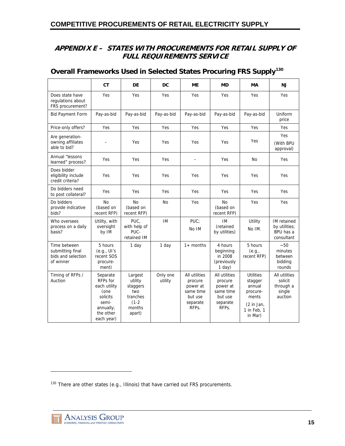## **APPENDIX E – STATES WITH PROCUREMENTS FOR RETAIL SUPPLY OF FULL REQUIREMENTS SERVICE**

|                                                                     | <b>CT</b>                                                                                                 | DE                                                                               | DC                  | MЕ                                                                                | МD                                                                                | МA                                                                                                           | NJ                                                             |
|---------------------------------------------------------------------|-----------------------------------------------------------------------------------------------------------|----------------------------------------------------------------------------------|---------------------|-----------------------------------------------------------------------------------|-----------------------------------------------------------------------------------|--------------------------------------------------------------------------------------------------------------|----------------------------------------------------------------|
| Does state have<br>regulations about<br>FRS procurement?            | Yes                                                                                                       | Yes                                                                              | Yes                 | Yes                                                                               | Yes                                                                               | Yes                                                                                                          | Yes                                                            |
| <b>Bid Payment Form</b>                                             | Pay-as-bid                                                                                                | Pay-as-bid                                                                       | Pay-as-bid          | Pay-as-bid                                                                        | Pay-as-bid                                                                        | Pay-as-bid                                                                                                   | Uniform<br>price                                               |
| Price-only offers?                                                  | Yes                                                                                                       | Yes                                                                              | Yes                 | Yes                                                                               | Yes                                                                               | Yes                                                                                                          | Yes                                                            |
| Are generation-<br>owning affiliates<br>able to bid?                |                                                                                                           | Yes                                                                              | Yes                 | Yes                                                                               | Yes                                                                               | Yes                                                                                                          | Yes<br>(With BPU<br>approval)                                  |
| Annual "lessons<br>learned" process?                                | Yes                                                                                                       | Yes                                                                              | Yes                 |                                                                                   | Yes                                                                               | No                                                                                                           | Yes                                                            |
| Does bidder<br>eligibility include<br>credit criteria?              | Yes                                                                                                       | Yes                                                                              | Yes                 | Yes                                                                               | Yes                                                                               | Yes                                                                                                          | Yes                                                            |
| Do bidders need<br>to post collateral?                              | Yes                                                                                                       | Yes                                                                              | Yes                 | Yes                                                                               | Yes                                                                               | Yes                                                                                                          | Yes                                                            |
| Do bidders<br>provide indicative<br>bids?                           | <b>No</b><br>(based on<br>recent RFP)                                                                     | No<br>(based on<br>recent RFP)                                                   | No                  | Yes                                                                               | No<br>(based on<br>recent RFP)                                                    | Yes                                                                                                          | Yes                                                            |
| Who oversees<br>process on a daily<br>basis?                        | Utility, with<br>oversight<br>by IM                                                                       | PUC.<br>with help of<br>PUC-<br>retained IM                                      | IM                  | PUC:<br>No IM                                                                     | <b>IM</b><br>(retained<br>by utilities)                                           | Utility<br>No IM.                                                                                            | <b>IM</b> retained<br>by utilities;<br>BPU has a<br>consultant |
| Time between<br>submitting final<br>bids and selection<br>of winner | 5 hours<br>(e.q.,UI's<br>recent SOS<br>procure-<br>ment)                                                  | 1 day                                                                            | 1 day               | $1+$ months                                                                       | 4 hours<br>beginning<br>in 2008<br>(previously<br>$1$ day)                        | 5 hours<br>(e.q.,<br>recent RFP)                                                                             | $-50$<br>minutes<br>between<br>bidding<br>rounds               |
| Timing of RFPs /<br>Auction                                         | Separate<br>RFPs for<br>each utility<br>(one<br>solicits<br>semi-<br>annually;<br>the other<br>each year) | Largest<br>utility<br>staggers<br>two<br>tranches<br>$(1-2)$<br>months<br>apart) | Only one<br>utility | All utilities<br>procure<br>power at<br>same time<br>but use<br>separate<br>RFPs. | All utilities<br>procure<br>power at<br>same time<br>but use<br>separate<br>RFPs. | <b>Utilities</b><br>stagger<br>annual<br>procure-<br>ments<br>$(2 \text{ in Jan})$<br>1 in Feb, 1<br>in Mar) | All utilities<br>solicit<br>through a<br>single<br>auction     |

# **Overall Frameworks Used in Selected States Procuring FRS Supply[130](#page-82-0)**

<span id="page-82-0"></span><sup>&</sup>lt;sup>130</sup> There are other states (e.g., Illinois) that have carried out FRS procurements.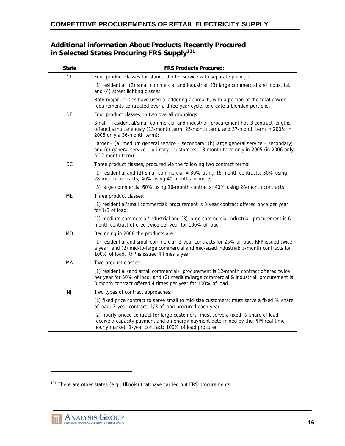### **Additional information About Products Recently Procured in Selected States Procuring FRS Supply[131](#page-83-0)**

| <b>State</b> | <b>FRS Products Procured:</b>                                                                                                                                                                                                                   |
|--------------|-------------------------------------------------------------------------------------------------------------------------------------------------------------------------------------------------------------------------------------------------|
| <b>CT</b>    | Four product classes for standard offer service with separate pricing for:                                                                                                                                                                      |
|              | (1) residential; (2) small commercial and industrial; (3) large commercial and industrial,<br>and (4) street lighting classes.                                                                                                                  |
|              | Both major utilities have used a laddering approach, with a portion of the total power<br>requirements contracted over a three-year cycle, to create a blended portfolio.                                                                       |
| DE           | Four product classes, in two overall groupings:                                                                                                                                                                                                 |
|              | Small - residential/small commercial and industrial: procurement has 3 contract lengths,<br>offered simultaneously (13-month term, 25-month term, and 37-month term in 2005; in<br>2006 only a 36-month term);                                  |
|              | Larger $-$ (a) medium general service $-$ secondary; (b) large general service $-$ secondary;<br>and (c) general service – primary customers: 13-month term only in 2005 (in 2006 only<br>a 12-month term)                                      |
| DC.          | Three product classes, procured via the following two contract terms:                                                                                                                                                                           |
|              | (1) residential and (2) small commercial = 30% using 16-month contracts; 30% using<br>28-month contracts; 40% using 40-months or more;                                                                                                          |
|              | (3) large commercial 60% using 16-month contracts; 40% using 28-month contracts;                                                                                                                                                                |
| <b>ME</b>    | Three product classes:                                                                                                                                                                                                                          |
|              | (1) residential/small commercial: procurement is 3-year contract offered once per year<br>for 1/3 of load;                                                                                                                                      |
|              | (2) medium commercial/industrial and (3) large commercial industrial: procurement is 6-<br>month contract offered twice per year for 100% of load                                                                                               |
| MD           | Beginning in 2008 the products are:                                                                                                                                                                                                             |
|              | (1) residential and small commercial: 2-year contracts for 25% of load, RFP issued twice<br>a year; and (2) mid-to-large commercial and mid-sized industrial: 3-month contracts for<br>100% of load, RFP is issued 4 times a year               |
| MA           | Two product classes:                                                                                                                                                                                                                            |
|              | (1) residential (and small commercial): procurement is 12-month contract offered twice<br>per year for 50% of load; and (2) medium/large commercial & industrial: procurement is<br>3 month contract offered 4 times per year for 100% of load. |
| <b>NJ</b>    | Two types of contract approaches:                                                                                                                                                                                                               |
|              | (1) fixed price contract to serve small to mid-size customers; must serve a fixed % share<br>of load; 3-year contract; 1/3 of load procured each year                                                                                           |
|              | (2) hourly-priced contract for large customers; must serve a fixed % share of load;<br>receive a capacity payment and an energy payment determined by the PJM real-time<br>hourly market; 1-year contract; 100% of load procured                |

<span id="page-83-0"></span> $131$  There are other states (e.g., Illinois) that have carried out FRS procurements.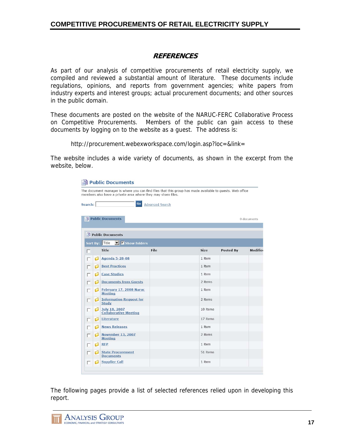### **REFERENCES**

As part of our analysis of competitive procurements of retail electricity supply, we compiled and reviewed a substantial amount of literature. These documents include regulations, opinions, and reports from government agencies; white papers from industry experts and interest groups; actual procurement documents; and other sources in the public domain.

These documents are posted on the website of the NARUC-FERC Collaborative Process on Competitive Procurements. Members of the public can gain access to these documents by logging on to the website as a guest. The address is:

```
http://procurement.webexworkspace.com/login.asp?loc=&link=
```
The website includes a wide variety of documents, as shown in the excerpt from the website, below.

|         |          | Public Documents                                                                                                                                                          |                        |          |           |                 |
|---------|----------|---------------------------------------------------------------------------------------------------------------------------------------------------------------------------|------------------------|----------|-----------|-----------------|
|         |          | The document manager is where you can find files that this group has made available to quests. Web office<br>members also have a private area where they may share files. |                        |          |           |                 |
| Search: |          | Go                                                                                                                                                                        | <b>Advanced Search</b> |          |           |                 |
|         |          | Public Documents                                                                                                                                                          |                        |          |           | 0 documents     |
|         |          | <b>Public Documents</b>                                                                                                                                                   |                        |          |           |                 |
|         |          | <b>N</b> Show folders<br>Sort By: Title                                                                                                                                   |                        |          |           |                 |
| П       |          | <b>Title</b>                                                                                                                                                              | <b>File</b>            | Size:    | Posted By | <b>Modifier</b> |
| п       | d        | <b>Agenda 5-28-08</b>                                                                                                                                                     |                        | 1 item   |           |                 |
| п       |          | <b>Best Practices</b>                                                                                                                                                     |                        | 1 item   |           |                 |
| г       |          | Case Studies                                                                                                                                                              |                        | 1 item   |           |                 |
| п       |          | <b>Documents from Guests</b>                                                                                                                                              |                        | 2 items  |           |                 |
| п       |          | February 17, 2008 Naruc<br><b>Meeting</b>                                                                                                                                 |                        | 1 item   |           |                 |
| п       |          | Information Request for<br><b>Study</b>                                                                                                                                   |                        | 2 items  |           |                 |
| п       | d        | July 18, 2007<br><b>Collaborative Meeting</b>                                                                                                                             |                        | 10 items |           |                 |
| г       | d        | Literature                                                                                                                                                                |                        | 17 items |           |                 |
| п       | O.       | <b>News Releases</b>                                                                                                                                                      |                        | 1 item   |           |                 |
| г       | $\sigma$ | <b>November 13, 2007</b><br><b>Meeting</b>                                                                                                                                |                        | 2 items  |           |                 |
| п       | Ó        | <b>RFP</b>                                                                                                                                                                |                        | 1 item   |           |                 |
|         | d        | <b>State Procurement</b><br><b>Documents</b>                                                                                                                              |                        | 51 items |           |                 |
| Е       | O        | <b>Supplier Call</b>                                                                                                                                                      |                        | 1 item   |           |                 |
|         |          |                                                                                                                                                                           |                        |          |           |                 |

The following pages provide a list of selected references relied upon in developing this report.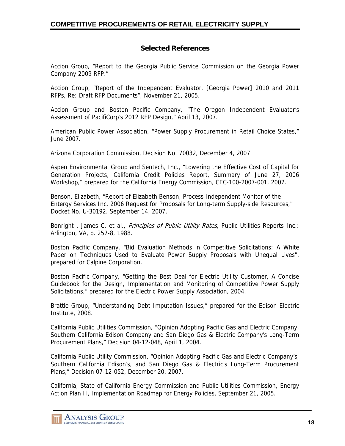### **Selected References**

Accion Group, "Report to the Georgia Public Service Commission on the Georgia Power Company 2009 RFP."

Accion Group, "Report of the Independent Evaluator, [Georgia Power] 2010 and 2011 RFPs, Re: Draft RFP Documents", November 21, 2005.

Accion Group and Boston Pacific Company, "The Oregon Independent Evaluator's Assessment of PacifiCorp's 2012 RFP Design," April 13, 2007.

American Public Power Association, "Power Supply Procurement in Retail Choice States," June 2007.

Arizona Corporation Commission, Decision No. 70032, December 4, 2007.

Aspen Environmental Group and Sentech, Inc., "Lowering the Effective Cost of Capital for Generation Projects, California Credit Policies Report, Summary of June 27, 2006 Workshop," prepared for the California Energy Commission, CEC-100-2007-001, 2007.

Benson, Elizabeth, "Report of Elizabeth Benson, Process Independent Monitor of the Entergy Services Inc. 2006 Request for Proposals for Long-term Supply-side Resources," Docket No. U-30192. September 14, 2007.

Bonright, James C. et al., *Principles of Public Utility Rates*, Public Utilities Reports Inc.: Arlington, VA, p. 257-8, 1988.

Boston Pacific Company. "Bid Evaluation Methods in Competitive Solicitations: A White Paper on Techniques Used to Evaluate Power Supply Proposals with Unequal Lives", prepared for Calpine Corporation.

Boston Pacific Company, "Getting the Best Deal for Electric Utility Customer, A Concise Guidebook for the Design, Implementation and Monitoring of Competitive Power Supply Solicitations," prepared for the Electric Power Supply Association, 2004.

Brattle Group, "Understanding Debt Imputation Issues," prepared for the Edison Electric Institute, 2008.

California Public Utilities Commission, "Opinion Adopting Pacific Gas and Electric Company, Southern California Edison Company and San Diego Gas & Electric Company's Long-Term Procurement Plans," Decision 04-12-048, April 1, 2004.

California Public Utility Commission, "Opinion Adopting Pacific Gas and Electric Company's, Southern California Edison's, and San Diego Gas & Electric's Long-Term Procurement Plans," Decision 07-12-052, December 20, 2007.

California, State of California Energy Commission and Public Utilities Commission, Energy Action Plan II, Implementation Roadmap for Energy Policies, September 21, 2005.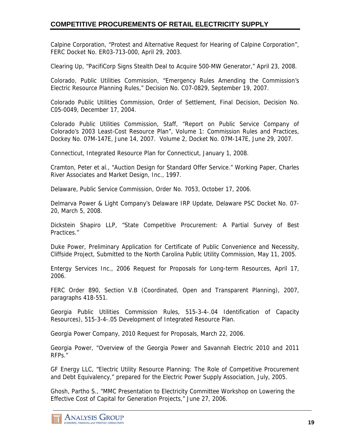Calpine Corporation, "Protest and Alternative Request for Hearing of Calpine Corporation", FERC Docket No. ER03-713-000, April 29, 2003.

Clearing Up, "PacifiCorp Signs Stealth Deal to Acquire 500-MW Generator," April 23, 2008.

Colorado, Public Utilities Commission, "Emergency Rules Amending the Commission's Electric Resource Planning Rules," Decision No. C07-0829, September 19, 2007.

Colorado Public Utilities Commission, Order of Settlement, Final Decision, Decision No. C05-0049, December 17, 2004.

Colorado Public Utilities Commission, Staff, "Report on Public Service Company of Colorado's 2003 Least-Cost Resource Plan", Volume 1: Commission Rules and Practices, Dockey No. 07M-147E, June 14, 2007. Volume 2, Docket No. 07M-147E, June 29, 2007.

Connecticut, Integrated Resource Plan for Connecticut, January 1, 2008.

Cramton, Peter et al., "Auction Design for Standard Offer Service." Working Paper, Charles River Associates and Market Design, Inc., 1997.

Delaware, Public Service Commission, Order No. 7053, October 17, 2006.

Delmarva Power & Light Company's Delaware IRP Update, Delaware PSC Docket No. 07- 20, March 5, 2008.

Dickstein Shapiro LLP, "State Competitive Procurement: A Partial Survey of Best Practices."

Duke Power, Preliminary Application for Certificate of Public Convenience and Necessity, Cliffside Project, Submitted to the North Carolina Public Utility Commission, May 11, 2005.

Entergy Services Inc., 2006 Request for Proposals for Long-term Resources, April 17, 2006.

FERC Order 890, Section V.B (Coordinated, Open and Transparent Planning), 2007, paragraphs 418-551.

Georgia Public Utilities Commission Rules, 515-3-4-.04 Identification of Capacity Resources), 515-3-4-.05 Development of Integrated Resource Plan.

Georgia Power Company, 2010 Request for Proposals, March 22, 2006.

Georgia Power, "Overview of the Georgia Power and Savannah Electric 2010 and 2011 RFPs."

GF Energy LLC, "Electric Utility Resource Planning: The Role of Competitive Procurement and Debt Equivalency," prepared for the Electric Power Supply Association, July, 2005.

Ghosh, Partho S., "MMC Presentation to Electricity Committee Workshop on Lowering the Effective Cost of Capital for Generation Projects," June 27, 2006.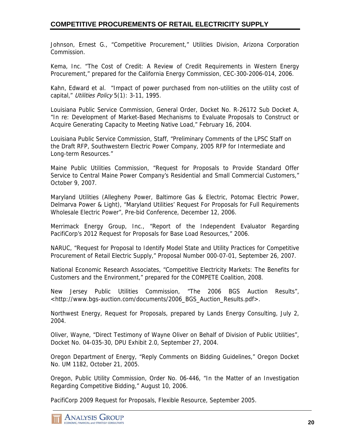Johnson, Ernest G., "Competitive Procurement," Utilities Division, Arizona Corporation Commission.

Kema, Inc. "The Cost of Credit: A Review of Credit Requirements in Western Energy Procurement," prepared for the California Energy Commission, CEC-300-2006-014, 2006.

Kahn, Edward et al. "Impact of power purchased from non-utilities on the utility cost of capital," Utilities Policy 5(1): 3-11, 1995.

Louisiana Public Service Commission, General Order, Docket No. R-26172 Sub Docket A, "In re: Development of Market-Based Mechanisms to Evaluate Proposals to Construct or Acquire Generating Capacity to Meeting Native Load," February 16, 2004.

Louisiana Public Service Commission, Staff, "Preliminary Comments of the LPSC Staff on the Draft RFP, Southwestern Electric Power Company, 2005 RFP for Intermediate and Long-term Resources."

Maine Public Utilities Commission, "Request for Proposals to Provide Standard Offer Service to Central Maine Power Company's Residential and Small Commercial Customers," October 9, 2007.

Maryland Utilities (Allegheny Power, Baltimore Gas & Electric, Potomac Electric Power, Delmarva Power & Light), "Maryland Utilities' Request For Proposals for Full Requirements Wholesale Electric Power", Pre-bid Conference, December 12, 2006.

Merrimack Energy Group, Inc., "Report of the Independent Evaluator Regarding PacifiCorp's 2012 Request for Proposals for Base Load Resources," 2006.

NARUC, "Request for Proposal to Identify Model State and Utility Practices for Competitive Procurement of Retail Electric Supply," Proposal Number 000-07-01, September 26, 2007.

National Economic Research Associates, "Competitive Electricity Markets: The Benefits for Customers and the Environment," prepared for the COMPETE Coalition, 2008.

New Jersey Public Utilities Commission, "The 2006 BGS Auction Results", <http://www.bgs-auction.com/documents/2006\_BGS\_Auction\_Results.pdf>.

Northwest Energy, Request for Proposals, prepared by Lands Energy Consulting, July 2, 2004.

Oliver, Wayne, "Direct Testimony of Wayne Oliver on Behalf of Division of Public Utilities", Docket No. 04-035-30, DPU Exhibit 2.0, September 27, 2004.

Oregon Department of Energy, "Reply Comments on Bidding Guidelines," Oregon Docket No. UM 1182, October 21, 2005.

Oregon, Public Utility Commission, Order No. 06-446, "In the Matter of an Investigation Regarding Competitive Bidding," August 10, 2006.

PacifiCorp 2009 Request for Proposals, Flexible Resource, September 2005.